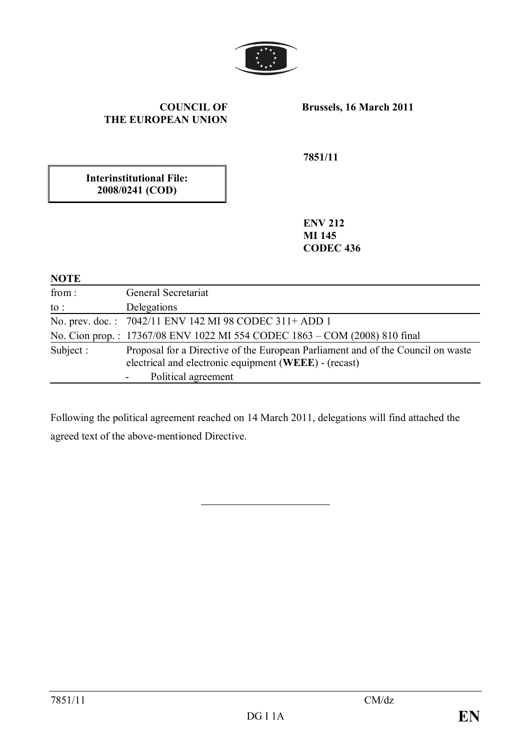

### **COUNCIL OF THE EUROPEAN UNION**

**Brussels, 16 March 2011**

**7851/11**

**Interinstitutional File: 2008/0241 (COD)**

> **ENV 212 MI 145 CODEC 436**

#### **NOTE**

| from:     | General Secretariat                                                                                                                      |
|-----------|------------------------------------------------------------------------------------------------------------------------------------------|
| to :      | Delegations                                                                                                                              |
|           | No. prev. doc.: 7042/11 ENV 142 MI 98 CODEC 311+ ADD 1                                                                                   |
|           | No. Cion prop.: 17367/08 ENV 1022 MI 554 CODEC 1863 – COM (2008) 810 final                                                               |
| Subject : | Proposal for a Directive of the European Parliament and of the Council on waste<br>electrical and electronic equipment (WEEE) - (recast) |
|           | Political agreement                                                                                                                      |

Following the political agreement reached on 14 March 2011, delegations will find attached the agreed text of the above-mentioned Directive.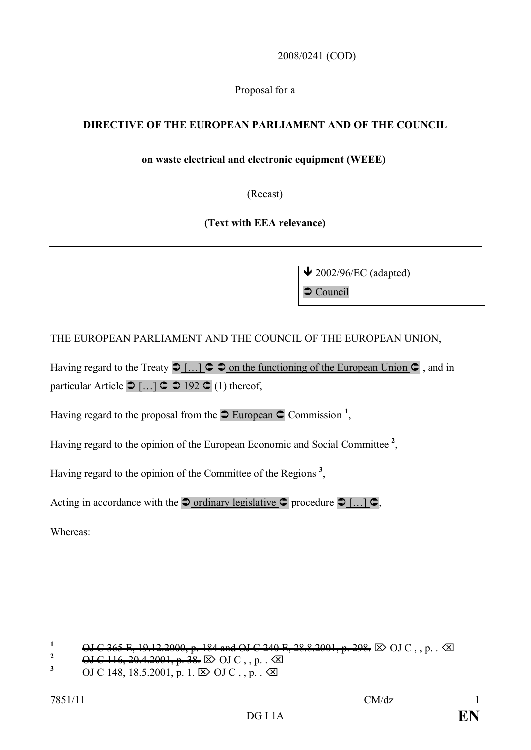2008/0241 (COD)

Proposal for a

### **DIRECTIVE OF THE EUROPEAN PARLIAMENT AND OF THE COUNCIL**

### **on waste electrical and electronic equipment (WEEE)**

(Recast)

**(Text with EEA relevance)**

 $\bigvee$  2002/96/EC (adapted)  $\bullet$  Council

THE EUROPEAN PARLIAMENT AND THE COUNCIL OF THE EUROPEAN UNION,

Having regard to the Treaty  $\supset [...] \subset \supset$  on the functioning of the European Union  $\supset [$ , and in particular Article  $\supset$  [...]  $\supset \supset$  192  $\supset$  (1) thereof,

Having regard to the proposal from the  $\supseteq$  European  $\supseteq$  Commission<sup>1</sup>,

Having regard to the opinion of the European Economic and Social Committee **<sup>2</sup>** ,

Having regard to the opinion of the Committee of the Regions **<sup>3</sup>** ,

Acting in accordance with the  $\supseteq$  ordinary legislative  $\supseteq$  procedure  $\supseteq$  [...]  $\supseteq$ ,

Whereas:

**<sup>1</sup>** OJ C 365 E, 19.12.2000, p. 184 and OJ C 240 E, 28.8.2001, p. 298.  $\boxtimes$  OJ C , , p. .  $\boxtimes$ <br><sup>2</sup> OJ C 116 20 4 2001, p. 38  $\boxtimes$  OJ C , p.  $\boxtimes$ 

<sup>&</sup>lt;sup>2</sup> OJ C 116, 20.4.2001, p. 38.  $\boxtimes$  OJ C , , p. .  $\boxtimes$ <br><sup>3</sup> OJ C 148, 18.5.2001, p. 1,  $\boxtimes$  OJ C , p.  $\boxtimes$ 

 $\Theta$ **J C 148, 18.5.2001, p. 1.**  $\Phi$  OJ C, , p. . **⊘**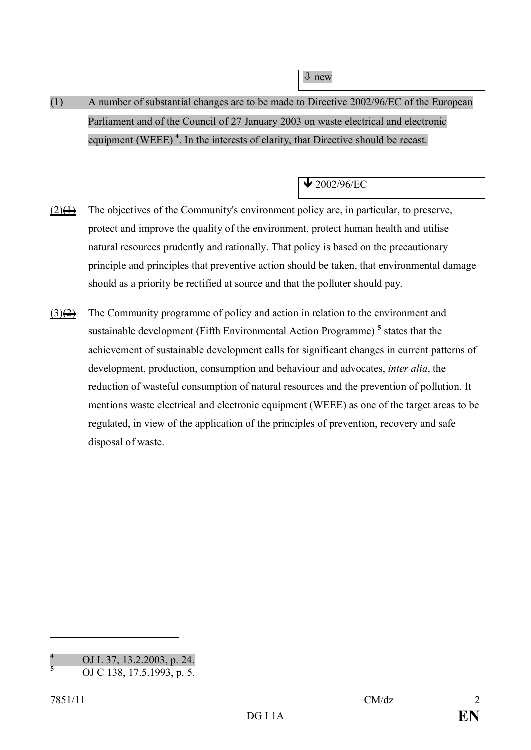ò new

# (1) A number of substantial changes are to be made to Directive 2002/96/EC of the European Parliament and of the Council of 27 January 2003 on waste electrical and electronic equipment (WEEE)<sup>4</sup>. In the interests of clarity, that Directive should be recast.

## $\bigvee$  2002/96/EC

- $(2) \leftrightarrow$  The objectives of the Community's environment policy are, in particular, to preserve, protect and improve the quality of the environment, protect human health and utilise natural resources prudently and rationally. That policy is based on the precautionary principle and principles that preventive action should be taken, that environmental damage should as a priority be rectified at source and that the polluter should pay.
- $(3)$ ( $\overrightarrow{2}$ ) The Community programme of policy and action in relation to the environment and sustainable development (Fifth Environmental Action Programme) **<sup>5</sup>** states that the achievement of sustainable development calls for significant changes in current patterns of development, production, consumption and behaviour and advocates, *inter alia*, the reduction of wasteful consumption of natural resources and the prevention of pollution. It mentions waste electrical and electronic equipment (WEEE) as one of the target areas to be regulated, in view of the application of the principles of prevention, recovery and safe disposal of waste.

**<sup>4</sup>** OJ L 37, 13.2.2003, p. 24.

**<sup>5</sup>** OJ C 138, 17.5.1993, p. 5.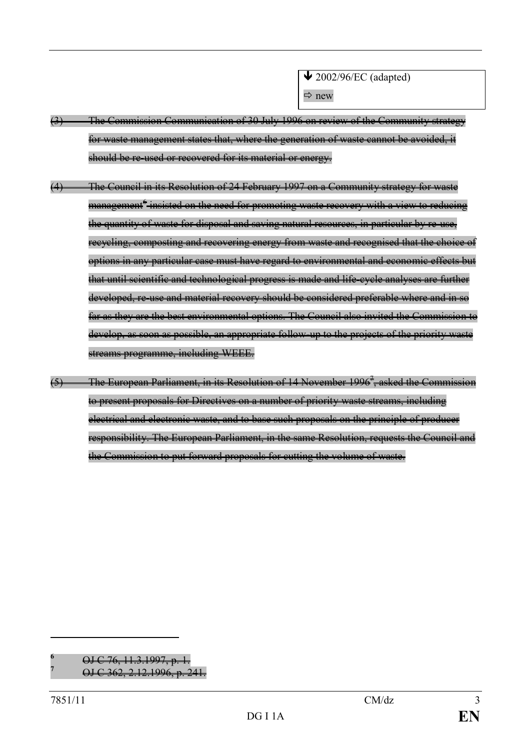- (3) The Commission Communication of 30 July 1996 on review of the Community strategy for waste management states that, where the generation of waste cannot be avoided, it should be re-used or recovered for its material or energy.
- (4) The Council in its Resolution of 24 February 1997 on a Community strategy for waste management<sup>6</sup>-insisted on the need for promoting waste recovery with a view to reducing the quantity of waste for disposal and saving natural resources, in particular by re-use, recycling, composting and recovering energy from waste and recognised that the choice of options in any particular case must have regard to environmental and economic effects but that until scientific and technological progress is made and life-cycle analyses are further developed, re-use and material recovery should be considered preferable where and in so far as they are the best environmental options. The Council also invited the Commission to develop, as soon as possible, an appropriate follow-up to the projects of the priority waste streams programme, including WEEE.
- (5) The European Parliament, in its Resolution of 14 November 1996<sup>7</sup>, asked the Commission to present proposals for Directives on a number of priority waste streams, including electrical and electronic waste, and to base such proposals on the principle of producer responsibility. The European Parliament, in the same Resolution, requests the Council and the Commission to put forward proposals for cutting the volume of waste.

**<sup>6</sup>** OJ C 76, 11.3.1997, p. 1.

**<sup>7</sup>** OJ C 362, 2.12.1996, p. 241.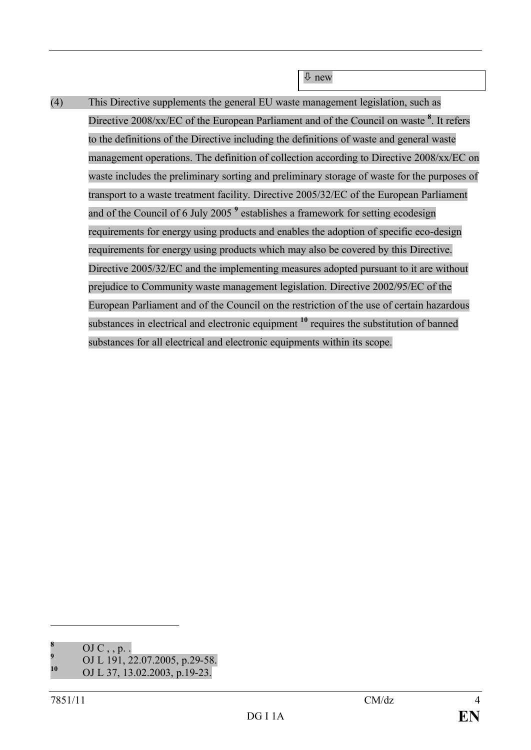(4) This Directive supplements the general EU waste management legislation, such as Directive 2008/xx/EC of the European Parliament and of the Council on waste **<sup>8</sup>** . It refers to the definitions of the Directive including the definitions of waste and general waste management operations. The definition of collection according to Directive 2008/xx/EC on waste includes the preliminary sorting and preliminary storage of waste for the purposes of transport to a waste treatment facility. Directive 2005/32/EC of the European Parliament and of the Council of 6 July 2005 **<sup>9</sup>** establishes a framework for setting ecodesign requirements for energy using products and enables the adoption of specific eco-design requirements for energy using products which may also be covered by this Directive. Directive 2005/32/EC and the implementing measures adopted pursuant to it are without prejudice to Community waste management legislation. Directive 2002/95/EC of the European Parliament and of the Council on the restriction of the use of certain hazardous substances in electrical and electronic equipment **<sup>10</sup>** requires the substitution of banned substances for all electrical and electronic equipments within its scope.

 $\overline{\psi}$  new

**<sup>8</sup>** OJ C , , p. .

<sup>&</sup>lt;sup>9</sup> OJ L 191, 22.07.2005, p.29-58.<br><sup>10</sup> OJ L 27, 12, 02, 2002, p.10, 22.

**<sup>10</sup>** OJ L 37, 13.02.2003, p.19-23.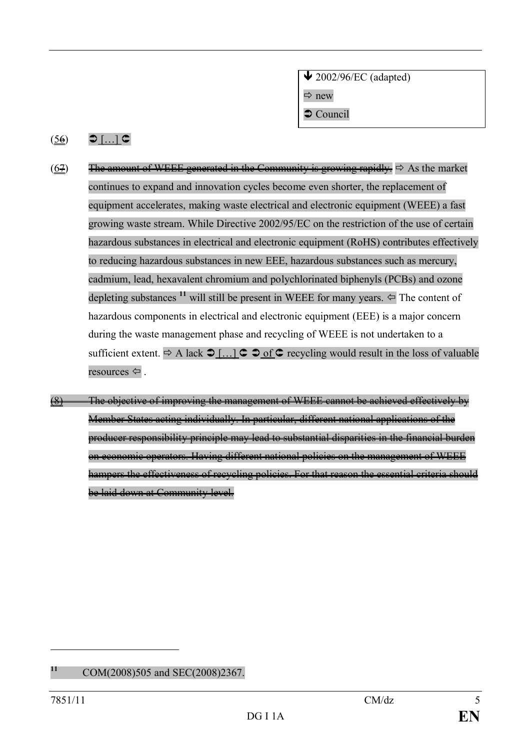$\bigvee$  2002/96/EC (adapted)  $\Rightarrow$  new

 $\supset$  Council

### $(56)$   $\bigcirc$   $\left[ \dots \right]$   $\subset$

- (67) The amount of WEEE generated in the Community is growing rapidly.  $\Rightarrow$  As the market continues to expand and innovation cycles become even shorter, the replacement of equipment accelerates, making waste electrical and electronic equipment (WEEE) a fast growing waste stream. While Directive 2002/95/EC on the restriction of the use of certain hazardous substances in electrical and electronic equipment (RoHS) contributes effectively to reducing hazardous substances in new EEE, hazardous substances such as mercury, cadmium, lead, hexavalent chromium and polychlorinated biphenyls (PCBs) and ozone depleting substances <sup>11</sup> will still be present in WEEE for many years.  $\Leftarrow$  The content of hazardous components in electrical and electronic equipment (EEE) is a major concern during the waste management phase and recycling of WEEE is not undertaken to a sufficient extent.  $\Rightarrow$  A lack  $\supset \text{[}... \text{]}$   $\supset \text{ } \circ$  of  $\supset \text{ }$  recycling would result in the loss of valuable resources  $\Leftarrow$ .
- $(8)$  The objective of improving the management of WEEE cannot be achieved effectively by Member States acting individually. In particular, different national applications of the producer responsibility principle may lead to substantial disparities in the financial burden on economic operators. Having different national policies on the management of WEEE hampers the effectiveness of recycling policies. For that reason the essential criteria should be laid down at Community level.

**<sup>11</sup>** COM(2008)505 and SEC(2008)2367.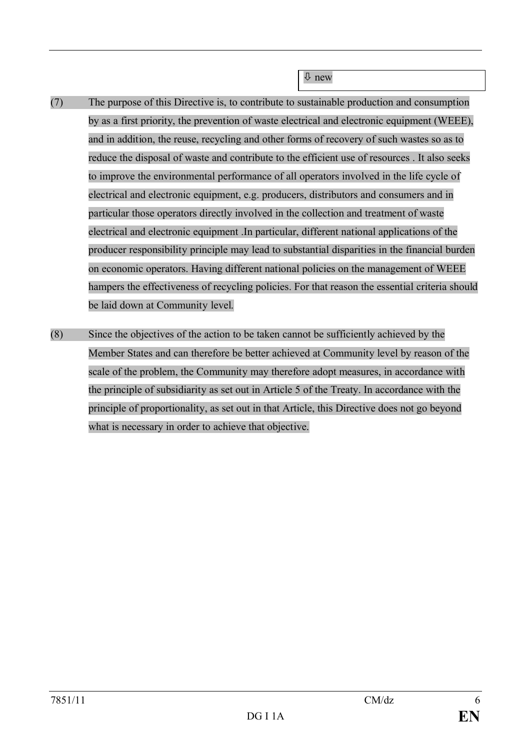ò new

- (7) The purpose of this Directive is, to contribute to sustainable production and consumption by as a first priority, the prevention of waste electrical and electronic equipment (WEEE), and in addition, the reuse, recycling and other forms of recovery of such wastes so as to reduce the disposal of waste and contribute to the efficient use of resources . It also seeks to improve the environmental performance of all operators involved in the life cycle of electrical and electronic equipment, e.g. producers, distributors and consumers and in particular those operators directly involved in the collection and treatment of waste electrical and electronic equipment .In particular, different national applications of the producer responsibility principle may lead to substantial disparities in the financial burden on economic operators. Having different national policies on the management of WEEE hampers the effectiveness of recycling policies. For that reason the essential criteria should be laid down at Community level.
- (8) Since the objectives of the action to be taken cannot be sufficiently achieved by the Member States and can therefore be better achieved at Community level by reason of the scale of the problem, the Community may therefore adopt measures, in accordance with the principle of subsidiarity as set out in Article 5 of the Treaty. In accordance with the principle of proportionality, as set out in that Article, this Directive does not go beyond what is necessary in order to achieve that objective.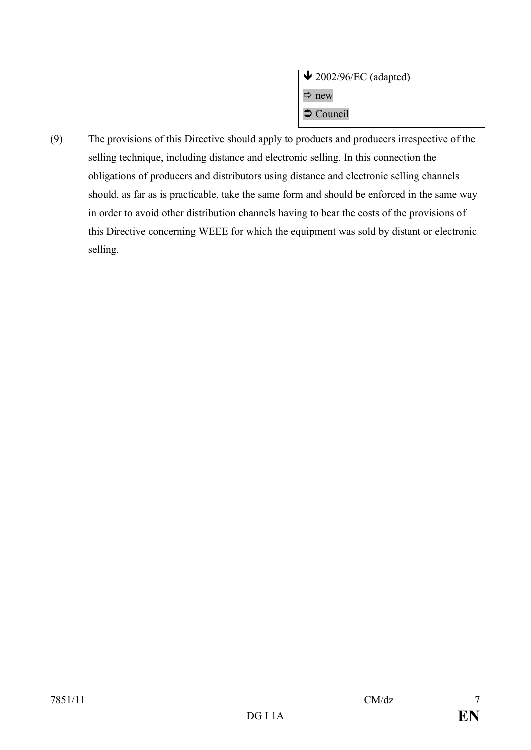| $\bigvee$ 2002/96/EC (adapted) |  |
|--------------------------------|--|
| $\Rightarrow$ new              |  |
| $\bullet$ Council              |  |

(9) The provisions of this Directive should apply to products and producers irrespective of the selling technique, including distance and electronic selling. In this connection the obligations of producers and distributors using distance and electronic selling channels should, as far as is practicable, take the same form and should be enforced in the same way in order to avoid other distribution channels having to bear the costs of the provisions of this Directive concerning WEEE for which the equipment was sold by distant or electronic selling.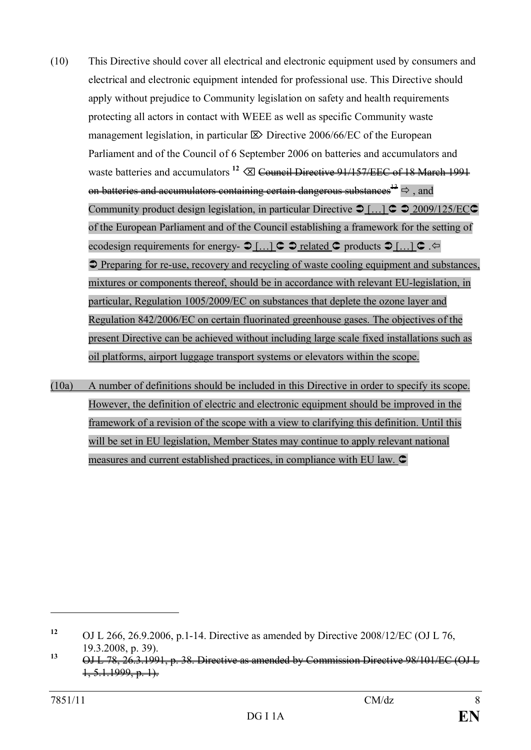- (10) This Directive should cover all electrical and electronic equipment used by consumers and electrical and electronic equipment intended for professional use. This Directive should apply without prejudice to Community legislation on safety and health requirements protecting all actors in contact with WEEE as well as specific Community waste management legislation, in particular  $\boxtimes$  Directive 2006/66/EC of the European Parliament and of the Council of 6 September 2006 on batteries and accumulators and waste batteries and accumulators <sup>12</sup>  $\oslash$  Council Directive 91/157/EEC of 18 March 1991 on batteries and accumulators containing certain dangerous substances<sup>13</sup>  $\Rightarrow$  and Community product design legislation, in particular Directive  $\bigcirc$  [...]  $\bigcirc$   $\bigcirc$  2009/125/EC $\bigcirc$ of the European Parliament and of the Council establishing a framework for the setting of ecodesign requirements for energy-  $\bigcirc$  [...]  $\subset \bigcirc$  related  $\subset \bigcirc$  products  $\bigcirc$  [...]  $\subset \bigcirc$  $\supset$  Preparing for re-use, recovery and recycling of waste cooling equipment and substances, mixtures or components thereof, should be in accordance with relevant EU-legislation, in particular, Regulation 1005/2009/EC on substances that deplete the ozone layer and Regulation 842/2006/EC on certain fluorinated greenhouse gases. The objectives of the present Directive can be achieved without including large scale fixed installations such as oil platforms, airport luggage transport systems or elevators within the scope.
- (10a) A number of definitions should be included in this Directive in order to specify its scope. However, the definition of electric and electronic equipment should be improved in the framework of a revision of the scope with a view to clarifying this definition. Until this will be set in EU legislation, Member States may continue to apply relevant national measures and current established practices, in compliance with EU law.  $\subset$

<sup>&</sup>lt;sup>12</sup> OJ L 266, 26.9.2006, p.1-14. Directive as amended by Directive 2008/12/EC (OJ L 76, 19.3.2008, p. 39).

**<sup>13</sup>** OJ L 78, 26.3.1991, p. 38. Directive as amended by Commission Directive 98/101/EC (OJ L  $1, 5.1.1999, p. 1$ .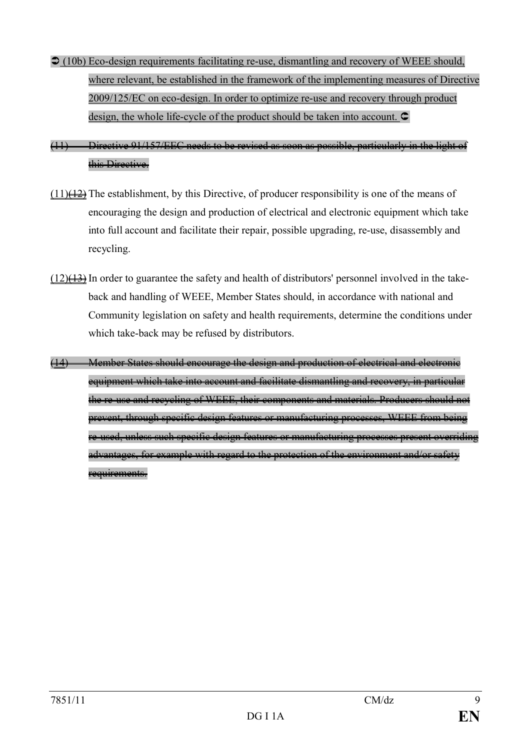$\bigcirc$  (10b) Eco-design requirements facilitating re-use, dismantling and recovery of WEEE should, where relevant, be established in the framework of the implementing measures of Directive 2009/125/EC on eco-design. In order to optimize re-use and recovery through product design, the whole life-cycle of the product should be taken into account.  $\mathsf{\subset}$ 

(11) Directive 91/157/EEC needs to be revised as soon as possible, particularly in the light of this Directive.

- $(11)$ (12) The establishment, by this Directive, of producer responsibility is one of the means of encouraging the design and production of electrical and electronic equipment which take into full account and facilitate their repair, possible upgrading, re-use, disassembly and recycling.
- $(12)(43)$  In order to guarantee the safety and health of distributors' personnel involved in the takeback and handling of WEEE, Member States should, in accordance with national and Community legislation on safety and health requirements, determine the conditions under which take-back may be refused by distributors.
- (14) Member States should encourage the design and production of electrical and electronic equipment which take into account and facilitate dismantling and recovery, in particular the re-use and recycling of WEEE, their components and materials. Producers should not prevent, through specific design features or manufacturing processes, WEEE from being re-used, unless such specific design features or manufacturing processes present overriding advantages, for example with regard to the protection of the environment and/or safety requirements.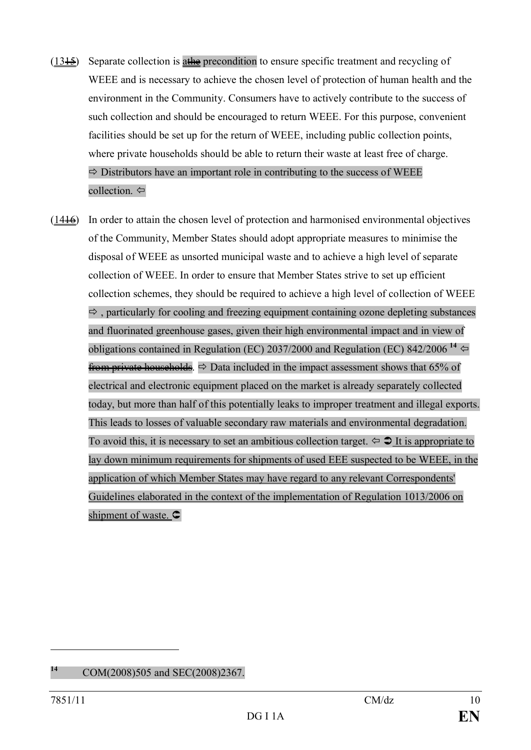- $(13.15)$  Separate collection is at the precondition to ensure specific treatment and recycling of WEEE and is necessary to achieve the chosen level of protection of human health and the environment in the Community. Consumers have to actively contribute to the success of such collection and should be encouraged to return WEEE. For this purpose, convenient facilities should be set up for the return of WEEE, including public collection points, where private households should be able to return their waste at least free of charge.  $\Rightarrow$  Distributors have an important role in contributing to the success of WEEE collection.  $\Leftrightarrow$
- $(1446)$  In order to attain the chosen level of protection and harmonised environmental objectives of the Community, Member States should adopt appropriate measures to minimise the disposal of WEEE as unsorted municipal waste and to achieve a high level of separate collection of WEEE. In order to ensure that Member States strive to set up efficient collection schemes, they should be required to achieve a high level of collection of WEEE  $\Rightarrow$ , particularly for cooling and freezing equipment containing ozone depleting substances and fluorinated greenhouse gases, given their high environmental impact and in view of obligations contained in Regulation (EC) 2037/2000 and Regulation (EC) 842/2006<sup>14</sup> from private households.  $\Rightarrow$  Data included in the impact assessment shows that 65% of electrical and electronic equipment placed on the market is already separately collected today, but more than half of this potentially leaks to improper treatment and illegal exports. This leads to losses of valuable secondary raw materials and environmental degradation. To avoid this, it is necessary to set an ambitious collection target.  $\Leftrightarrow \bigcirc$  It is appropriate to lay down minimum requirements for shipments of used EEE suspected to be WEEE, in the application of which Member States may have regard to any relevant Correspondents' Guidelines elaborated in the context of the implementation of Regulation 1013/2006 on shipment of waste.  $\subset$

**<sup>14</sup>** COM(2008)505 and SEC(2008)2367.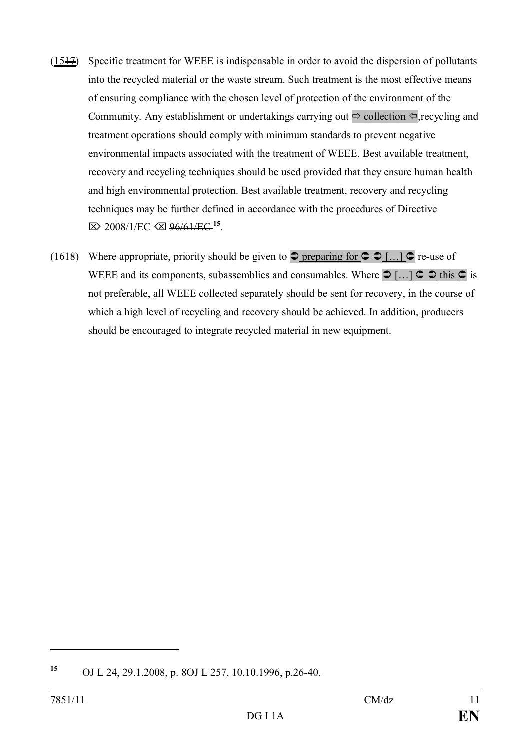- $(1517)$  Specific treatment for WEEE is indispensable in order to avoid the dispersion of pollutants into the recycled material or the waste stream. Such treatment is the most effective means of ensuring compliance with the chosen level of protection of the environment of the Community. Any establishment or undertakings carrying out  $\Rightarrow$  collection  $\Leftrightarrow$  recycling and treatment operations should comply with minimum standards to prevent negative environmental impacts associated with the treatment of WEEE. Best available treatment, recovery and recycling techniques should be used provided that they ensure human health and high environmental protection. Best available treatment, recovery and recycling techniques may be further defined in accordance with the procedures of Directive Ö 2008/1/EC Õ 96/61/EC **<sup>15</sup>** .
- (16<del>18</del>) Where appropriate, priority should be given to  $\supset$  preparing for  $\supset \supset$  [...]  $\supset$  re-use of WEEE and its components, subassemblies and consumables. Where  $\supset [...] \subset \supset$  this  $\supset$  is not preferable, all WEEE collected separately should be sent for recovery, in the course of which a high level of recycling and recovery should be achieved. In addition, producers should be encouraged to integrate recycled material in new equipment.

<sup>&</sup>lt;sup>15</sup> OJ L 24, 29.1.2008, p. 8<del>OJ L 257, 10.10.1996, p.26-40</del>.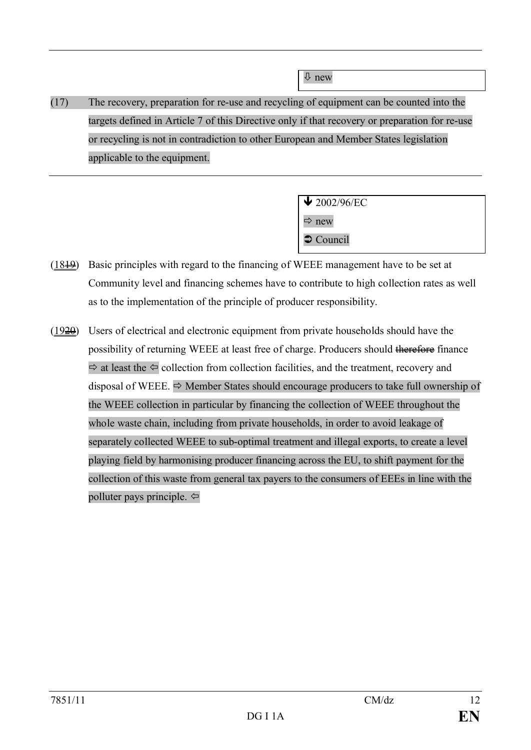ò new

(17) The recovery, preparation for re-use and recycling of equipment can be counted into the targets defined in Article 7 of this Directive only if that recovery or preparation for re-use or recycling is not in contradiction to other European and Member States legislation applicable to the equipment.

> $\frac{1}{2002}{\frac{96}{EC}}$  $\Rightarrow$  new  $\bullet$  Council

- (1819) Basic principles with regard to the financing of WEEE management have to be set at Community level and financing schemes have to contribute to high collection rates as well as to the implementation of the principle of producer responsibility.
- $(1920)$  Users of electrical and electronic equipment from private households should have the possibility of returning WEEE at least free of charge. Producers should therefore finance  $\Rightarrow$  at least the  $\Leftarrow$  collection from collection facilities, and the treatment, recovery and disposal of WEEE.  $\Rightarrow$  Member States should encourage producers to take full ownership of the WEEE collection in particular by financing the collection of WEEE throughout the whole waste chain, including from private households, in order to avoid leakage of separately collected WEEE to sub-optimal treatment and illegal exports, to create a level playing field by harmonising producer financing across the EU, to shift payment for the collection of this waste from general tax payers to the consumers of EEEs in line with the polluter pays principle.  $\Leftrightarrow$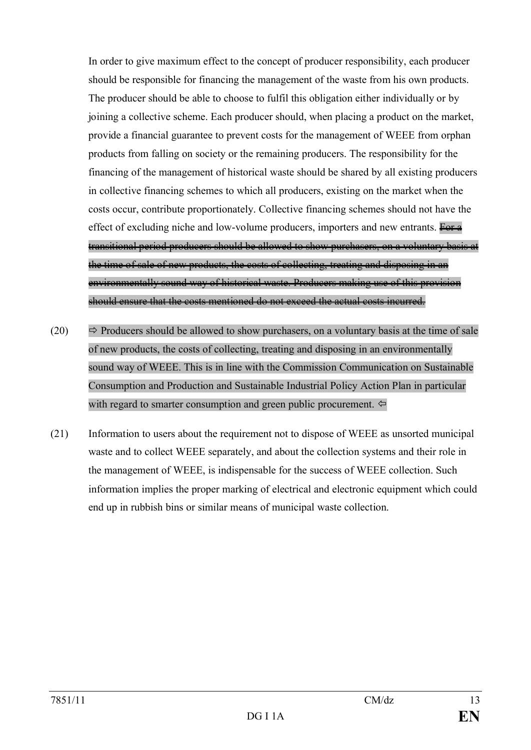In order to give maximum effect to the concept of producer responsibility, each producer should be responsible for financing the management of the waste from his own products. The producer should be able to choose to fulfil this obligation either individually or by joining a collective scheme. Each producer should, when placing a product on the market, provide a financial guarantee to prevent costs for the management of WEEE from orphan products from falling on society or the remaining producers. The responsibility for the financing of the management of historical waste should be shared by all existing producers in collective financing schemes to which all producers, existing on the market when the costs occur, contribute proportionately. Collective financing schemes should not have the effect of excluding niche and low-volume producers, importers and new entrants. For a transitional period producers should be allowed to show purchasers, on a voluntary basis at the time of sale of new products, the costs of collecting, treating and disposing in an environmentally sound way of historical waste. Producers making use of this provision should ensure that the costs mentioned do not exceed the actual costs incurred.

- (20)  $\Rightarrow$  Producers should be allowed to show purchasers, on a voluntary basis at the time of sale of new products, the costs of collecting, treating and disposing in an environmentally sound way of WEEE. This is in line with the Commission Communication on Sustainable Consumption and Production and Sustainable Industrial Policy Action Plan in particular with regard to smarter consumption and green public procurement.  $\Leftrightarrow$
- (21) Information to users about the requirement not to dispose of WEEE as unsorted municipal waste and to collect WEEE separately, and about the collection systems and their role in the management of WEEE, is indispensable for the success of WEEE collection. Such information implies the proper marking of electrical and electronic equipment which could end up in rubbish bins or similar means of municipal waste collection.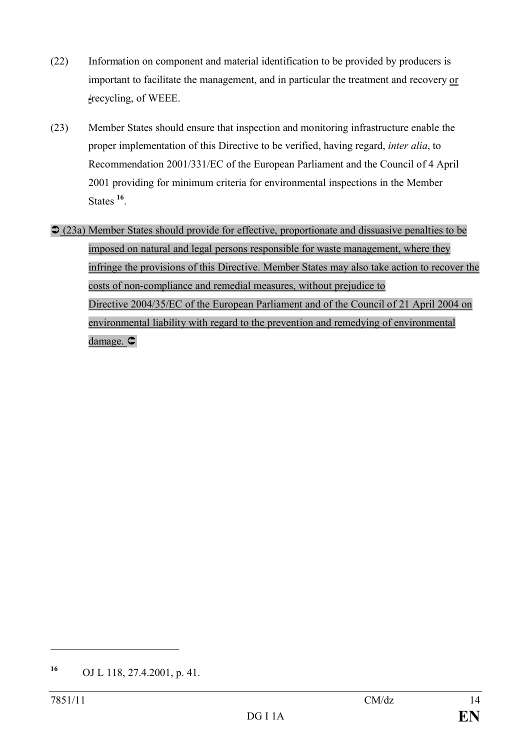- (22) Information on component and material identification to be provided by producers is important to facilitate the management, and in particular the treatment and recovery or  $\angle$ recycling, of WEEE.
- (23) Member States should ensure that inspection and monitoring infrastructure enable the proper implementation of this Directive to be verified, having regard, *inter alia*, to Recommendation 2001/331/EC of the European Parliament and the Council of 4 April 2001 providing for minimum criteria for environmental inspections in the Member States **<sup>16</sup>** .
- Ü (23a) Member States should provide for effective, proportionate and dissuasive penalties to be imposed on natural and legal persons responsible for waste management, where they infringe the provisions of this Directive. Member States may also take action to recover the costs of non-compliance and remedial measures, without prejudice to Directive 2004/35/EC of the European Parliament and of the Council of 21 April 2004 on environmental liability with regard to the prevention and remedying of environmental damage.  $\subset$

**<sup>16</sup>** OJ L 118, 27.4.2001, p. 41.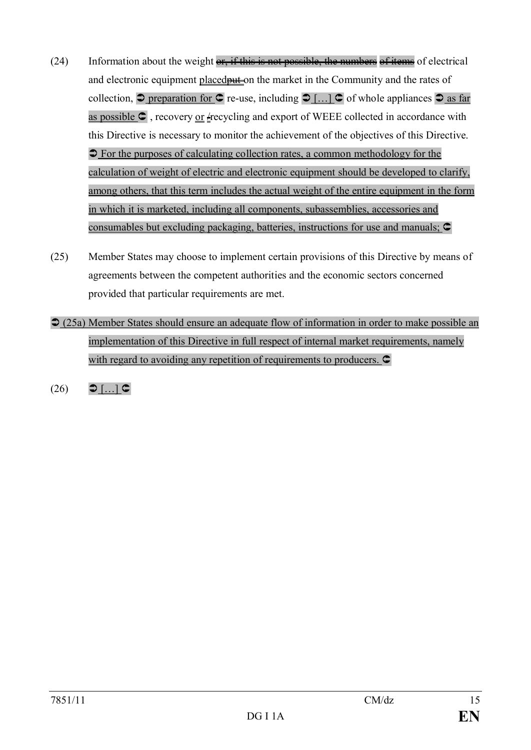- $(24)$  Information about the weight  $\overline{or}$ , if this is not possible, the numbers of items of electrical and electronic equipment placed **put** on the market in the Community and the rates of collection,  $\supset$  preparation for  $\bigcirc$  re-use, including  $\supset$  [...]  $\bigcirc$  of whole appliances  $\supset$  as far as possible  $\subset$ , recovery <u>or</u>  $\neq$  recycling and export of WEEE collected in accordance with this Directive is necessary to monitor the achievement of the objectives of this Directive.  $\supset$  For the purposes of calculating collection rates, a common methodology for the calculation of weight of electric and electronic equipment should be developed to clarify, among others, that this term includes the actual weight of the entire equipment in the form in which it is marketed, including all components, subassemblies, accessories and consumables but excluding packaging, batteries, instructions for use and manuals;  $\subset$
- (25) Member States may choose to implement certain provisions of this Directive by means of agreements between the competent authorities and the economic sectors concerned provided that particular requirements are met.
- $\supset$  (25a) Member States should ensure an adequate flow of information in order to make possible an implementation of this Directive in full respect of internal market requirements, namely with regard to avoiding any repetition of requirements to producers.  $\bullet$
- $(26)$   $\bigcirc$   $\left[\ldots\right]$   $\bigcirc$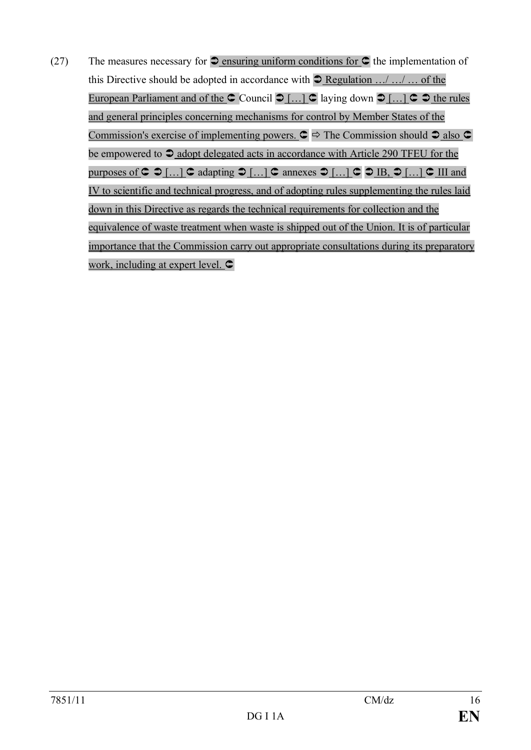(27) The measures necessary for  $\supset$  ensuring uniform conditions for  $\supset$  the implementation of this Directive should be adopted in accordance with  $\supseteq$  Regulation .../ .../ ... of the European Parliament and of the  $\text{C}$  Council  $\text{D}$  [...]  $\text{C}$  laying down  $\text{D}$  [...]  $\text{C}$   $\text{D}$  the rules and general principles concerning mechanisms for control by Member States of the Commission's exercise of implementing powers.  $\mathbf{C} \Rightarrow$  The Commission should  $\mathbf{D}$  also  $\mathbf{C}$ be empowered to  $\triangle$  adopt delegated acts in accordance with Article 290 TFEU for the purposes of  $C \supset \emptyset$   $[...]$   $C$  adapting  $D$   $[...]$   $C$  annexes  $D$   $[...]$   $C \supseteq [B, D]$   $[...]$   $C$  III and IV to scientific and technical progress, and of adopting rules supplementing the rules laid down in this Directive as regards the technical requirements for collection and the equivalence of waste treatment when waste is shipped out of the Union. It is of particular importance that the Commission carry out appropriate consultations during its preparatory work, including at expert level.  $\subset$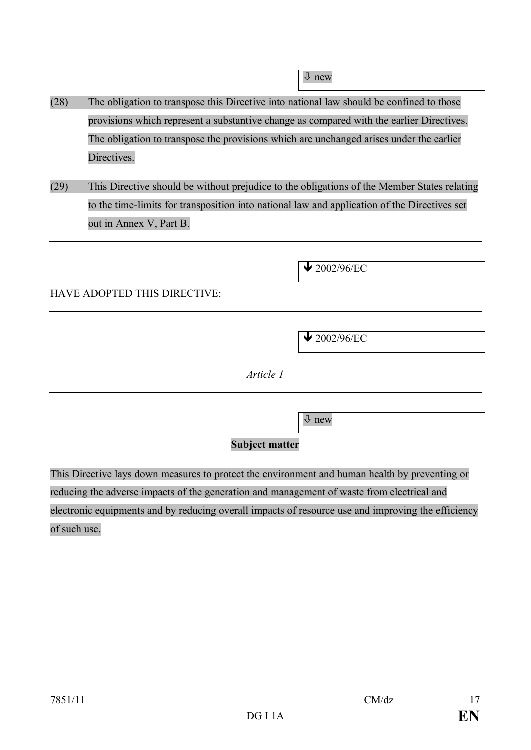$\overline{\psi}$  new

- (28) The obligation to transpose this Directive into national law should be confined to those provisions which represent a substantive change as compared with the earlier Directives. The obligation to transpose the provisions which are unchanged arises under the earlier Directives.
- (29) This Directive should be without prejudice to the obligations of the Member States relating to the time-limits for transposition into national law and application of the Directives set out in Annex V, Part B.

 $\bigvee$  2002/96/EC

## HAVE ADOPTED THIS DIRECTIVE:

 $\bigvee$  2002/96/EC

*Article 1*

 $\overline{\psi}$  new

### **Subject matter**

This Directive lays down measures to protect the environment and human health by preventing or reducing the adverse impacts of the generation and management of waste from electrical and electronic equipments and by reducing overall impacts of resource use and improving the efficiency of such use.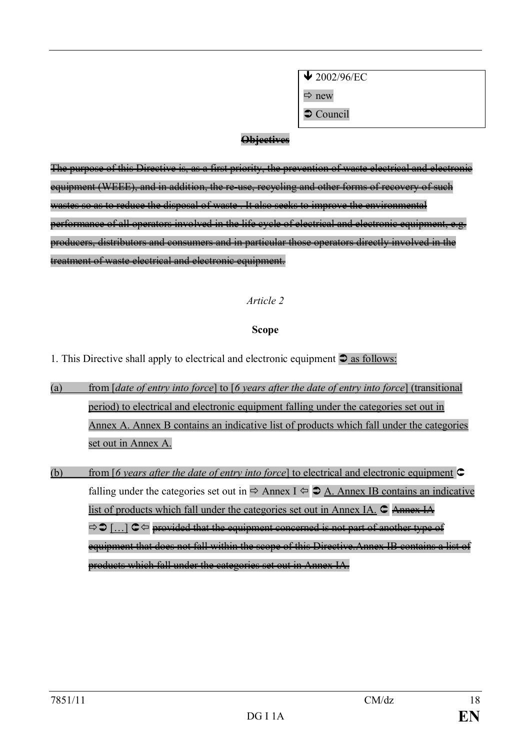$\sqrt{2002/96/EC}$  $\Rightarrow$  new

 $\bullet$  Council

### **Objectives**

The purpose of this Directive is, as a first priority, the prevention of waste electrical and electronic equipment (WEEE), and in addition, the re-use, recycling and other forms of recovery of such wastes so as to reduce the disposal of waste . It also seeks to improve the environmental performance of all operators involved in the life cycle of electrical and electronic equipment, e.g. producers, distributors and consumers and in particular those operators directly involved in the treatment of waste electrical and electronic equipment.

### *Article 2*

### **Scope**

1. This Directive shall apply to electrical and electronic equipment  $\supset$  as follows:

- (a) from [*date of entry into force*] to [*6 years after the date of entry into force*] (transitional period) to electrical and electronic equipment falling under the categories set out in Annex A. Annex B contains an indicative list of products which fall under the categories set out in Annex A.
- (b) from [*6 years after the date of entry into force*] to electrical and electronic equipment  $\mathbb{C}$ falling under the categories set out in  $\Rightarrow$  Annex I  $\Leftrightarrow$   $\triangle$  A. Annex IB contains an indicative list of products which fall under the categories set out in Annex IA.  $\mathsf{C}$  Annex IA.  $\Rightarrow$  [...]  $\subset \Leftrightarrow$  provided that the equipment concerned is not part of another type of equipment that does not fall within the scope of this Directive.Annex IB contains a list of products which fall under the categories set out in Annex IA.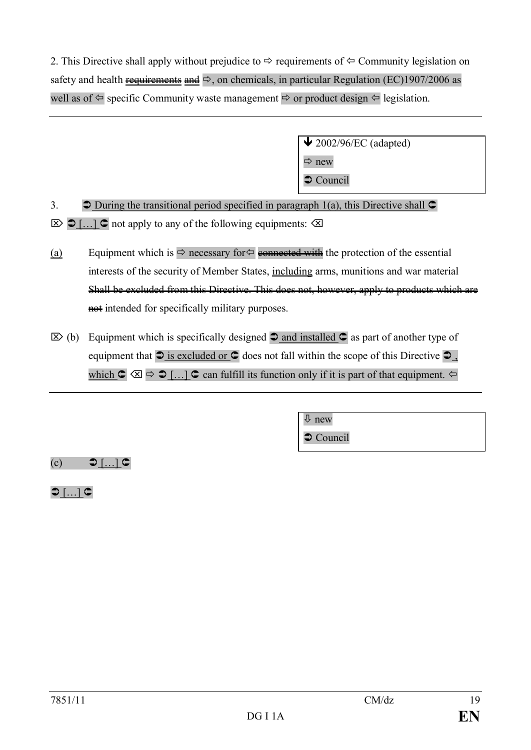2. This Directive shall apply without prejudice to  $\Rightarrow$  requirements of  $\Leftrightarrow$  Community legislation on safety and health requirements and  $\Rightarrow$ , on chemicals, in particular Regulation (EC)1907/2006 as well as of  $\Leftarrow$  specific Community waste management  $\Rightarrow$  or product design  $\Leftarrow$  legislation.

> $\bigvee$  2002/96/EC (adapted)  $\Rightarrow$  new  $\supset$  Council

3.  $\bigcirc$  During the transitional period specified in paragraph 1(a), this Directive shall  $\bigcirc$  $\triangleright$   $\triangleright$   $\triangleright$   $\triangleright$   $\triangleright$   $\triangleright$  not apply to any of the following equipments:  $\triangle$ 

- (a) Equipment which is  $\Rightarrow$  necessary for  $\Leftarrow$  connected with the protection of the essential interests of the security of Member States, including arms, munitions and war material Shall be excluded from this Directive. This does not, however, apply to products which are not intended for specifically military purposes.
- $\boxtimes$  (b) Equipment which is specifically designed  $\supset$  and installed  $\supset$  as part of another type of equipment that  $\supseteq$  is excluded or  $\supseteq$  does not fall within the scope of this Directive  $\supseteq$ which  $\mathbf{C} \otimes \mathbf{C} \Rightarrow$  [...]  $\mathbf{C}$  can fulfill its function only if it is part of that equipment.  $\Leftarrow$

 $\overline{\psi}$  new  $\bullet$  Council

 $(c)$   $\bigcirc$   $\lceil ... \rceil$   $\bigcirc$ 

 $\bigcirc$  [ $\bigcirc$ ]  $\bigcirc$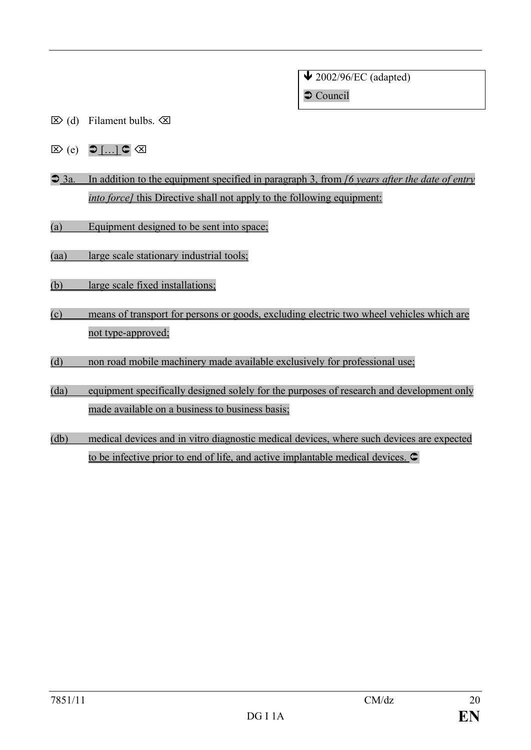$\bigvee$  2002/96/EC (adapted)  $\bullet$  Council

- $\boxtimes$  (d) Filament bulbs.  $\boxtimes$
- $\boxtimes$  (e)  $\bigcirc$  [...]  $\subset$   $\boxtimes$
- Ü 3a. In addition to the equipment specified in paragraph 3, from *[6 years after the date of entry into force]* this Directive shall not apply to the following equipment:
- (a) Equipment designed to be sent into space;
- (aa) large scale stationary industrial tools;
- (b) large scale fixed installations;
- (c) means of transport for persons or goods, excluding electric two wheel vehicles which are not type-approved;
- (d) non road mobile machinery made available exclusively for professional use;
- (da) equipment specifically designed solely for the purposes of research and development only made available on a business to business basis;
- (db) medical devices and in vitro diagnostic medical devices, where such devices are expected to be infective prior to end of life, and active implantable medical devices.  $\bullet$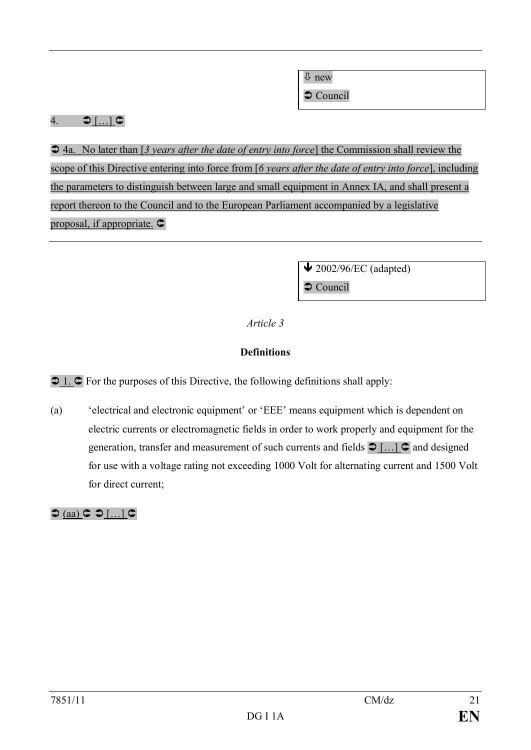$\overline{\psi}$  new

 $\supset$  Council

## 4.  $\bigcirc$   $\left[ \dots \right]$   $\subset$

 $\supset$  4a. No later than [3 years after the date of entry into force] the Commission shall review the scope of this Directive entering into force from [*6 years after the date of entry into force*], including the parameters to distinguish between large and small equipment in Annex IA, and shall present a report thereon to the Council and to the European Parliament accompanied by a legislative proposal, if appropriate.  $\subset$ 

> $\triangle$  2002/96/EC (adapted)  $\supset$  Council

## *Article 3*

## **Definitions**

 $\bigcirc$  1.  $\bigcirc$  For the purposes of this Directive, the following definitions shall apply:

(a) 'electrical and electronic equipment' or 'EEE' means equipment which is dependent on electric currents or electromagnetic fields in order to work properly and equipment for the generation, transfer and measurement of such currents and fields  $\supset \left[ \ldots \right]$  and designed for use with a voltage rating not exceeding 1000 Volt for alternating current and 1500 Volt for direct current;

 $\bigcirc$  (aa)  $\subset \bigcirc$  [...]  $\subset$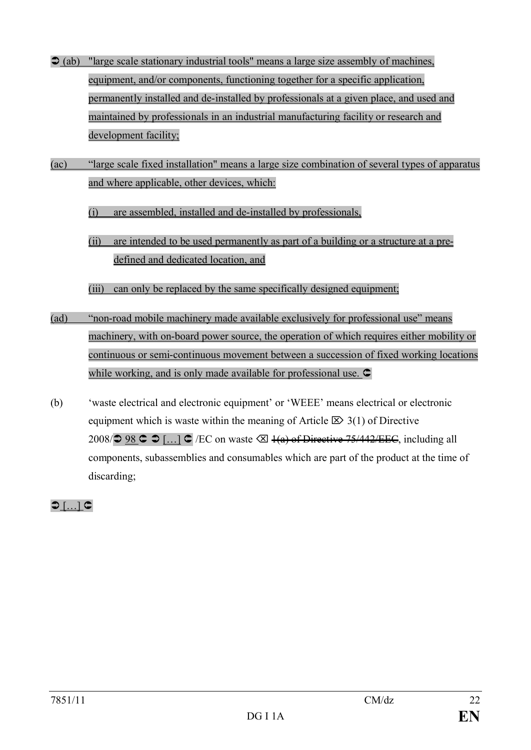- $\triangle$  (ab) "large scale stationary industrial tools" means a large size assembly of machines, equipment, and/or components, functioning together for a specific application, permanently installed and de-installed by professionals at a given place, and used and maintained by professionals in an industrial manufacturing facility or research and development facility;
- (ac) "large scale fixed installation" means a large size combination of several types of apparatus and where applicable, other devices, which:
	- (i) are assembled, installed and de-installed by professionals,
	- (ii) are intended to be used permanently as part of a building or a structure at a predefined and dedicated location, and
	- (iii) can only be replaced by the same specifically designed equipment;
- (ad) "non-road mobile machinery made available exclusively for professional use" means machinery, with on-board power source, the operation of which requires either mobility or continuous or semi-continuous movement between a succession of fixed working locations while working, and is only made available for professional use.  $\subset$
- (b) 'waste electrical and electronic equipment' or 'WEEE' means electrical or electronic equipment which is waste within the meaning of Article  $\boxtimes$  3(1) of Directive 2008/ $\supset$  98  $\supset$  [...]  $\supset$  /EC on waste  $\bigotimes$  4(a) of Directive 75/442/EEC, including all components, subassemblies and consumables which are part of the product at the time of discarding;

 $\bigcirc$  [ $\dots$ ]  $\subset$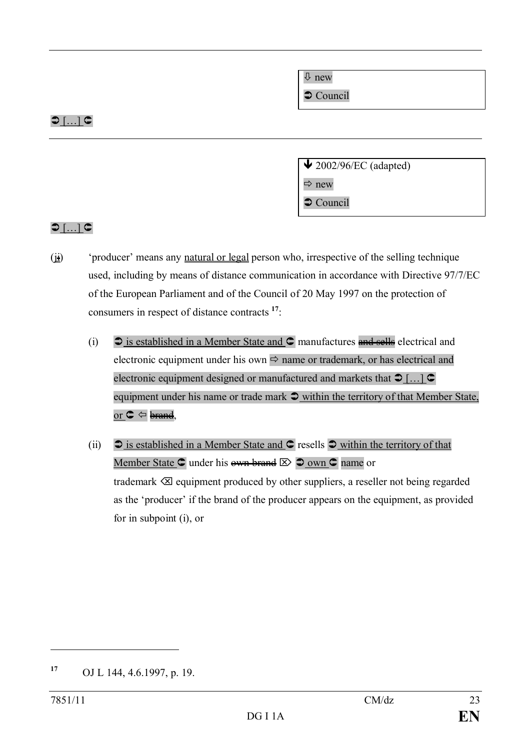$\overline{\psi}$  new

 $\supset$  Council

## $\bigcirc$  [ $\dots$ ]  $\subset$

 $\triangle$  2002/96/EC (adapted)

 $\Rightarrow$  new

 $\supset$  Council

## $\bigcirc$  [...]  $\subset$

- $(i<sub>i</sub>)$  'producer' means any <u>natural or legal</u> person who, irrespective of the selling technique used, including by means of distance communication in accordance with Directive 97/7/EC of the European Parliament and of the Council of 20 May 1997 on the protection of consumers in respect of distance contracts **<sup>17</sup>**:
	- (i)  $\bullet$  is established in a Member State and  $\bullet$  manufactures and sells electrical and electronic equipment under his own  $\Rightarrow$  name or trademark, or has electrical and electronic equipment designed or manufactured and markets that  $\supset [...]$ equipment under his name or trade mark  $\supset$  within the territory of that Member State, or  $C \Leftrightarrow$  brand,
	- (ii)  $\triangleright$  is established in a Member State and  $\triangleright$  resells  $\triangleright$  within the territory of that Member State  $\bigcirc$  under his own brand  $\bigotimes$   $\bigcirc$  own  $\bigcirc$  name or trademark  $\otimes$  equipment produced by other suppliers, a reseller not being regarded as the 'producer' if the brand of the producer appears on the equipment, as provided for in subpoint (i), or

**<sup>17</sup>** OJ L 144, 4.6.1997, p. 19.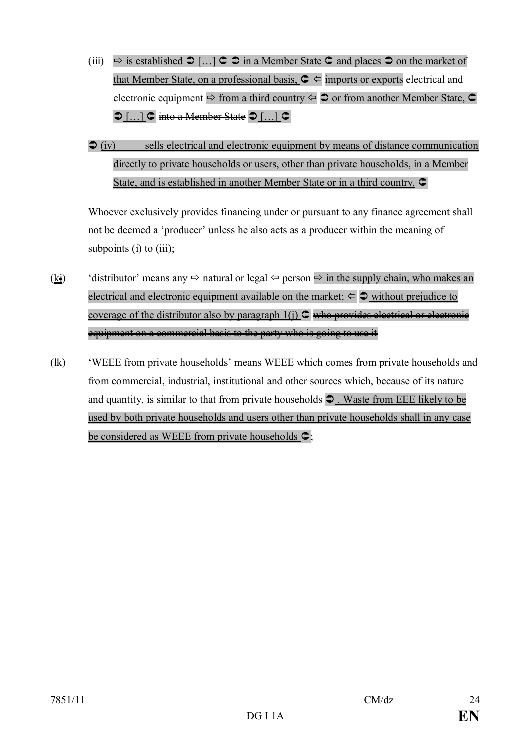- (iii)  $\Rightarrow$  is established  $\Rightarrow$  [...]  $\subseteq$   $\Rightarrow$  in a Member State  $\subseteq$  and places  $\Rightarrow$  on the market of that Member State, on a professional basis,  $\mathbf{C} \Leftrightarrow$  imports or exports electrical and electronic equipment  $\Rightarrow$  from a third country  $\Leftrightarrow$   $\Rightarrow$  or from another Member State,  $\subset$  $\bigcirc$  […]  $\bigcirc$  into a Member State  $\bigcirc$  […]  $\bigcirc$
- $\mathcal{D}$  (iv) sells electrical and electronic equipment by means of distance communication directly to private households or users, other than private households, in a Member State, and is established in another Member State or in a third country.  $\bullet$

Whoever exclusively provides financing under or pursuant to any finance agreement shall not be deemed a 'producer' unless he also acts as a producer within the meaning of subpoints (i) to  $(iii)$ ;

- $(\underline{k})$  'distributor' means any  $\Leftrightarrow$  natural or legal  $\Leftrightarrow$  person  $\Leftrightarrow$  in the supply chain, who makes an electrical and electronic equipment available on the market;  $\Leftarrow$   $\Rightarrow$  without prejudice to coverage of the distributor also by paragraph  $1(i)$   $\subset \cong$  who provides electrical or electronic equipment on a commercial basis to the party who is going to use it
- $(\underline{\mathbf{k}})$  'WEEE from private households' means WEEE which comes from private households and from commercial, industrial, institutional and other sources which, because of its nature and quantity, is similar to that from private households  $\supset$ . Waste from EEE likely to be used by both private households and users other than private households shall in any case be considered as WEEE from private households  $\mathsf{C}$ ;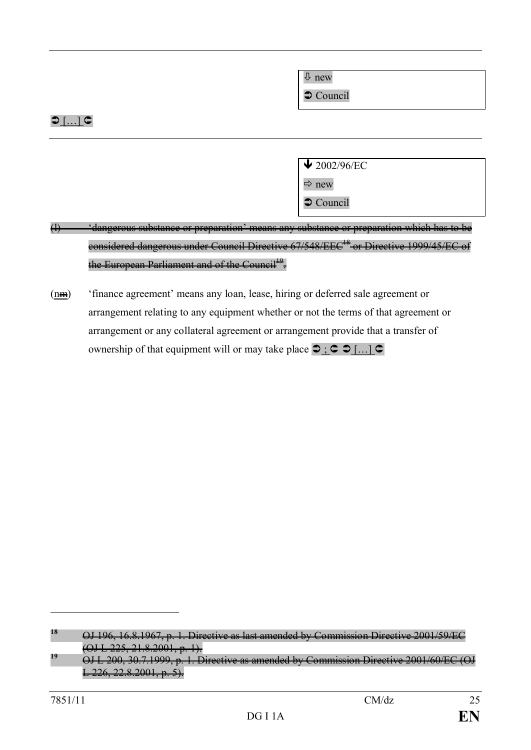ò new

 $\supset$  Council

## $\bigcirc$  [ $\dots$ ]  $\subset$

 $\bigvee$  2002/96/EC

 $\Rightarrow$  new

 $\supset$  Council

- (1)  $\longrightarrow$  'dangerous substance or preparation' means any substance or preparation which has to be considered dangerous under Council Directive 67/548/EEC<sup>18</sup> or Directive 1999/45/EC of the European Parliament and of the Council<sup>19</sup>.
- (nm) 'finance agreement' means any loan, lease, hiring or deferred sale agreement or arrangement relating to any equipment whether or not the terms of that agreement or arrangement or any collateral agreement or arrangement provide that a transfer of ownership of that equipment will or may take place  $\bigcirc$  ;  $\bigcirc$   $\bigcirc$   $\big[$ ...]  $\bigcirc$

**<sup>18</sup>** OJ 196, 16.8.1967, p. 1. Directive as last amended by Commission Directive 2001/59/EC  $(225, 21.8.2001, p. 1).$ 

<sup>&</sup>lt;sup>19</sup> OJ L 200, 30.7.1999, p. 1. Directive as amended by Commission Directive 2001/60/EC (OJ  $L$  226, 22.8.2001, p. 5).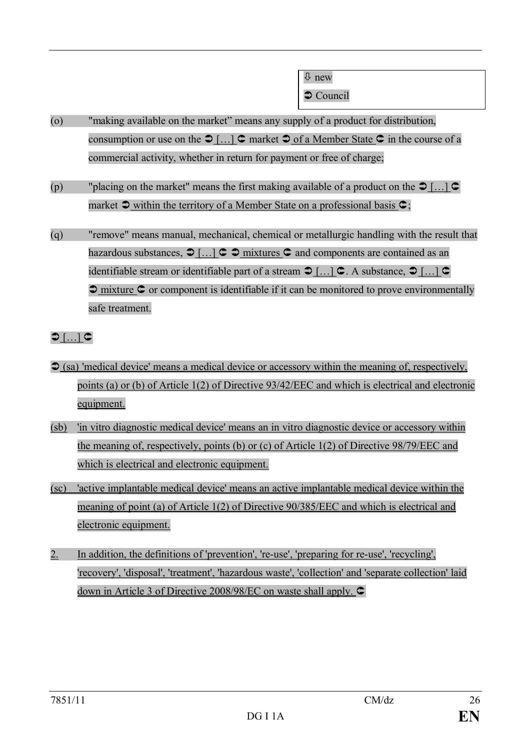$\bullet$  Council

- (o) "making available on the market" means any supply of a product for distribution, consumption or use on the  $\supset [...]$   $\subset$  market  $\supset$  of a Member State  $\subset$  in the course of a commercial activity, whether in return for payment or free of charge;
- (p) "placing on the market" means the first making available of a product on the  $\mathcal{D}$ [...]  $\mathcal{C}$ market  $\triangle$  within the territory of a Member State on a professional basis  $\triangle$ ;
- (q) "remove" means manual, mechanical, chemical or metallurgic handling with the result that hazardous substances,  $\bigcirc$   $\left[ \dots \right]$   $\subset \bigcirc$  mixtures  $\subset$  and components are contained as an identifiable stream or identifiable part of a stream  $\supset [...]$   $\subset$  A substance,  $\supset [...]$   $\subset$  $\supset$  mixture  $\supset$  or component is identifiable if it can be monitored to prove environmentally safe treatment.

```
\bigcirc [\dots] \subset
```
- $\Im$  (sa) 'medical device' means a medical device or accessory within the meaning of, respectively, points (a) or (b) of Article 1(2) of Directive 93/42/EEC and which is electrical and electronic equipment.
- (sb) 'in vitro diagnostic medical device' means an in vitro diagnostic device or accessory within the meaning of, respectively, points (b) or (c) of Article 1(2) of Directive 98/79/EEC and which is electrical and electronic equipment.
- (sc) 'active implantable medical device' means an active implantable medical device within the meaning of point (a) of Article 1(2) of Directive 90/385/EEC and which is electrical and electronic equipment.
- 2. In addition, the definitions of 'prevention', 're-use', 'preparing for re-use', 'recycling', 'recovery', 'disposal', 'treatment', 'hazardous waste', 'collection' and 'separate collection' laid down in Article 3 of Directive 2008/98/EC on waste shall apply.  $\bullet$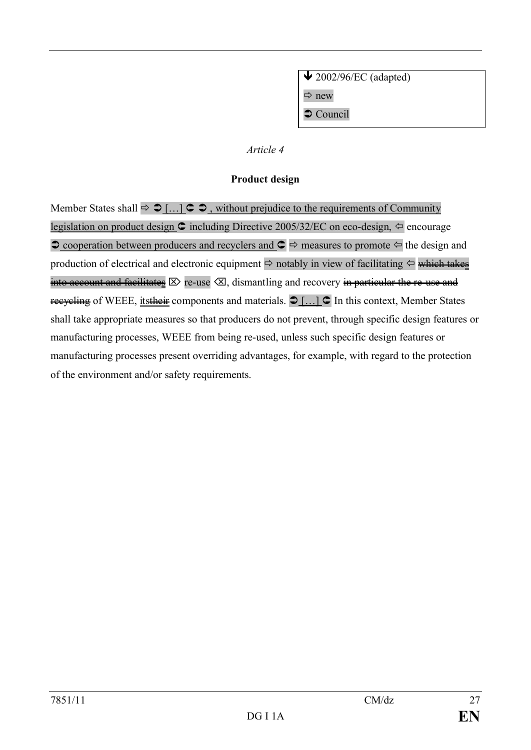$\bigvee$  2002/96/EC (adapted)  $\Rightarrow$  new  $\supset$  Council

### *Article 4*

### **Product design**

Member States shall  $\Rightarrow \Box$   $\Box$   $\Box$   $\Rightarrow$  , without prejudice to the requirements of Community legislation on product design  $\textcircled{c}$  including Directive 2005/32/EC on eco-design,  $\Leftrightarrow$  encourage  $\supset$  cooperation between producers and recyclers and  $\supset \supset$  measures to promote  $\supset \supset$  the design and production of electrical and electronic equipment  $\Rightarrow$  notably in view of facilitating  $\Leftarrow$  which takes into account and facilitates  $\boxtimes$  re-use  $\boxtimes$ , dismantling and recovery in particular the re-use and recycling of WEEE, its their components and materials.  $\bigcirc$  [...]  $\bigcirc$  In this context, Member States shall take appropriate measures so that producers do not prevent, through specific design features or manufacturing processes, WEEE from being re-used, unless such specific design features or manufacturing processes present overriding advantages, for example, with regard to the protection of the environment and/or safety requirements.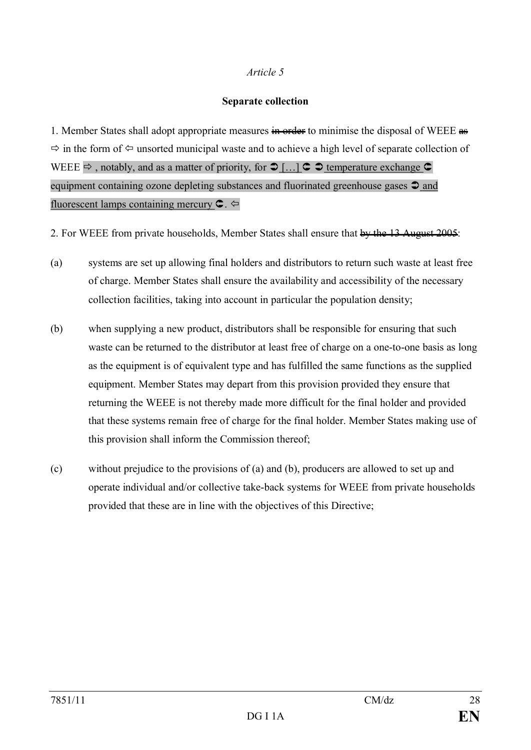### *Article 5*

### **Separate collection**

1. Member States shall adopt appropriate measures  $\frac{1}{2}$  and  $\frac{1}{2}$  minimise the disposal of WEEE  $\frac{1}{2}$  $\Rightarrow$  in the form of  $\Leftarrow$  unsorted municipal waste and to achieve a high level of separate collection of WEEE  $\Rightarrow$ , notably, and as a matter of priority, for  $\bigcirc$  [...]  $\subset \bigcirc$  temperature exchange  $\subset$ equipment containing ozone depleting substances and fluorinated greenhouse gases  $\triangle$  and fluorescent lamps containing mercury  $\mathbf{C}$ .

2. For WEEE from private households, Member States shall ensure that by the 13 August 2005:

- (a) systems are set up allowing final holders and distributors to return such waste at least free of charge. Member States shall ensure the availability and accessibility of the necessary collection facilities, taking into account in particular the population density;
- (b) when supplying a new product, distributors shall be responsible for ensuring that such waste can be returned to the distributor at least free of charge on a one-to-one basis as long as the equipment is of equivalent type and has fulfilled the same functions as the supplied equipment. Member States may depart from this provision provided they ensure that returning the WEEE is not thereby made more difficult for the final holder and provided that these systems remain free of charge for the final holder. Member States making use of this provision shall inform the Commission thereof;
- (c) without prejudice to the provisions of (a) and (b), producers are allowed to set up and operate individual and/or collective take-back systems for WEEE from private households provided that these are in line with the objectives of this Directive;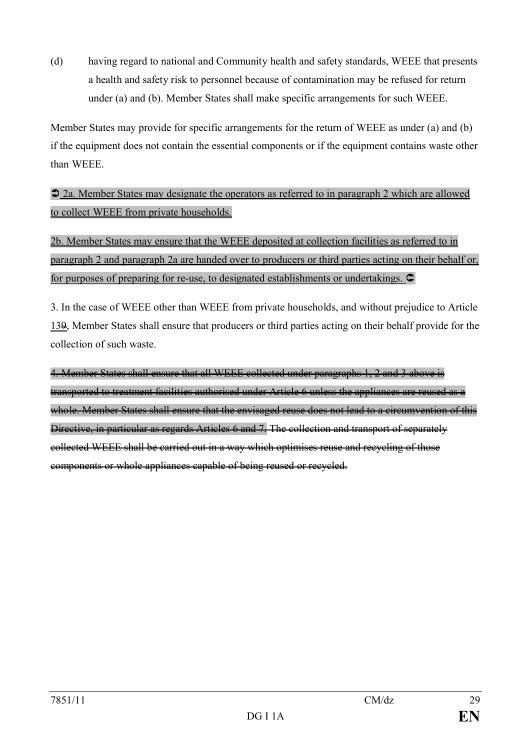(d) having regard to national and Community health and safety standards, WEEE that presents a health and safety risk to personnel because of contamination may be refused for return under (a) and (b). Member States shall make specific arrangements for such WEEE.

Member States may provide for specific arrangements for the return of WEEE as under (a) and (b) if the equipment does not contain the essential components or if the equipment contains waste other than WEEE.

Ü 2a. Member States may designate the operators as referred to in paragraph 2 which are allowed to collect WEEE from private households.

2b. Member States may ensure that the WEEE deposited at collection facilities as referred to in paragraph 2 and paragraph 2a are handed over to producers or third parties acting on their behalf or, for purposes of preparing for re-use, to designated establishments or undertakings.  $\subset$ 

3. In the case of WEEE other than WEEE from private households, and without prejudice to Article 139, Member States shall ensure that producers or third parties acting on their behalf provide for the collection of such waste.

4. Member States shall ensure that all WEEE collected under paragraphs 1, 2 and 3 above is transported to treatment facilities authorised under Article 6 unless the appliances are reused as a whole. Member States shall ensure that the envisaged reuse does not lead to a circumvention of this Directive, in particular as regards Articles 6 and 7. The collection and transport of separately collected WEEE shall be carried out in a way which optimises reuse and recycling of those components or whole appliances capable of being reused or recycled.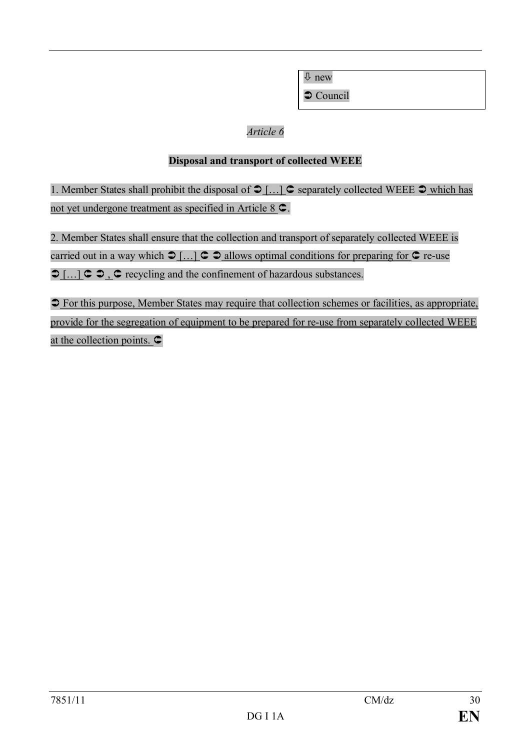ò new

 $\bullet$  Council

## *Article 6*

### **Disposal and transport of collected WEEE**

1. Member States shall prohibit the disposal of  $\mathfrak{I}$  ...  $\mathfrak{I}$  separately collected WEEE  $\mathfrak{I}$  which has not yet undergone treatment as specified in Article  $8 \, \textdegree$ .

2. Member States shall ensure that the collection and transport of separately collected WEEE is carried out in a way which  $\supset [...] \subset \supset \sup$  allows optimal conditions for preparing for  $\supset \sup$  re-use  $\bigcirc$  [...]  $\subset \bigcirc$ ,  $\subset \bigcirc$  recycling and the confinement of hazardous substances.

 $\supset$  For this purpose, Member States may require that collection schemes or facilities, as appropriate, provide for the segregation of equipment to be prepared for re-use from separately collected WEEE at the collection points.  $\subset$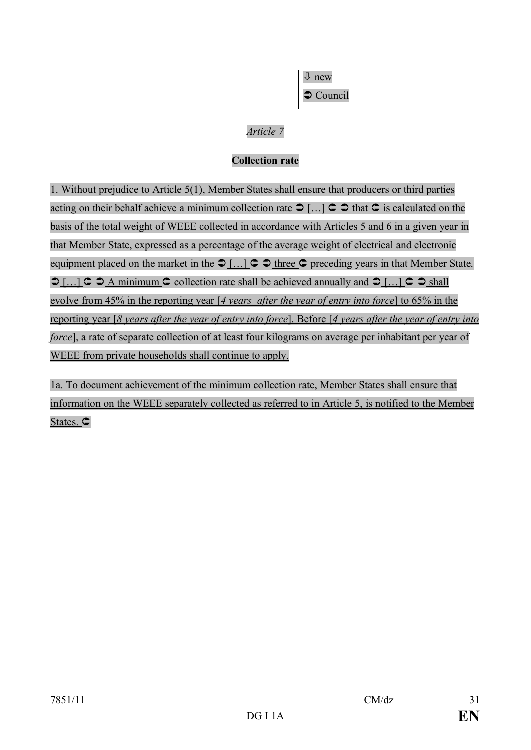$\overline{\psi}$  new

 $\supset$  Council

### *Article 7*

## **Collection rate**

1. Without prejudice to Article 5(1), Member States shall ensure that producers or third parties acting on their behalf achieve a minimum collection rate  $\mathcal{D}$   $\left[ \ldots \right]$   $\subset \mathcal{D}$  that  $\subset \mathcal{D}$  is calculated on the basis of the total weight of WEEE collected in accordance with Articles 5 and 6 in a given year in that Member State, expressed as a percentage of the average weight of electrical and electronic equipment placed on the market in the  $\mathcal{D}[...] \subset \mathcal{D}$  three  $\subset \mathcal{D}$  preceding years in that Member State.  $\bigcirc$  [...]  $\subset \bigcirc$  A minimum  $\subset$  collection rate shall be achieved annually and  $\bigcirc$  [...]  $\subset \bigcirc$  shall evolve from 45% in the reporting year [*4 years after the year of entry into force*] to 65% in the reporting year [*8 years after the year of entry into force*]. Before [*4 years after the year of entry into force*], a rate of separate collection of at least four kilograms on average per inhabitant per year of WEEE from private households shall continue to apply.

1a. To document achievement of the minimum collection rate, Member States shall ensure that information on the WEEE separately collected as referred to in Article 5, is notified to the Member States.  $\subset$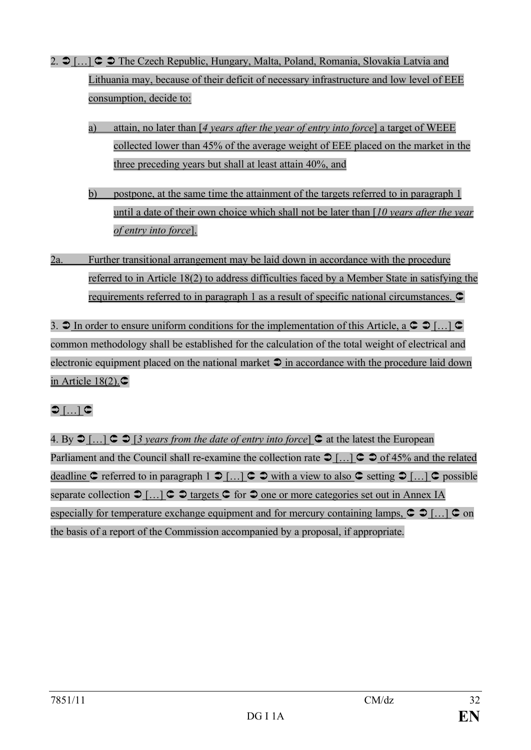- 2.  $\supset$  [...]  $\supset \supset$  The Czech Republic, Hungary, Malta, Poland, Romania, Slovakia Latvia and Lithuania may, because of their deficit of necessary infrastructure and low level of EEE consumption, decide to:
	- a) attain, no later than [*4 years after the year of entry into force*] a target of WEEE collected lower than 45% of the average weight of EEE placed on the market in the three preceding years but shall at least attain 40%, and
	- b) postpone, at the same time the attainment of the targets referred to in paragraph 1 until a date of their own choice which shall not be later than [*10 years after the year of entry into force*].
- 2a. Further transitional arrangement may be laid down in accordance with the procedure referred to in Article 18(2) to address difficulties faced by a Member State in satisfying the requirements referred to in paragraph 1 as a result of specific national circumstances.  $\bullet$

3.  $\supset$  In order to ensure uniform conditions for the implementation of this Article, a  $\supset \supset$  [...]  $\supset$ common methodology shall be established for the calculation of the total weight of electrical and electronic equipment placed on the national market  $\supset \mathbf{in}$  accordance with the procedure laid down in Article  $18(2)$ . $\bigcirc$ 

# $\mathsf{D}\left[ ...\right]$  C

4. By  $\bigcirc$   $\left[ \dots \right]$   $\subset \bigcirc$   $\left[ \frac{3 \text{ years from the date of entry into force} \right]$   $\subset \bigcirc$  at the latest the European Parliament and the Council shall re-examine the collection rate  $\supset$  [...]  $\supset \supset$  of 45% and the related deadline  $\mathsf C$  referred to in paragraph 1  $\mathsf D$  [...]  $\mathsf C$   $\mathsf D$  with a view to also  $\mathsf C$  setting  $\mathsf D$  [...]  $\mathsf C$  possible separate collection  $\bigcirc$   $\left[ \dots \right]$   $\subset$   $\bigcirc$  targets  $\subset$  for  $\bigcirc$  one or more categories set out in Annex IA especially for temperature exchange equipment and for mercury containing lamps,  $\circ$   $\circ$   $\ldots$   $\circ$  on the basis of a report of the Commission accompanied by a proposal, if appropriate.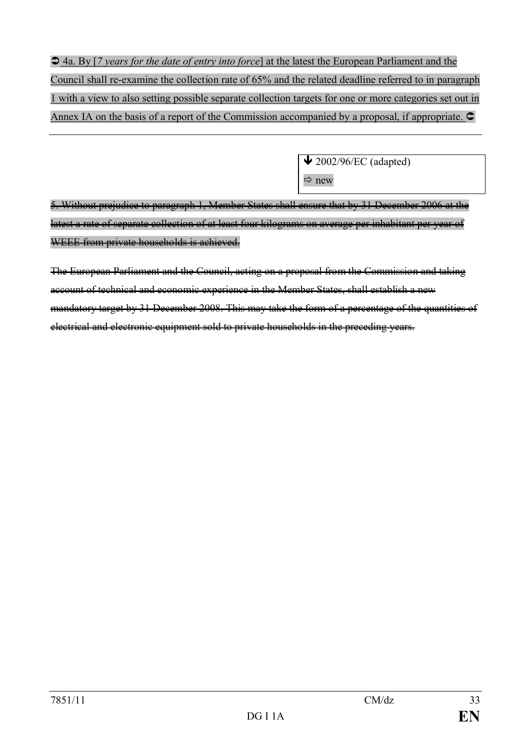Ü 4a. By [*7 years for the date of entry into force*] at the latest the European Parliament and the Council shall re-examine the collection rate of 65% and the related deadline referred to in paragraph 1 with a view to also setting possible separate collection targets for one or more categories set out in Annex IA on the basis of a report of the Commission accompanied by a proposal, if appropriate.  $\bullet$ 

> $\bigvee$  2002/96/EC (adapted)  $\Rightarrow$  new

5. Without prejudice to paragraph 1, Member States shall ensure that by 31 December 2006 at the latest a rate of separate collection of at least four kilograms on average per inhabitant per year of WEEE from private households is achieved.

The European Parliament and the Council, acting on a proposal from the Commission and taking account of technical and economic experience in the Member States, shall establish a new mandatory target by 31 December 2008. This may take the form of a percentage of the quantities of electrical and electronic equipment sold to private households in the preceding years.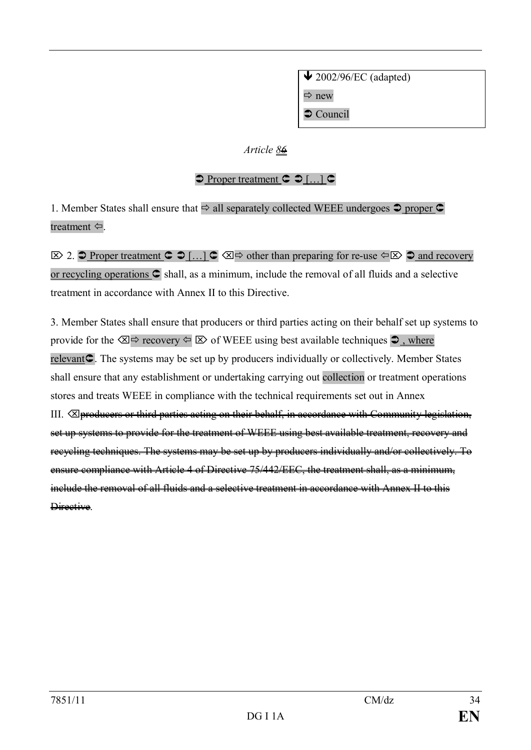$\bigvee$  2002/96/EC (adapted)  $\Rightarrow$  new  $\bullet$  Council

### *Article 86*

### $\supset$  Proper treatment  $\supset \bigcap$  [...]  $\supset$

1. Member States shall ensure that  $\Rightarrow$  all separately collected WEEE undergoes  $\bullet$  proper  $\bullet$ treatment  $\Leftrightarrow$ .

 $\boxtimes$  2.  $\supset$  Proper treatment  $\supset \bigcup_{i=1}^{\infty} \bigotimes$   $\supset \bigotimes$  other than preparing for re-use  $\supset \bigotimes$   $\supset \bigtriangleup$  and recovery or recycling operations  $\bigcirc$  shall, as a minimum, include the removal of all fluids and a selective treatment in accordance with Annex II to this Directive.

3. Member States shall ensure that producers or third parties acting on their behalf set up systems to provide for the  $\otimes \Rightarrow$  recovery  $\Leftrightarrow \triangleright$  of WEEE using best available techniques  $\triangle$ , where relevant<sup>C</sup>. The systems may be set up by producers individually or collectively. Member States shall ensure that any establishment or undertaking carrying out collection or treatment operations stores and treats WEEE in compliance with the technical requirements set out in Annex III.  $\boxtimes$  producers or third parties acting on their behalf, in accordance with Community legislation, set up systems to provide for the treatment of WEEE using best available treatment, recovery and recycling techniques. The systems may be set up by producers individually and/or collectively. To ensure compliance with Article 4 of Directive 75/442/EEC, the treatment shall, as a minimum, include the removal of all fluids and a selective treatment in accordance with Annex II to this Directive.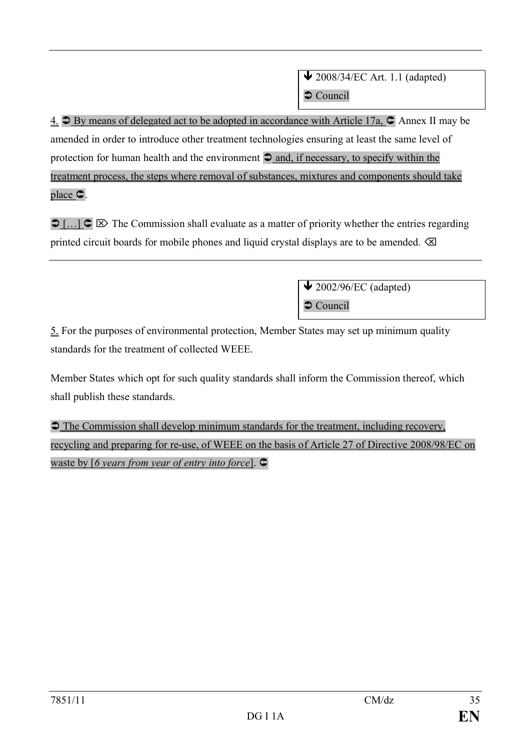4.  $\supseteq$  By means of delegated act to be adopted in accordance with Article 17a,  $\supseteq$  Annex II may be amended in order to introduce other treatment technologies ensuring at least the same level of protection for human health and the environment  $\supset$  and, if necessary, to specify within the treatment process, the steps where removal of substances, mixtures and components should take place Û.

 $\bigcirc$  [...]  $\bigcirc \bigotimes$  The Commission shall evaluate as a matter of priority whether the entries regarding printed circuit boards for mobile phones and liquid crystal displays are to be amended.  $\otimes$ 

> $\bigvee$  2002/96/EC (adapted)  $\bullet$  Council

5. For the purposes of environmental protection, Member States may set up minimum quality standards for the treatment of collected WEEE.

Member States which opt for such quality standards shall inform the Commission thereof, which shall publish these standards.

 $\supset$  The Commission shall develop minimum standards for the treatment, including recovery, recycling and preparing for re-use, of WEEE on the basis of Article 27 of Directive 2008/98/EC on waste by [6 years from year of entry into force].  $\bullet$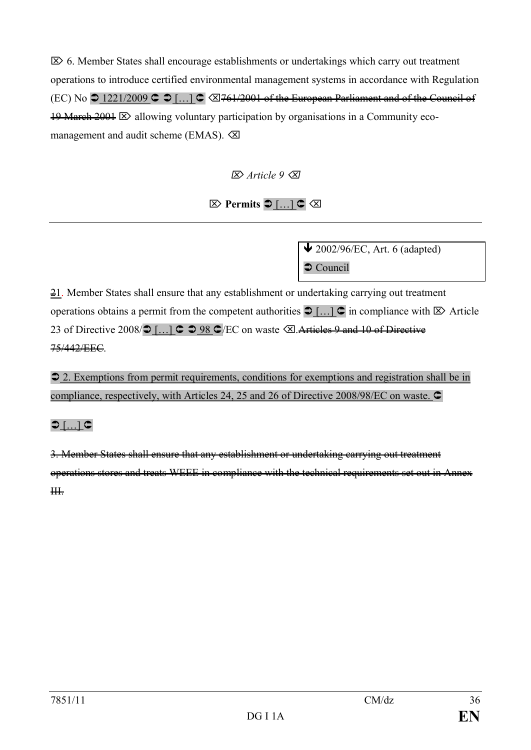$\mathbb{Z}$  6. Member States shall encourage establishments or undertakings which carry out treatment operations to introduce certified environmental management systems in accordance with Regulation (EC) No  $\supset$  1221/2009  $\supset$  [...]  $\supset \supset$  3761/2001 of the European Parliament and of the Council of  $19$  March  $2001 \boxtimes$  allowing voluntary participation by organisations in a Community ecomanagement and audit scheme (EMAS).  $\oslash$ 

Ö *Article 9* Õ

 $\boxtimes$  Permits  $\bigcirc$  [...]  $\subset \boxtimes$ 

 $\bigvee$  2002/96/EC, Art. 6 (adapted)  $\bullet$  Council

 $\frac{21}{2}$ . Member States shall ensure that any establishment or undertaking carrying out treatment operations obtains a permit from the competent authorities  $\bigcirc$  [...]  $\bigcirc$  in compliance with  $\bigotimes$  Article 23 of Directive 2008/ $\bigcirc$  [...]  $\bigcirc$   $\bigcirc$  98  $\bigcirc$ /EC on waste  $\bigcirc$ . Articles 9 and 10 of Directive 75/442/EEC.

**2.** Exemptions from permit requirements, conditions for exemptions and registration shall be in compliance, respectively, with Articles 24, 25 and 26 of Directive 2008/98/EC on waste.  $\subset$ 

# $\bigcirc$  [ $\dots$ ]  $\subset$

3. Member States shall ensure that any establishment or undertaking carrying out treatment operations stores and treats WEEE in compliance with the technical requirements set out in Annex  $#$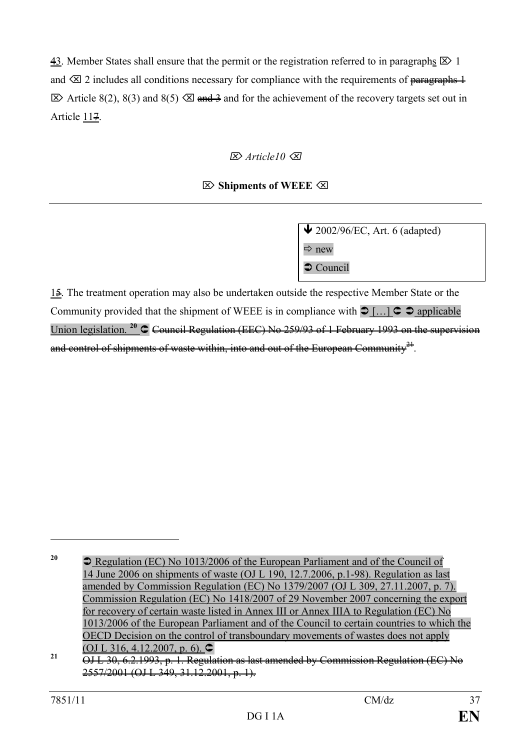43. Member States shall ensure that the permit or the registration referred to in paragraphs  $\boxtimes$  1 and  $\otimes$  2 includes all conditions necessary for compliance with the requirements of paragraphs 1  $\boxtimes$  Article 8(2), 8(3) and 8(5)  $\boxtimes$  and  $\cong$  and for the achievement of the recovery targets set out in Article 117.

# Ö *Article10* Õ

## Ö **Shipments of WEEE** Õ

 $\bigvee$  2002/96/EC, Art. 6 (adapted)  $\Rightarrow$  new  $\bullet$  Council

 $1\frac{2}{3}$ . The treatment operation may also be undertaken outside the respective Member State or the Community provided that the shipment of WEEE is in compliance with  $\supset [...] \subset \supset$  applicable Union legislation.<sup>20</sup> C Council Regulation (EEC) No 259/93 of 1 February 1993 on the supervision and control of shipments of waste within, into and out of the European Community $^{\frac{21}{21}}$ .

<sup>&</sup>lt;sup>20</sup> Degulation (EC) No 1013/2006 of the European Parliament and of the Council of 14 June 2006 on shipments of waste (OJ L 190, 12.7.2006, p.1-98). Regulation as last amended by Commission Regulation (EC) No 1379/2007 (OJ L 309, 27.11.2007, p. 7). Commission Regulation (EC) No 1418/2007 of 29 November 2007 concerning the export for recovery of certain waste listed in Annex III or Annex IIIA to Regulation (EC) No 1013/2006 of the European Parliament and of the Council to certain countries to which the OECD Decision on the control of transboundary movements of wastes does not apply (OJ L 316, 4.12.2007, p. 6).  $\bullet$ 

**<sup>21</sup>** OJ L 30, 6.2.1993, p. 1. Regulation as last amended by Commission Regulation (EC) No 2557/2001 (OJ L 349, 31.12.2001, p. 1).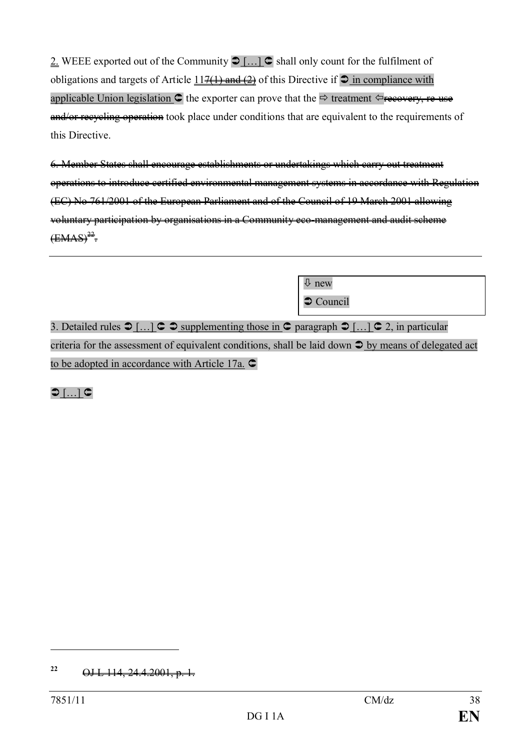2. WEEE exported out of the Community  $\bigcirc$  [...]  $\bigcirc$  shall only count for the fulfilment of obligations and targets of Article  $11\frac{7(1)}{11\frac{10}{2}}$  of this Directive if  $\circ$  in compliance with applicable Union legislation  $\circ$  the exporter can prove that the  $\Rightarrow$  treatment  $\circ$  recovery, re-use and/or recycling operation took place under conditions that are equivalent to the requirements of this Directive.

6. Member States shall encourage establishments or undertakings which carry out treatment operations to introduce certified environmental management systems in accordance with Regulation (EC) No 761/2001 of the European Parliament and of the Council of 19 March 2001 allowing voluntary participation by organisations in a Community eco-management and audit scheme  $\overline{\text{(EMAS)}^{22}}$ .

3. Detailed rules  $\bigcirc$  [...]  $\bigcirc$   $\bigcirc$  supplementing those in  $\bigcirc$  paragraph  $\bigcirc$  [...]  $\bigcirc$  2, in particular criteria for the assessment of equivalent conditions, shall be laid down  $\supseteq$  by means of delegated act to be adopted in accordance with Article 17a.  $\subset$ 

ò new

 $\bullet$  Council

 $\bigcirc$  [ $\dots$ ]  $\subset$ 

**<sup>22</sup>** OJ L 114, 24.4.2001, p. 1.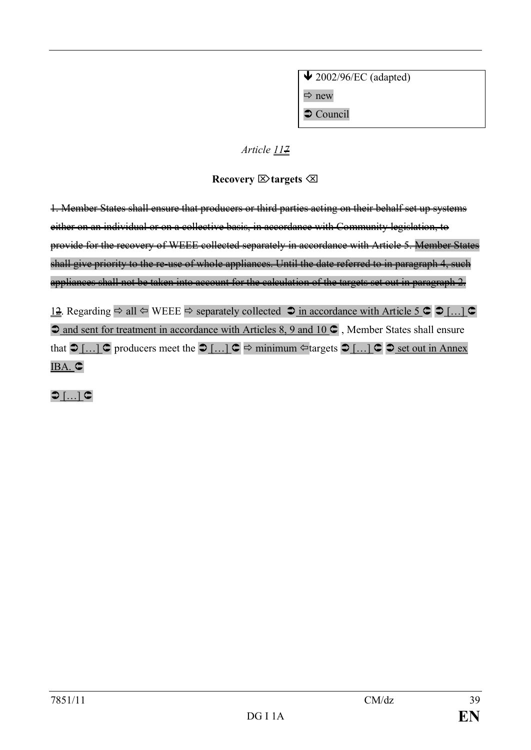$\bigvee$  2002/96/EC (adapted)  $\Rightarrow$  new  $\supset$  Council

### *Article 117*

## **Recovery** Ö**targets** Õ

1. Member States shall ensure that producers or third parties acting on their behalf set up systems either on an individual or on a collective basis, in accordance with Community legislation, to provide for the recovery of WEEE collected separately in accordance with Article 5. Member States shall give priority to the re-use of whole appliances. Until the date referred to in paragraph 4, such appliances shall not be taken into account for the calculation of the targets set out in paragraph 2.

12. Regarding  $\Rightarrow$  all  $\Leftrightarrow$  WEEE  $\Rightarrow$  separately collected  $\Rightarrow$  in accordance with Article 5  $\circ$   $\circ$   $\circ$   $\ldots$   $\circ$  $\supset$  and sent for treatment in accordance with Articles 8, 9 and 10  $\supset$ , Member States shall ensure that  $\bigcirc$  […]  $\bigcirc$  producers meet the  $\bigcirc$  […]  $\bigcirc$   $\Rightarrow$  minimum  $\triangle$  targets  $\bigcirc$  […]  $\bigcirc$   $\bigcirc$  set out in Annex IBA. C

 $\bigcirc$  [ $\dots$ ]  $\subset$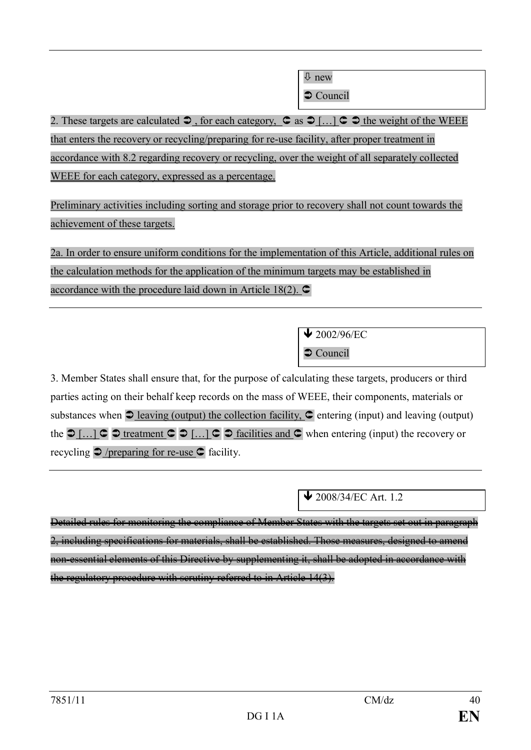$\overline{\psi}$  new

 $\supset$  Council

2. These targets are calculated Ü , for each category, Û as Ü […] Û Ü the weight of the WEEE that enters the recovery or recycling/preparing for re-use facility, after proper treatment in accordance with 8.2 regarding recovery or recycling, over the weight of all separately collected WEEE for each category, expressed as a percentage.

Preliminary activities including sorting and storage prior to recovery shall not count towards the achievement of these targets.

2a. In order to ensure uniform conditions for the implementation of this Article, additional rules on the calculation methods for the application of the minimum targets may be established in accordance with the procedure laid down in Article 18(2).  $\bullet$ 

> $\blacktriangleright$  2002/96/EC  $\supset$  Council

3. Member States shall ensure that, for the purpose of calculating these targets, producers or third parties acting on their behalf keep records on the mass of WEEE, their components, materials or substances when  $\supseteq$  <u>leaving (output)</u> the collection facility,  $\supseteq$  entering (input) and leaving (output) the  $\supset$  [...]  $\supset \supset$  treatment  $\supset \supset$  [...]  $\supset \supset$  facilities and  $\supset$  when entering (input) the recovery or recycling  $\bigcirc$  /preparing for re-use  $\bigcirc$  facility.

 $\bigvee$  2008/34/EC Art. 1.2

Detailed rules for monitoring the compliance of Member States with the targets set out in paragraph 2, including specifications for materials, shall be established. Those measures, designed to amend non-essential elements of this Directive by supplementing it, shall be adopted in accordance with the regulatory procedure with scrutiny referred to in Article 14(3).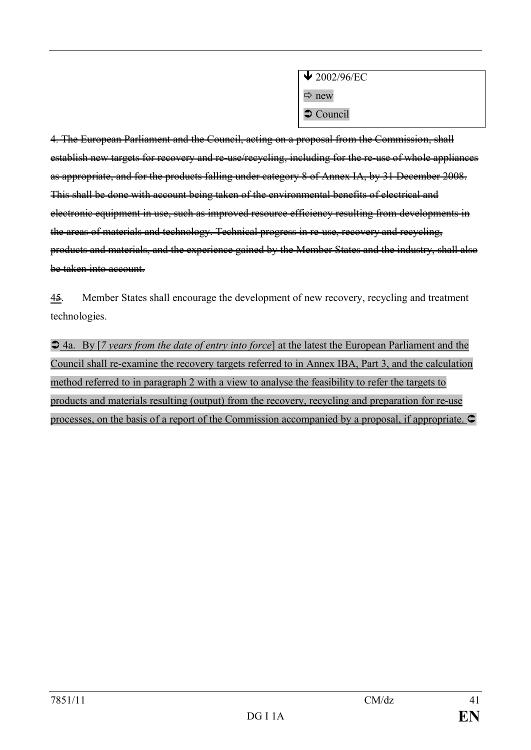| $\blacktriangleright$ 2002/96/EC |
|----------------------------------|
| $\Rightarrow$ new                |
| Council                          |

4. The European Parliament and the Council, acting on a proposal from the Commission, shall establish new targets for recovery and re-use/recycling, including for the re-use of whole appliances as appropriate, and for the products falling under category 8 of Annex IA, by 31 December 2008. This shall be done with account being taken of the environmental benefits of electrical and electronic equipment in use, such as improved resource efficiency resulting from developments in the areas of materials and technology. Technical progress in re-use, recovery and recycling, products and materials, and the experience gained by the Member States and the industry, shall also be taken into account.

45. Member States shall encourage the development of new recovery, recycling and treatment technologies.

 $\triangle$  4a. By [*7 years from the date of entry into force*] at the latest the European Parliament and the Council shall re-examine the recovery targets referred to in Annex IBA, Part 3, and the calculation method referred to in paragraph 2 with a view to analyse the feasibility to refer the targets to products and materials resulting (output) from the recovery, recycling and preparation for re-use processes, on the basis of a report of the Commission accompanied by a proposal, if appropriate.  $\subset$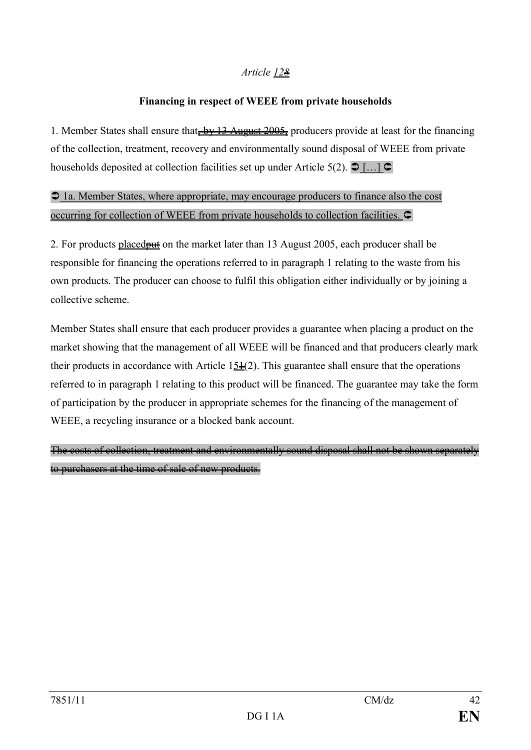### *Article 128*

### **Financing in respect of WEEE from private households**

1. Member States shall ensure that<del>, by 13 August 2005,</del> producers provide at least for the financing of the collection, treatment, recovery and environmentally sound disposal of WEEE from private households deposited at collection facilities set up under Article 5(2).  $\bullet$  [...]  $\bullet$ 

 $\supset$  1a. Member States, where appropriate, may encourage producers to finance also the cost occurring for collection of WEEE from private households to collection facilities.  $\mathsf{\mathsf{C}}$ 

2. For products placed **put** on the market later than 13 August 2005, each producer shall be responsible for financing the operations referred to in paragraph 1 relating to the waste from his own products. The producer can choose to fulfil this obligation either individually or by joining a collective scheme.

Member States shall ensure that each producer provides a guarantee when placing a product on the market showing that the management of all WEEE will be financed and that producers clearly mark their products in accordance with Article  $15\frac{1}{2}(2)$ . This guarantee shall ensure that the operations referred to in paragraph 1 relating to this product will be financed. The guarantee may take the form of participation by the producer in appropriate schemes for the financing of the management of WEEE, a recycling insurance or a blocked bank account.

The costs of collection, treatment and environmentally sound disposal shall not be shown separately to purchasers at the time of sale of new products.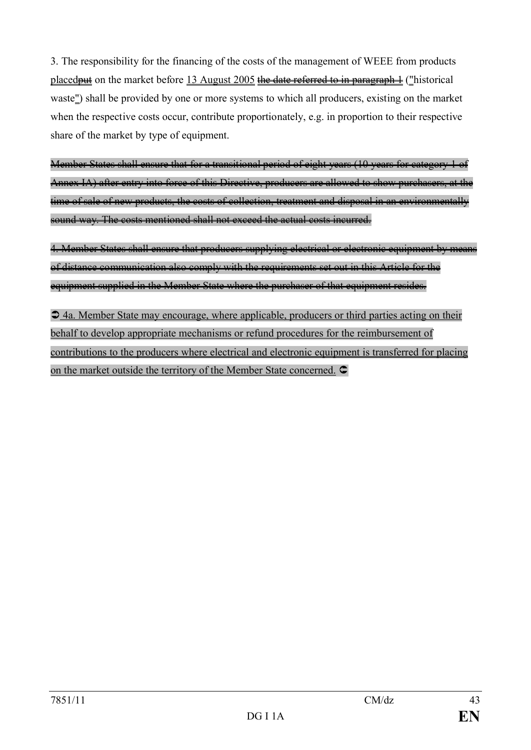3. The responsibility for the financing of the costs of the management of WEEE from products placed<del>put</del> on the market before 13 August 2005 the date referred to in paragraph  $\pm$  ("historical waste") shall be provided by one or more systems to which all producers, existing on the market when the respective costs occur, contribute proportionately, e.g. in proportion to their respective share of the market by type of equipment.

Member States shall ensure that for a transitional period of eight years (10 years for category 1 of Annex IA) after entry into force of this Directive, producers are allowed to show purchasers, at the time of sale of new products, the costs of collection, treatment and disposal in an environmentally sound way. The costs mentioned shall not exceed the actual costs incurred.

4. Member States shall ensure that producers supplying electrical or electronic equipment by means of distance communication also comply with the requirements set out in this Article for the equipment supplied in the Member State where the purchaser of that equipment resides.

 $\supset$  4a. Member State may encourage, where applicable, producers or third parties acting on their behalf to develop appropriate mechanisms or refund procedures for the reimbursement of contributions to the producers where electrical and electronic equipment is transferred for placing on the market outside the territory of the Member State concerned.  $\bullet$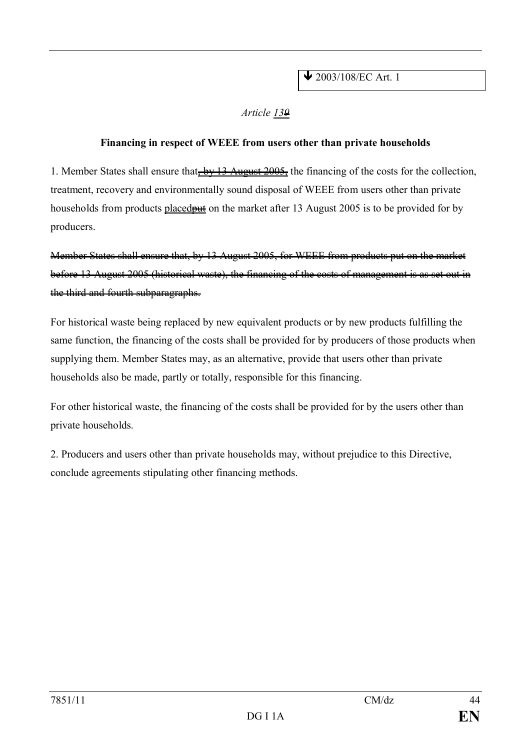### *Article 139*

### **Financing in respect of WEEE from users other than private households**

1. Member States shall ensure that, by 13 August 2005, the financing of the costs for the collection, treatment, recovery and environmentally sound disposal of WEEE from users other than private households from products placed **put** on the market after 13 August 2005 is to be provided for by producers.

Member States shall ensure that, by 13 August 2005, for WEEE from products put on the market before 13 August 2005 (historical waste), the financing of the costs of management is as set out in the third and fourth subparagraphs.

For historical waste being replaced by new equivalent products or by new products fulfilling the same function, the financing of the costs shall be provided for by producers of those products when supplying them. Member States may, as an alternative, provide that users other than private households also be made, partly or totally, responsible for this financing.

For other historical waste, the financing of the costs shall be provided for by the users other than private households.

2. Producers and users other than private households may, without prejudice to this Directive, conclude agreements stipulating other financing methods.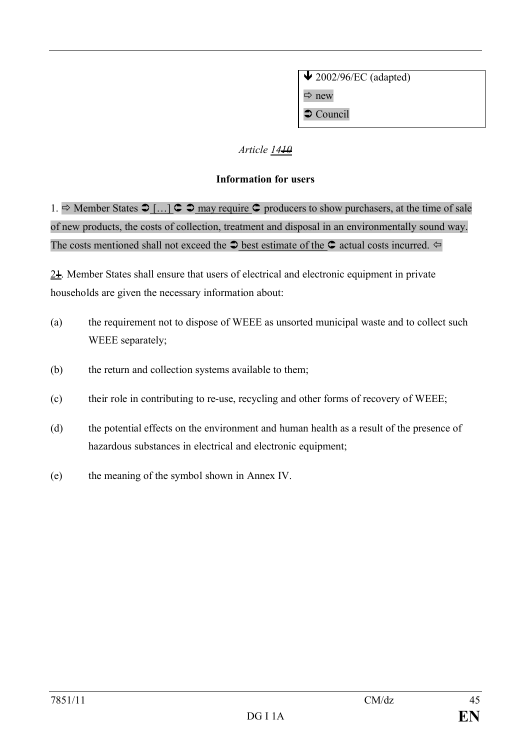$\bigvee$  2002/96/EC (adapted)  $\Rightarrow$  new  $\supset$  Council

## *Article 1410*

### **Information for users**

1.  $\Rightarrow$  Member States  $\bigcirc$  [...]  $\subset \bigcirc$  may require  $\subset \bigcirc$  producers to show purchasers, at the time of sale of new products, the costs of collection, treatment and disposal in an environmentally sound way. The costs mentioned shall not exceed the  $\bullet$  best estimate of the  $\bullet$  actual costs incurred.  $\Leftrightarrow$ 

 $2\pm$ . Member States shall ensure that users of electrical and electronic equipment in private households are given the necessary information about:

- (a) the requirement not to dispose of WEEE as unsorted municipal waste and to collect such WEEE separately;
- (b) the return and collection systems available to them;
- (c) their role in contributing to re-use, recycling and other forms of recovery of WEEE;
- (d) the potential effects on the environment and human health as a result of the presence of hazardous substances in electrical and electronic equipment;
- (e) the meaning of the symbol shown in Annex IV.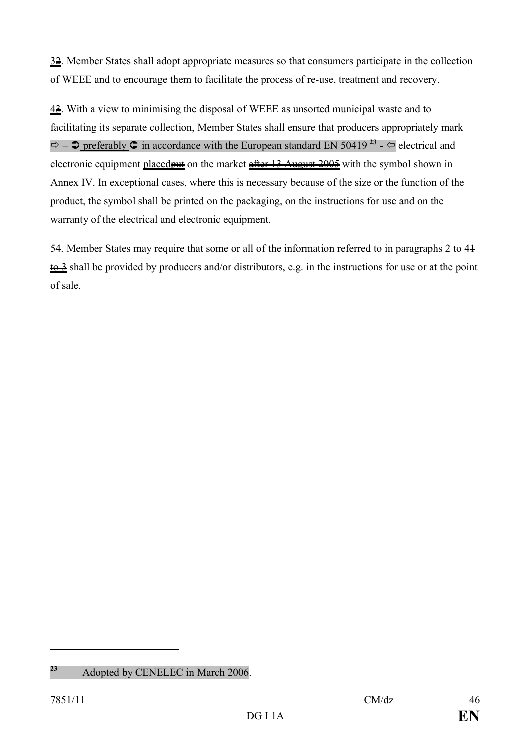$3\frac{2}{3}$ . Member States shall adopt appropriate measures so that consumers participate in the collection of WEEE and to encourage them to facilitate the process of re-use, treatment and recovery.

43. With a view to minimising the disposal of WEEE as unsorted municipal waste and to facilitating its separate collection, Member States shall ensure that producers appropriately mark  $\Rightarrow$   $\Rightarrow$  preferably  $\Diamond$  in accordance with the European standard EN 50419<sup>23</sup> -  $\Leftarrow$  electrical and electronic equipment placed **put** on the market after 13 August 2005 with the symbol shown in Annex IV. In exceptional cases, where this is necessary because of the size or the function of the product, the symbol shall be printed on the packaging, on the instructions for use and on the warranty of the electrical and electronic equipment.

54. Member States may require that some or all of the information referred to in paragraphs  $2$  to  $4\pm$  $\frac{1}{2}$  shall be provided by producers and/or distributors, e.g. in the instructions for use or at the point of sale.

**<sup>23</sup>** Adopted by CENELEC in March 2006.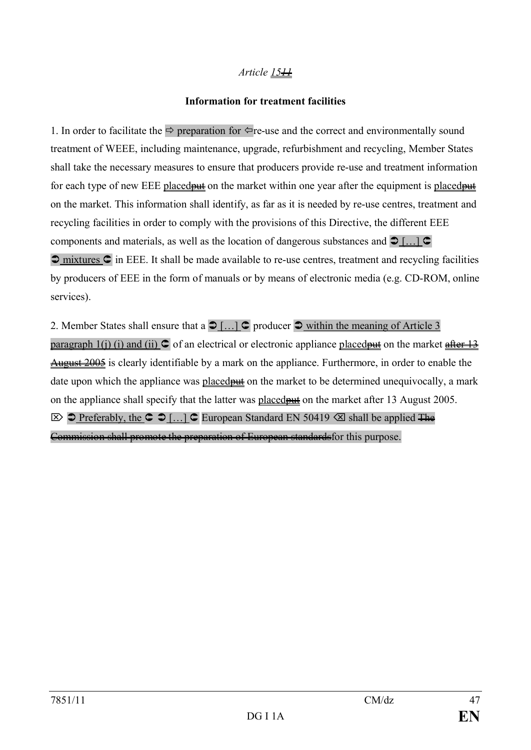### *Article 1511*

### **Information for treatment facilities**

1. In order to facilitate the  $\Rightarrow$  preparation for  $\Leftarrow$  re-use and the correct and environmentally sound treatment of WEEE, including maintenance, upgrade, refurbishment and recycling, Member States shall take the necessary measures to ensure that producers provide re-use and treatment information for each type of new EEE placed  $\frac{d}{dt}$  on the market within one year after the equipment is placed  $\frac{d}{dt}$ on the market. This information shall identify, as far as it is needed by re-use centres, treatment and recycling facilities in order to comply with the provisions of this Directive, the different EEE components and materials, as well as the location of dangerous substances and  $\supset$  [...]  $\supset$  $\supset$  mixtures  $\supset$  in EEE. It shall be made available to re-use centres, treatment and recycling facilities by producers of EEE in the form of manuals or by means of electronic media (e.g. CD-ROM, online services).

2. Member States shall ensure that a  $\bigcirc$  [...]  $\bigcirc$  producer  $\bigcirc$  within the meaning of Article 3 paragraph 1(j) (i) and (ii)  $\circ$  of an electrical or electronic appliance placed but on the market after 13 August 2005 is clearly identifiable by a mark on the appliance. Furthermore, in order to enable the date upon which the appliance was placed by on the market to be determined unequivocally, a mark on the appliance shall specify that the latter was placedput on the market after 13 August 2005.  $\triangleright$   $\triangleright$  Preferably, the  $\triangleright$   $\triangleright$   $\triangleright$   $\triangleright$  European Standard EN 50419  $\triangleleft$  shall be applied The Commission shall promote the preparation of European standardsfor this purpose.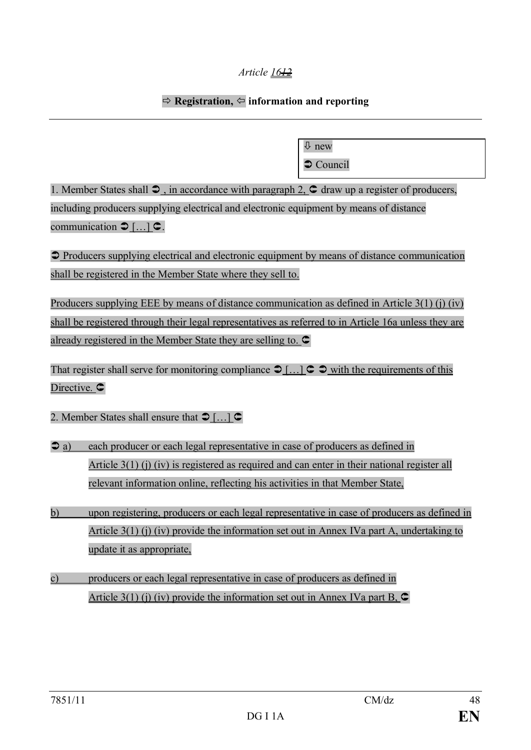### *Article 1612*

### $\Rightarrow$  Registration,  $\Leftarrow$  information and reporting

ò new  $\bullet$  Council

1. Member States shall  $\supset$ , in accordance with paragraph 2,  $\supseteq$  draw up a register of producers, including producers supplying electrical and electronic equipment by means of distance communication  $\bigcirc$  [...]  $\subset$ .

 $\supset$  Producers supplying electrical and electronic equipment by means of distance communication shall be registered in the Member State where they sell to.

Producers supplying EEE by means of distance communication as defined in Article 3(1) (j) (iv) shall be registered through their legal representatives as referred to in Article 16a unless they are already registered in the Member State they are selling to.  $\subset$ 

That register shall serve for monitoring compliance  $\bigcirc$  [...]  $\subset \bigcirc$  with the requirements of this Directive.  $\subset$ 

2. Member States shall ensure that  $\mathfrak{D}$  [...]  $\mathfrak{C}$ 

- $\infty$  a) each producer or each legal representative in case of producers as defined in Article 3(1) (j) (iv) is registered as required and can enter in their national register all relevant information online, reflecting his activities in that Member State,
- b) upon registering, producers or each legal representative in case of producers as defined in Article 3(1) (j) (iv) provide the information set out in Annex IVa part A, undertaking to update it as appropriate,
- c) producers or each legal representative in case of producers as defined in Article 3(1) (j) (iv) provide the information set out in Annex IVa part B,  $\bullet$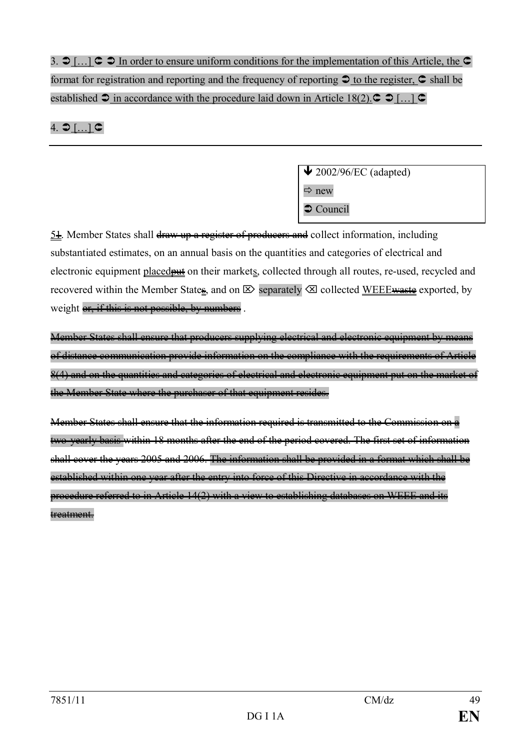3.  $\supset$  [...]  $\supset$   $\supset$  In order to ensure uniform conditions for the implementation of this Article, the  $\supset$ format for registration and reporting and the frequency of reporting  $\bigcirc$  to the register,  $\bigcirc$  shall be established  $\supset$  in accordance with the procedure laid down in Article 18(2). $\supset \supset$  [...]  $\supset$ 

# 4.  $\bigcirc$   $\left[ \dots \right]$   $\subset$

 $\triangle$  2002/96/EC (adapted)  $\Rightarrow$  new  $\bullet$  Council

 $5\frac{1}{2}$ . Member States shall draw up a register of producers and collect information, including substantiated estimates, on an annual basis on the quantities and categories of electrical and electronic equipment placed **put** on their markets, collected through all routes, re-used, recycled and recovered within the Member States, and on  $\boxtimes$  separately  $\boxtimes$  collected WEEE waste exported, by weight or, if this is not possible, by numbers.

Member States shall ensure that producers supplying electrical and electronic equipment by means of distance communication provide information on the compliance with the requirements of Article 8(4) and on the quantities and categories of electrical and electronic equipment put on the market of the Member State where the purchaser of that equipment resides.

Member States shall ensure that the information required is transmitted to the Commission on a two-yearly basis within 18 months after the end of the period covered. The first set of information shall cover the years 2005 and 2006. The information shall be provided in a format which shall be established within one year after the entry into force of this Directive in accordance with the procedure referred to in Article 14(2) with a view to establishing databases on WEEE and its treatment.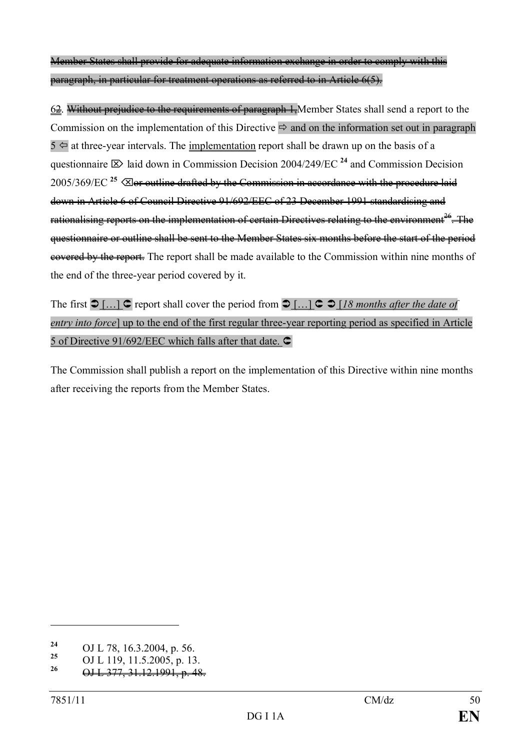Member States shall provide for adequate information exchange in order to comply with this paragraph, in particular for treatment operations as referred to in Article 6(5).

6<del>2</del>. Without prejudice to the requirements of paragraph 1, Member States shall send a report to the Commission on the implementation of this Directive  $\Rightarrow$  and on the information set out in paragraph  $5 \Leftrightarrow$  at three-year intervals. The <u>implementation</u> report shall be drawn up on the basis of a questionnaire  $\boxtimes$  laid down in Commission Decision 2004/249/EC <sup>24</sup> and Commission Decision 2005/369/EC<sup>25</sup>  $\oslash$  are outline drafted by the Commission in accordance with the procedure laid down in Article 6 of Council Directive 91/692/EEC of 23 December 1991 standardising and rationalising reports on the implementation of certain Directives relating to the environment<sup>26</sup>. The questionnaire or outline shall be sent to the Member States six months before the start of the period covered by the report. The report shall be made available to the Commission within nine months of the end of the three-year period covered by it.

The first  $\bigcirc$  […]  $\bigcirc$  report shall cover the period from  $\bigcirc$  […]  $\bigcirc$   $\bigcirc$  [*18 months after the date of entry into force*] up to the end of the first regular three-year reporting period as specified in Article 5 of Directive 91/692/EEC which falls after that date.  $\bullet$ 

The Commission shall publish a report on the implementation of this Directive within nine months after receiving the reports from the Member States.

<sup>&</sup>lt;sup>24</sup> OJ L 78, 16.3.2004, p. 56.<br><sup>25</sup> OJ L 110, 11.5.2005, p. 12

**<sup>25</sup>** OJ L 119, 11.5.2005, p. 13.

**<sup>26</sup>** OJ L 377, 31.12.1991, p. 48.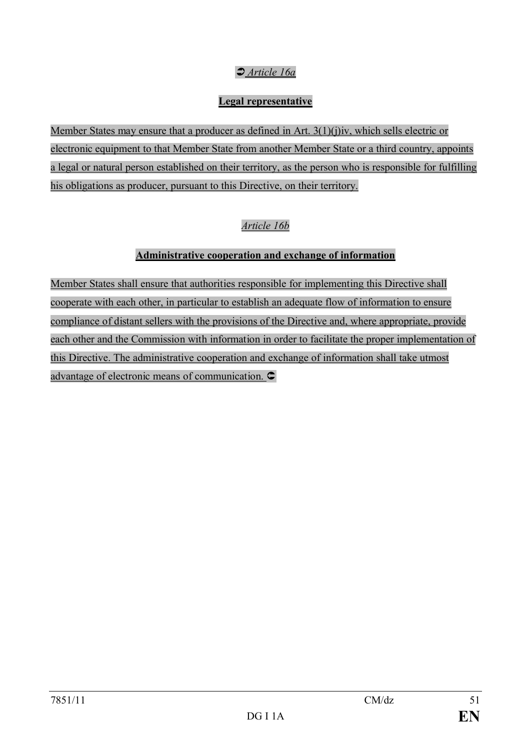# Ü *Article 16a*

### **Legal representative**

Member States may ensure that a producer as defined in Art. 3(1)(j)iv, which sells electric or electronic equipment to that Member State from another Member State or a third country, appoints a legal or natural person established on their territory, as the person who is responsible for fulfilling his obligations as producer, pursuant to this Directive, on their territory.

## *Article 16b*

### **Administrative cooperation and exchange of information**

Member States shall ensure that authorities responsible for implementing this Directive shall cooperate with each other, in particular to establish an adequate flow of information to ensure compliance of distant sellers with the provisions of the Directive and, where appropriate, provide each other and the Commission with information in order to facilitate the proper implementation of this Directive. The administrative cooperation and exchange of information shall take utmost advantage of electronic means of communication.  $\bullet$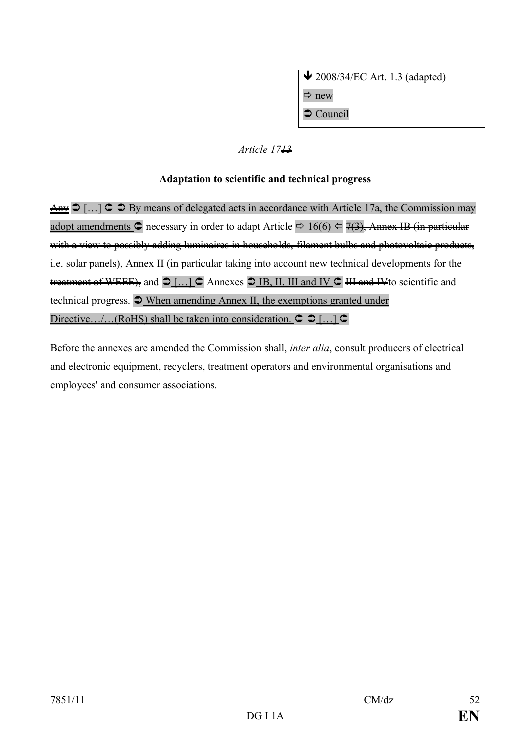$\triangle$  2008/34/EC Art. 1.3 (adapted)  $\Rightarrow$  new  $\supset$  Council

### *Article 17<del>13</del>*

### **Adaptation to scientific and technical progress**

Any  $\bigcirc$  [...]  $\bigcirc$   $\bigcirc$  By means of delegated acts in accordance with Article 17a, the Commission may adopt amendments C necessary in order to adapt Article  $\Rightarrow 16(6) \Leftrightarrow 7(3)$ . Annex IB (in particular with a view to possibly adding luminaires in households, filament bulbs and photovoltaic products, i.e. solar panels), Annex II (in particular taking into account new technical developments for the treatment of WEEE), and  $\bigcirc$  [...]  $\bigcirc$  Annexes  $\bigcirc$  IB, II, III and IV  $\bigcirc$  III and IVto scientific and technical progress.  $\bigcirc$  When amending Annex II, the exemptions granted under Directive.../...(RoHS) shall be taken into consideration.  $\subset \mathcal{D}$  [...]  $\subset$ 

Before the annexes are amended the Commission shall, *inter alia*, consult producers of electrical and electronic equipment, recyclers, treatment operators and environmental organisations and employees' and consumer associations.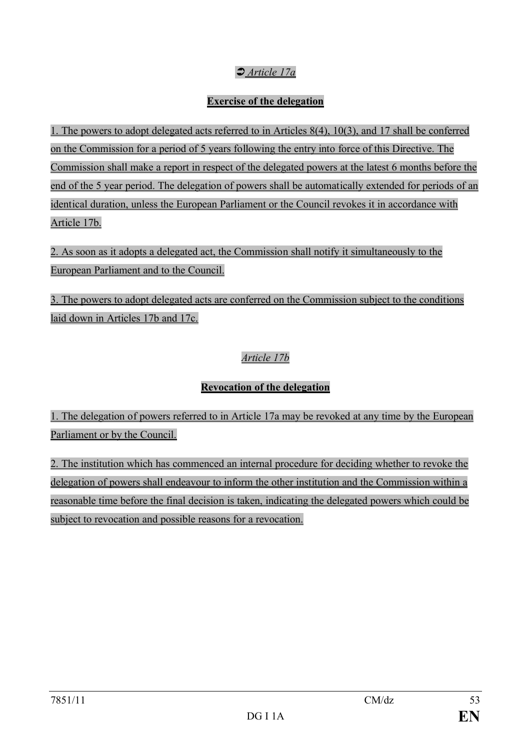# Ü *Article 17a*

### **Exercise of the delegation**

1. The powers to adopt delegated acts referred to in Articles 8(4), 10(3), and 17 shall be conferred on the Commission for a period of 5 years following the entry into force of this Directive. The Commission shall make a report in respect of the delegated powers at the latest 6 months before the end of the 5 year period. The delegation of powers shall be automatically extended for periods of an identical duration, unless the European Parliament or the Council revokes it in accordance with Article 17b.

2. As soon as it adopts a delegated act, the Commission shall notify it simultaneously to the European Parliament and to the Council.

3. The powers to adopt delegated acts are conferred on the Commission subject to the conditions laid down in Articles 17b and 17c.

### *Article 17b*

## **Revocation of the delegation**

1. The delegation of powers referred to in Article 17a may be revoked at any time by the European Parliament or by the Council.

2. The institution which has commenced an internal procedure for deciding whether to revoke the delegation of powers shall endeavour to inform the other institution and the Commission within a reasonable time before the final decision is taken, indicating the delegated powers which could be subject to revocation and possible reasons for a revocation.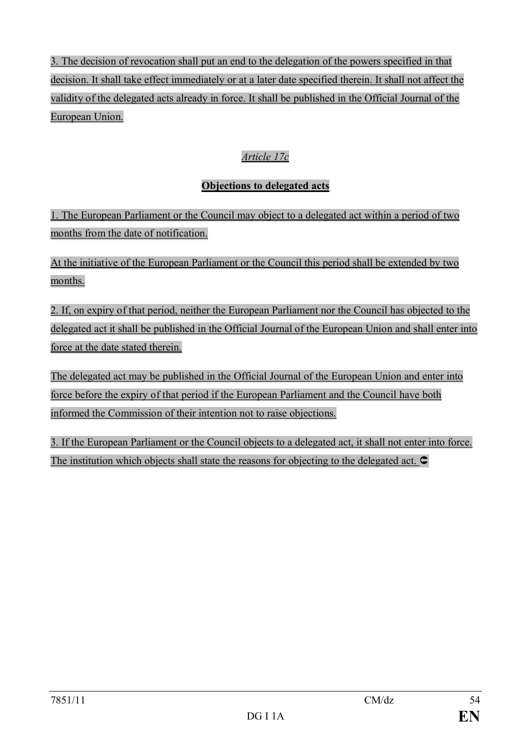3. The decision of revocation shall put an end to the delegation of the powers specified in that decision. It shall take effect immediately or at a later date specified therein. It shall not affect the validity of the delegated acts already in force. It shall be published in the Official Journal of the European Union.

# *Article 17c*

# **Objections to delegated acts**

1. The European Parliament or the Council may object to a delegated act within a period of two months from the date of notification.

At the initiative of the European Parliament or the Council this period shall be extended by two months.

2. If, on expiry of that period, neither the European Parliament nor the Council has objected to the delegated act it shall be published in the Official Journal of the European Union and shall enter into force at the date stated therein.

The delegated act may be published in the Official Journal of the European Union and enter into force before the expiry of that period if the European Parliament and the Council have both informed the Commission of their intention not to raise objections.

3. If the European Parliament or the Council objects to a delegated act, it shall not enter into force. The institution which objects shall state the reasons for objecting to the delegated act.  $\bullet$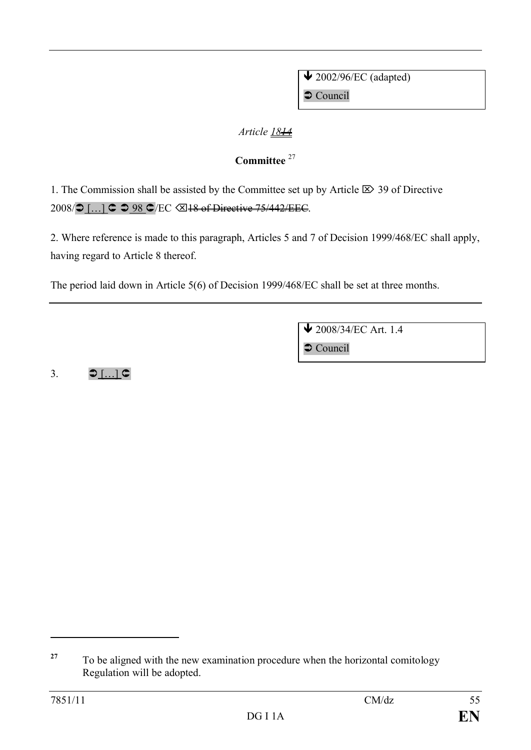$\bigvee$  2002/96/EC (adapted)  $\supset$  Council

### *Article 1814*

# **Committee** <sup>27</sup>

1. The Commission shall be assisted by the Committee set up by Article  $\boxtimes$  39 of Directive 2008/ $\bigcirc$  [...]  $\bigcirc$   $\bigcirc$  98  $\bigcirc$ /EC  $\bigcirc$  48 of Directive 75/442/EEC.

2. Where reference is made to this paragraph, Articles 5 and 7 of Decision 1999/468/EC shall apply, having regard to Article 8 thereof.

The period laid down in Article 5(6) of Decision 1999/468/EC shall be set at three months.

 $\bigvee$  2008/34/EC Art. 1.4

 $\supset$  Council

3.  $\bigcirc$  [...]  $\subset$ 

<sup>&</sup>lt;sup>27</sup> To be aligned with the new examination procedure when the horizontal comitology Regulation will be adopted.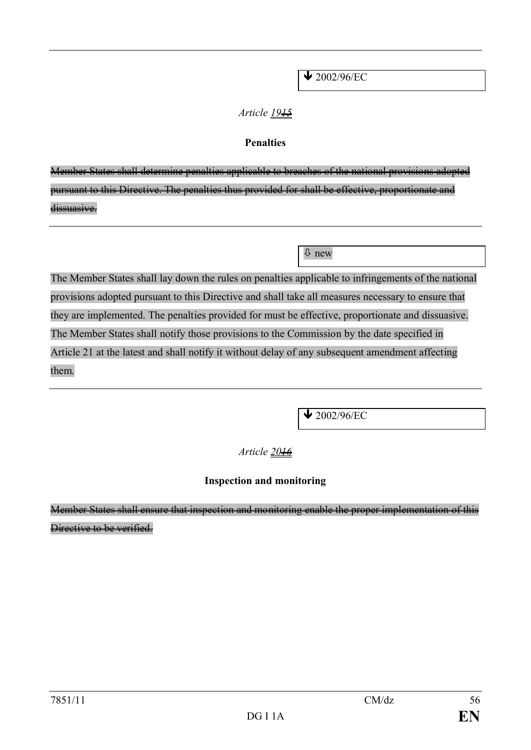$\sqrt{2002/96/EC}$ 

### *Article 1915*

### **Penalties**

Member States shall determine penalties applicable to breaches of the national provisions adopted pursuant to this Directive. The penalties thus provided for shall be effective, proportionate and dissuasive.

ò new

The Member States shall lay down the rules on penalties applicable to infringements of the national provisions adopted pursuant to this Directive and shall take all measures necessary to ensure that they are implemented. The penalties provided for must be effective, proportionate and dissuasive. The Member States shall notify those provisions to the Commission by the date specified in Article 21 at the latest and shall notify it without delay of any subsequent amendment affecting them.

 $\bigvee$  2002/96/EC

*Article 2016*

## **Inspection and monitoring**

Member States shall ensure that inspection and monitoring enable the proper implementation of this Directive to be verified.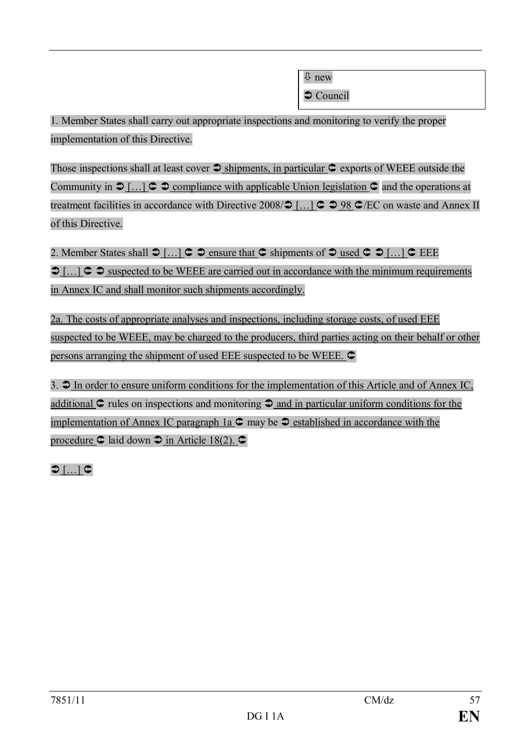$\overline{\psi}$  new

 $\bullet$  Council

1. Member States shall carry out appropriate inspections and monitoring to verify the proper implementation of this Directive.

Those inspections shall at least cover  $\supset$  shipments, in particular  $\supset$  exports of WEEE outside the Community in  $\mathcal{D}$ […]  $\subset \mathcal{D}$  compliance with applicable Union legislation  $\subset \mathcal{D}$  and the operations at treatment facilities in accordance with Directive 2008/ $\bigcirc$  [...]  $\bigcirc$   $\bigcirc$  98  $\bigcirc$ /EC on waste and Annex II of this Directive.

2. Member States shall  $\bigcirc$   $\left[\dots\right]$   $\subset$   $\bigcirc$  ensure that  $\subset$  shipments of  $\bigcirc$  used  $\subset$   $\bigcirc$   $\left[\dots\right]$   $\subset$  EEE  $\bigcirc$  [...]  $\subset \bigcirc$  suspected to be WEEE are carried out in accordance with the minimum requirements in Annex IC and shall monitor such shipments accordingly.

2a. The costs of appropriate analyses and inspections, including storage costs, of used EEE suspected to be WEEE, may be charged to the producers, third parties acting on their behalf or other persons arranging the shipment of used EEE suspected to be WEEE.  $\subset$ 

3.  $\mathcal{D}$  In order to ensure uniform conditions for the implementation of this Article and of Annex IC, additional  $\mathbb C$  rules on inspections and monitoring  $\mathbb D$  and in particular uniform conditions for the implementation of Annex IC paragraph 1a  $\mathbb{C}$  may be  $\mathbb{D}$  established in accordance with the procedure  $\textcircled{c}$  laid down  $\textcircled{c}$  in Article 18(2).  $\textcircled{c}$ 

 $\bigcirc$  [ $\dots$ ]  $\subset$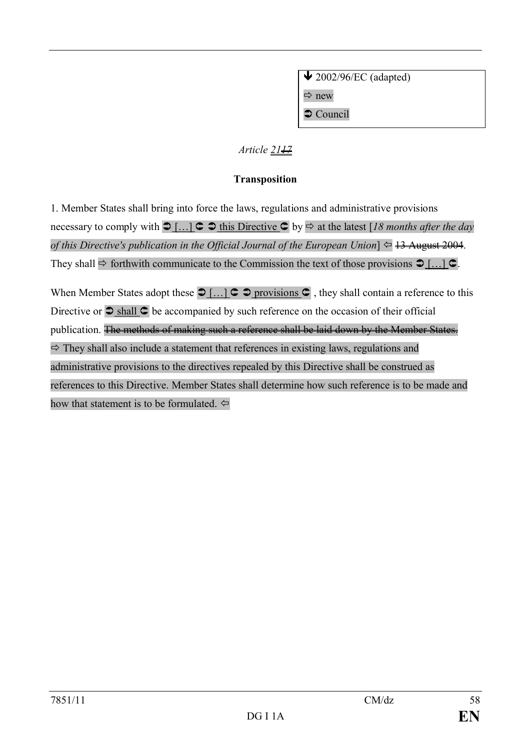$\bigvee$  2002/96/EC (adapted)  $\Rightarrow$  new  $\supset$  Council

### *Article 21<del>17</del>*

### **Transposition**

1. Member States shall bring into force the laws, regulations and administrative provisions necessary to comply with Ü […] Û Ü this Directive Û by ð at the latest [*18 months after the day of this Directive's publication in the Official Journal of the European Union*]  $\Leftarrow$  13 August 2004. They shall  $\Rightarrow$  forthwith communicate to the Commission the text of those provisions  $\bigcirc$  [...]  $\subset$ .

When Member States adopt these  $\bigcirc$  [...]  $\bigcirc$   $\bigcirc$  provisions  $\bigcirc$ , they shall contain a reference to this Directive or  $\supset$  shall  $\supseteq$  be accompanied by such reference on the occasion of their official publication. The methods of making such a reference shall be laid down by the Member States.  $\Rightarrow$  They shall also include a statement that references in existing laws, regulations and administrative provisions to the directives repealed by this Directive shall be construed as references to this Directive. Member States shall determine how such reference is to be made and how that statement is to be formulated.  $\Leftrightarrow$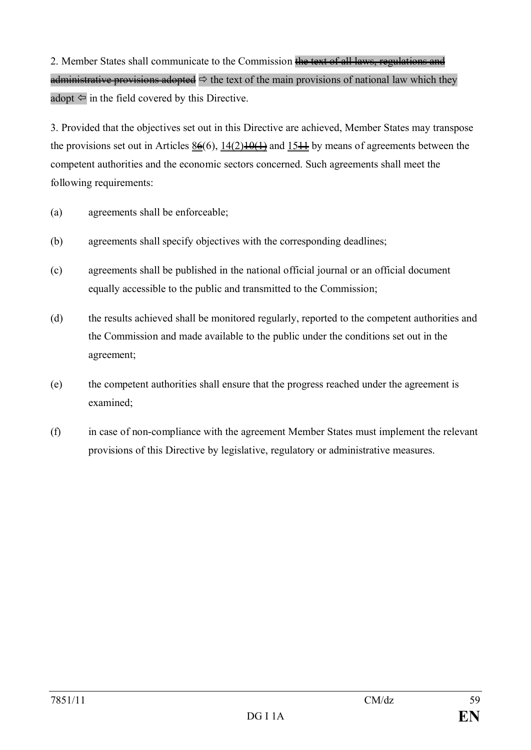2. Member States shall communicate to the Commission the text of all laws, regulations and administrative provisions adopted  $\Rightarrow$  the text of the main provisions of national law which they adopt  $\Leftarrow$  in the field covered by this Directive.

3. Provided that the objectives set out in this Directive are achieved, Member States may transpose the provisions set out in Articles  $8\frac{6}{6}$ ,  $14(2)\frac{10(1)}{10(1)}$  and  $15\frac{11}{10}$  by means of agreements between the competent authorities and the economic sectors concerned. Such agreements shall meet the following requirements:

- (a) agreements shall be enforceable;
- (b) agreements shall specify objectives with the corresponding deadlines;
- (c) agreements shall be published in the national official journal or an official document equally accessible to the public and transmitted to the Commission;
- (d) the results achieved shall be monitored regularly, reported to the competent authorities and the Commission and made available to the public under the conditions set out in the agreement;
- (e) the competent authorities shall ensure that the progress reached under the agreement is examined;
- (f) in case of non-compliance with the agreement Member States must implement the relevant provisions of this Directive by legislative, regulatory or administrative measures.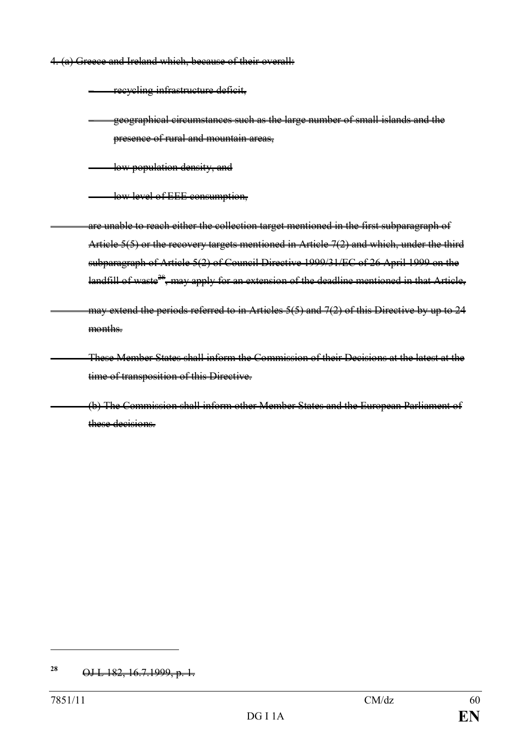4. (a) Greece and Ireland which, because of their overall:

– recycling infrastructure deficit,

– geographical circumstances such as the large number of small islands and the presence of rural and mountain areas,

low population density, and

– low level of EEE consumption,

are unable to reach either the collection target mentioned in the first subparagraph of Article  $5(5)$  or the recovery targets mentioned in Article  $7(2)$  and which, under the third subparagraph of Article 5(2) of Council Directive 1999/31/EC of 26 April 1999 on the landfill of waste<sup>28</sup>, may apply for an extension of the deadline mentioned in that Article,

may extend the periods referred to in Articles 5(5) and 7(2) of this Directive by up to 24 months.

These Member States shall inform the Commission of their Decisions at the latest at the time of transposition of this Directive.

(b) The Commission shall inform other Member States and the European Parliament of these decisions.

**<sup>28</sup>** OJ L 182, 16.7.1999, p. 1.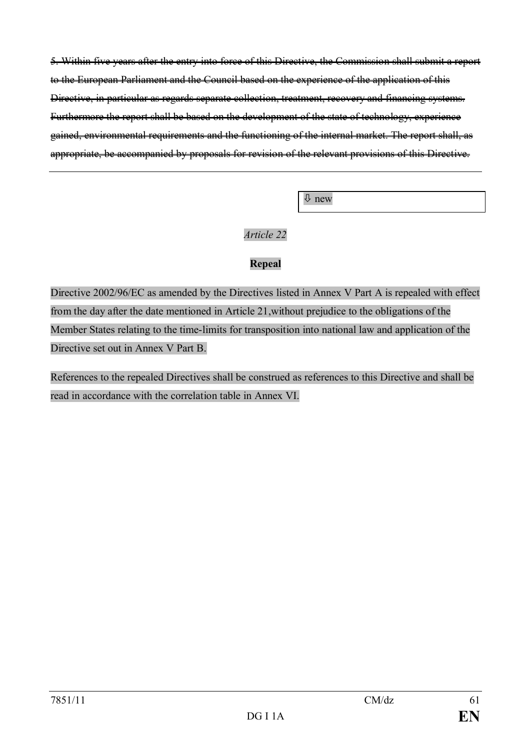5. Within five years after the entry into force of this Directive, the Commission shall submit a report to the European Parliament and the Council based on the experience of the application of this Directive, in particular as regards separate collection, treatment, recovery and financing systems. Furthermore the report shall be based on the development of the state of technology, experience gained, environmental requirements and the functioning of the internal market. The report shall, as appropriate, be accompanied by proposals for revision of the relevant provisions of this Directive.

ò new

### *Article 22*

### **Repeal**

Directive 2002/96/EC as amended by the Directives listed in Annex V Part A is repealed with effect from the day after the date mentioned in Article 21,without prejudice to the obligations of the Member States relating to the time-limits for transposition into national law and application of the Directive set out in Annex V Part B.

References to the repealed Directives shall be construed as references to this Directive and shall be read in accordance with the correlation table in Annex VI.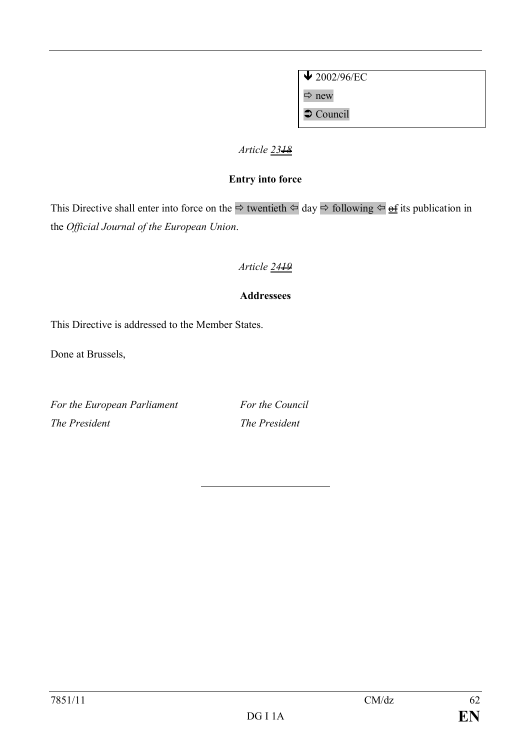$\sqrt{2002/96/EC}$  $\Rightarrow$  new

 $\bullet$  Council

### *Article 2318*

### **Entry into force**

This Directive shall enter into force on the  $\Rightarrow$  twentieth  $\Leftarrow$  day  $\Rightarrow$  following  $\Leftarrow \underline{\text{of}}$  its publication in the *Official Journal of the European Union*.

# *Article 2419*

### **Addressees**

This Directive is addressed to the Member States.

Done at Brussels,

*For the European Parliament For the Council The President The President*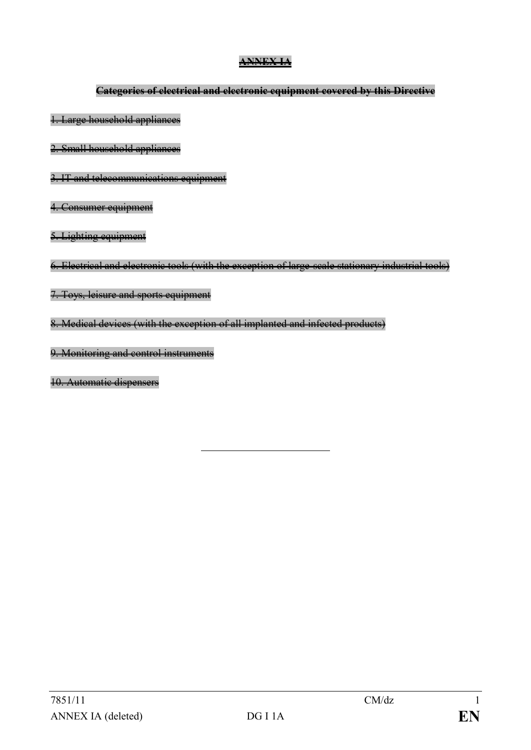### **ANNEX IA**

### **Categories of electrical and electronic equipment covered by this Directive**

1. Large household appliances

2. Small household appliances

3. IT and telecommunications equipment

4. Consumer equipment

5. Lighting equipment

6. Electrical and electronic tools (with the exception of large-scale stationary industrial tools)

7. Toys, leisure and sports equipment

8. Medical devices (with the exception of all implanted and infected products)

9. Monitoring and control instruments

10. Automatic dispensers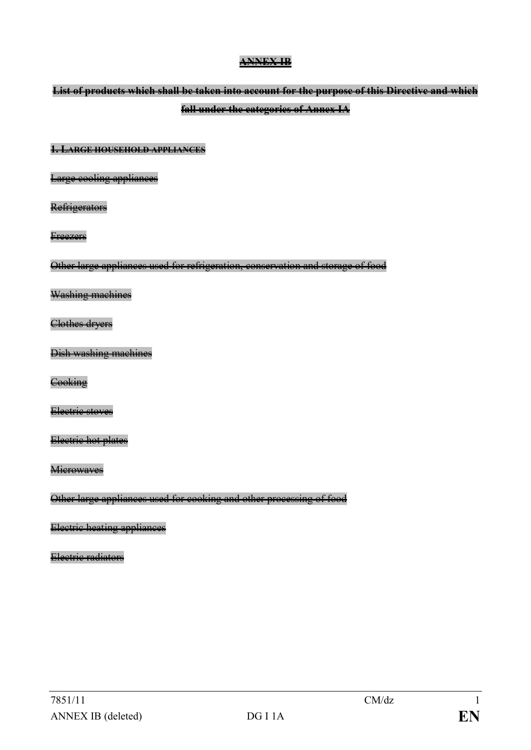### **ANNEX IB**

# **List of products which shall be taken into account for the purpose of this Directive and which fall under the categories of Annex IA**

#### **1. LARGE HOUSEHOLD APPLIANCES**

Large cooling appliances

**Refrigerators** 

**Freezers** 

Other large appliances used for refrigeration, conservation and storage of food

Washing machines

Clothes dryers

Dish washing machines

**Cooking** 

Electric stoves

Electric hot plates

**Microwaves** 

Other large appliances used for cooking and other processing of food

Electric heating appliances

Electric radiators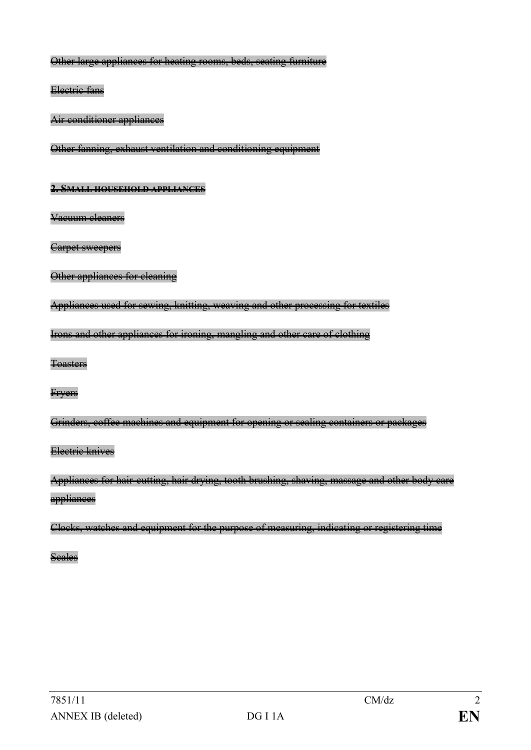Other large appliances for heating rooms, beds, seating furniture

Electric fans

Air conditioner appliances

Other fanning, exhaust ventilation and conditioning equipment

#### **2. SMALL HOUSEHOLD APPLIANCES**

Vacuum cleaners

Carpet sweepers

```
Other appliances for cleaning
```
Appliances used for sewing, knitting, weaving and other processing for textiles

Irons and other appliances for ironing, mangling and other care of clothing

Toasters

Fryers

Grinders, coffee machines and equipment for opening or sealing containers or packages

### Electric knives

Appliances for hair-cutting, hair drying, tooth brushing, shaving, massage and other body care appliances

Clocks, watches and equipment for the purpose of measuring, indicating or registering time

Scales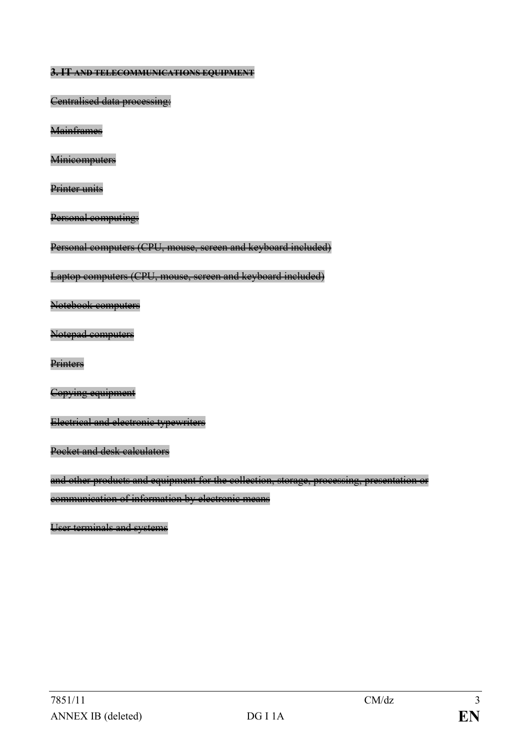**3. IT AND TELECOMMUNICATIONS EQUIPMENT**

Centralised data processing:

**Mainframes** 

**Minicomputers** 

Printer units

Personal computing:

Personal computers (CPU, mouse, screen and keyboard included)

Laptop computers (CPU, mouse, screen and keyboard included)

Notebook computers

Notepad computers

**Printers** 

Copying equipment

Electrical and electronic typewriters

Pocket and desk calculators

and other products and equipment for the collection, storage, processing, presentation or communication of information by electronic means

User terminals and systems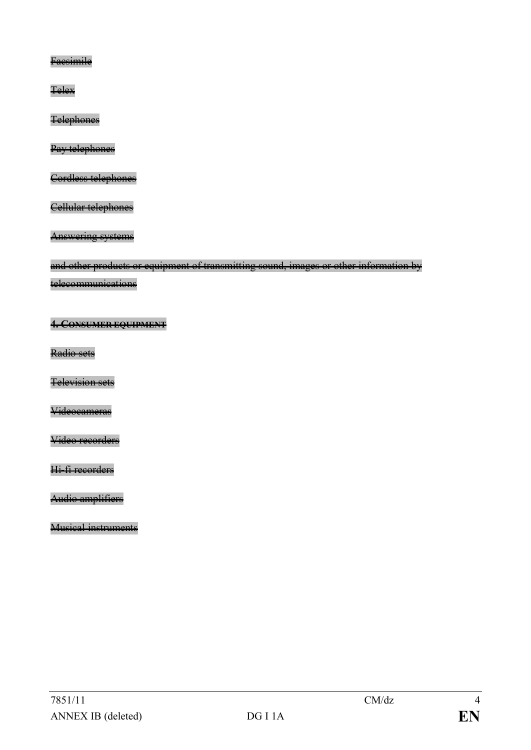**Faesimile** 

**Telex** 

**Telephones** 

Pay telephones

Cordless telephones

Cellular telephones

Answering systems

and other products or equipment of transmitting sound, images or other information by

telecommunications

**4. CONSUMER EQUIPMENT**

Radio sets

Television sets

Videocameras

Video recorders

Hi-fi recorders

Audio amplifiers

Musical instruments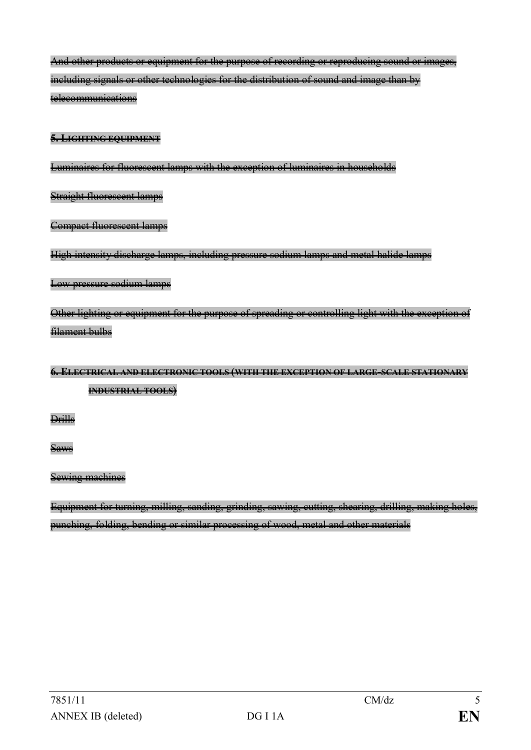And other products or equipment for the purpose of recording or reproducing sound or images, including signals or other technologies for the distribution of sound and image than by telecommunications

#### **5. LIGHTING EQUIPMENT**

Luminaires for fluorescent lamps with the exception of luminaires in households

Straight fluorescent lamps

Compact fluorescent lamps

High intensity discharge lamps, including pressure sodium lamps and metal halide lamps

#### Low pressure sodium lamps

Other lighting or equipment for the purpose of spreading or controlling light with the exception of filament bulbs

# **6. ELECTRICAL AND ELECTRONIC TOOLS (WITH THE EXCEPTION OF LARGE-SCALE STATIONARY INDUSTRIAL TOOLS)**

Drills

Saws

### Sewing machines

Equipment for turning, milling, sanding, grinding, sawing, cutting, shearing, drilling, making holes, punching, folding, bending or similar processing of wood, metal and other materials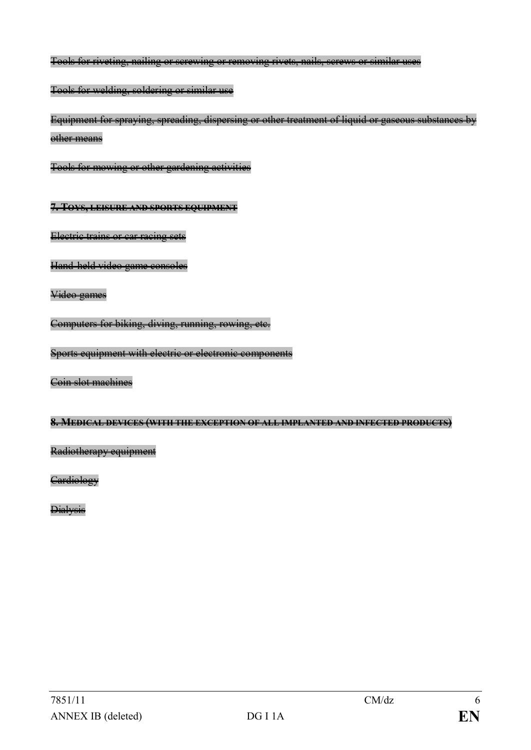Tools for riveting, nailing or screwing or removing rivets, nails, screws or similar uses

Tools for welding, soldering or similar use

Equipment for spraying, spreading, dispersing or other treatment of liquid or gaseous substances by other means

Tools for mowing or other gardening activities

**7. TOYS, LEISURE AND SPORTS EQUIPMENT**

Electric trains or car racing sets

Hand-held video game consoles

Video games

Computers for biking, diving, running, rowing, etc.

Sports equipment with electric or electronic components

Coin slot machines

#### **8. MEDICAL DEVICES (WITH THE EXCEPTION OF ALL IMPLANTED AND INFECTED PRODUCTS)**

Radiotherapy equipment

**Cardiology** 

**Dialysis**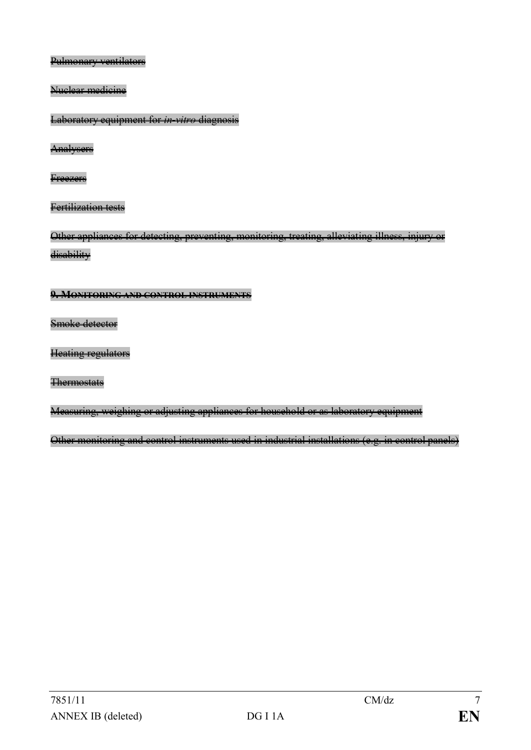Pulmonary ventilators

Nuclear medicine

Laboratory equipment for *in-vitro* diagnosis

**Analysers** 

**Freezers** 

Fertilization tests

Other appliances for detecting, preventing, monitoring, treating, alleviating illness, injury or disability

### **9. MONITORING AND CONTROL INSTRUMENTS**

Smoke detector

Heating regulators

**Thermostats** 

Measuring, weighing or adjusting appliances for household or as laboratory equipment

Other monitoring and control instruments used in industrial installations (e.g. in control panels)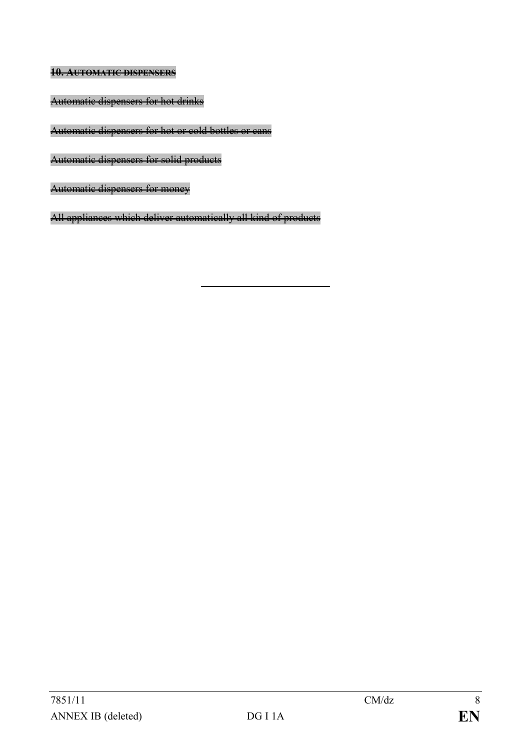**10. AUTOMATIC DISPENSERS**

Automatic dispensers for hot drinks

Automatic dispensers for hot or cold bottles or cans

Automatic dispensers for solid products

Automatic dispensers for money

All appliances which deliver automatically all kind of products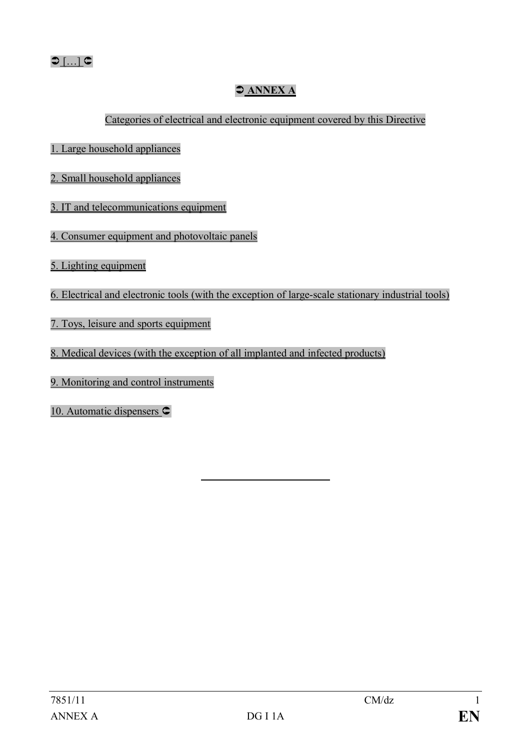## Ü **ANNEX A**

Categories of electrical and electronic equipment covered by this Directive

- 1. Large household appliances
- 2. Small household appliances
- 3. IT and telecommunications equipment
- 4. Consumer equipment and photovoltaic panels
- 5. Lighting equipment
- 6. Electrical and electronic tools (with the exception of large-scale stationary industrial tools)
- 7. Toys, leisure and sports equipment
- 8. Medical devices (with the exception of all implanted and infected products)
- 9. Monitoring and control instruments
- 10. Automatic dispensers  $\subset$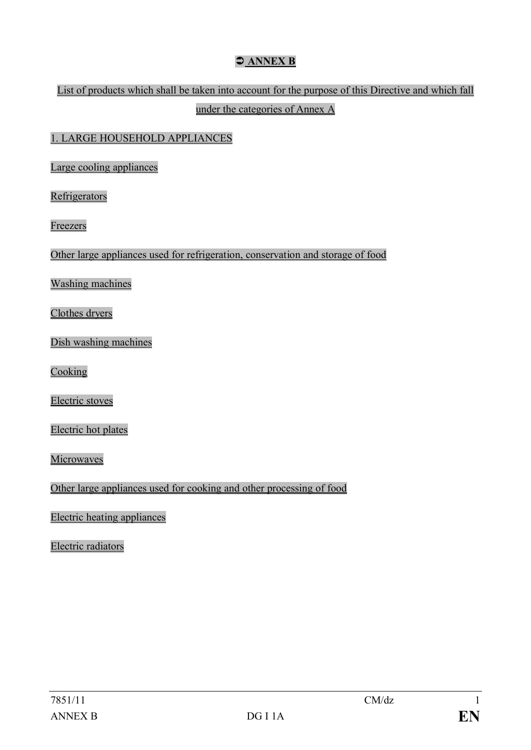## $\bigcirc$  ANNEX B

## List of products which shall be taken into account for the purpose of this Directive and which fall under the categories of Annex A

#### 1. LARGE HOUSEHOLD APPLIANCES

Large cooling appliances

**Refrigerators** 

Freezers

Other large appliances used for refrigeration, conservation and storage of food

Washing machines

Clothes dryers

Dish washing machines

Cooking

Electric stoves

Electric hot plates

Microwaves

Other large appliances used for cooking and other processing of food

Electric heating appliances

Electric radiators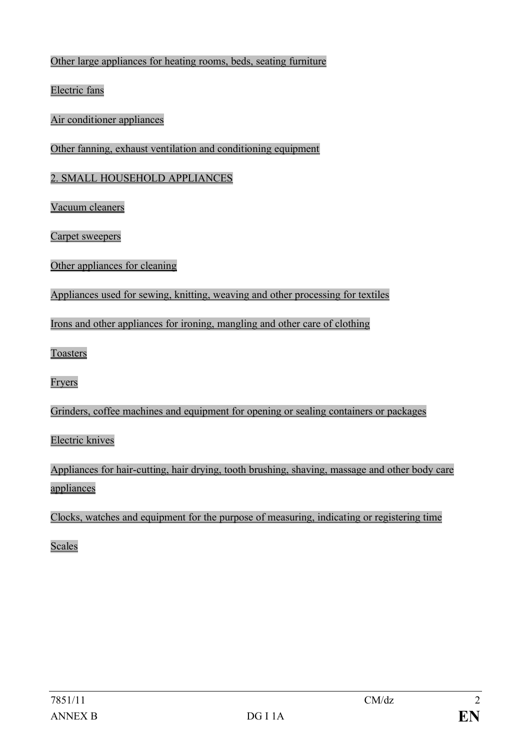#### Other large appliances for heating rooms, beds, seating furniture

Electric fans

Air conditioner appliances

Other fanning, exhaust ventilation and conditioning equipment

#### 2. SMALL HOUSEHOLD APPLIANCES

Vacuum cleaners

Carpet sweepers

#### Other appliances for cleaning

Appliances used for sewing, knitting, weaving and other processing for textiles

Irons and other appliances for ironing, mangling and other care of clothing

Toasters

Fryers

Grinders, coffee machines and equipment for opening or sealing containers or packages

Electric knives

Appliances for hair-cutting, hair drying, tooth brushing, shaving, massage and other body care appliances

Clocks, watches and equipment for the purpose of measuring, indicating or registering time

Scales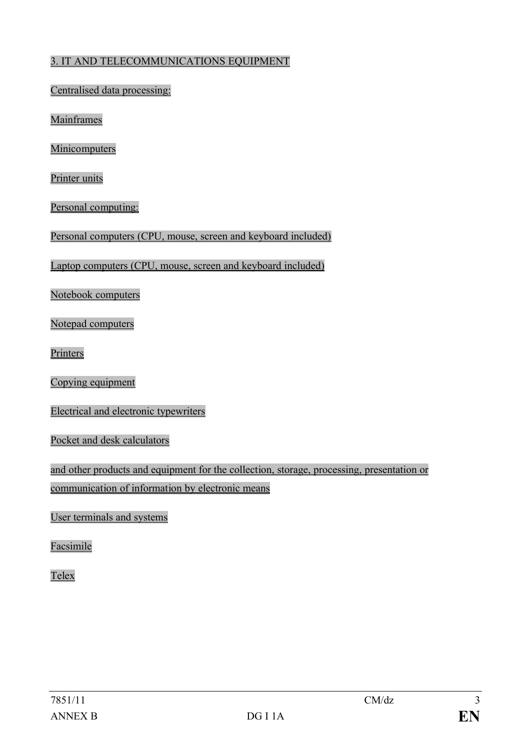#### 3. IT AND TELECOMMUNICATIONS EQUIPMENT

Centralised data processing:

Mainframes

Minicomputers

Printer units

Personal computing:

Personal computers (CPU, mouse, screen and keyboard included)

Laptop computers (CPU, mouse, screen and keyboard included)

Notebook computers

Notepad computers

Printers

Copying equipment

Electrical and electronic typewriters

Pocket and desk calculators

and other products and equipment for the collection, storage, processing, presentation or communication of information by electronic means

User terminals and systems

Facsimile

Telex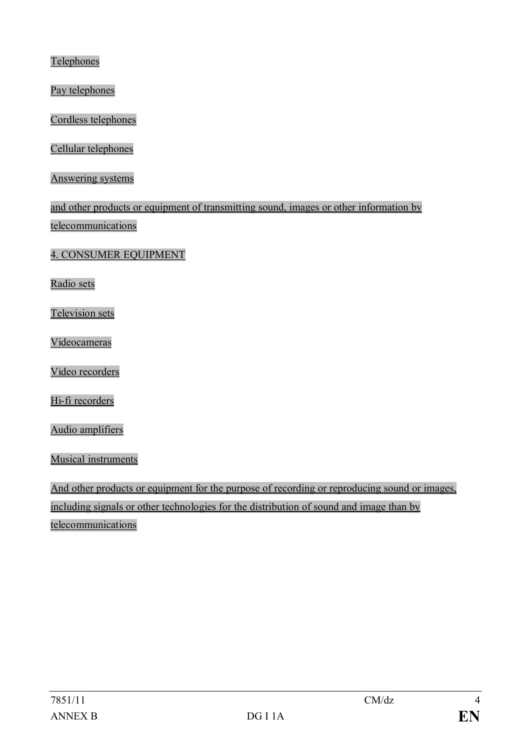**Telephones** 

Pay telephones

Cordless telephones

Cellular telephones

Answering systems

and other products or equipment of transmitting sound, images or other information by telecommunications

4. CONSUMER EQUIPMENT

Radio sets

Television sets

Videocameras

Video recorders

Hi-fi recorders

Audio amplifiers

Musical instruments

And other products or equipment for the purpose of recording or reproducing sound or images, including signals or other technologies for the distribution of sound and image than by telecommunications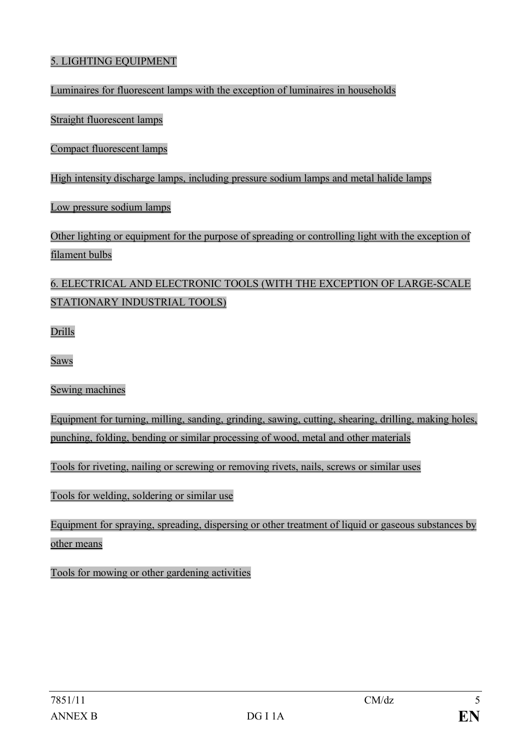#### 5. LIGHTING EQUIPMENT

Luminaires for fluorescent lamps with the exception of luminaires in households

Straight fluorescent lamps

Compact fluorescent lamps

High intensity discharge lamps, including pressure sodium lamps and metal halide lamps

Low pressure sodium lamps

Other lighting or equipment for the purpose of spreading or controlling light with the exception of filament bulbs

## 6. ELECTRICAL AND ELECTRONIC TOOLS (WITH THE EXCEPTION OF LARGE-SCALE STATIONARY INDUSTRIAL TOOLS)

Drills

Saws

Sewing machines

Equipment for turning, milling, sanding, grinding, sawing, cutting, shearing, drilling, making holes, punching, folding, bending or similar processing of wood, metal and other materials

Tools for riveting, nailing or screwing or removing rivets, nails, screws or similar uses

Tools for welding, soldering or similar use

Equipment for spraying, spreading, dispersing or other treatment of liquid or gaseous substances by other means

Tools for mowing or other gardening activities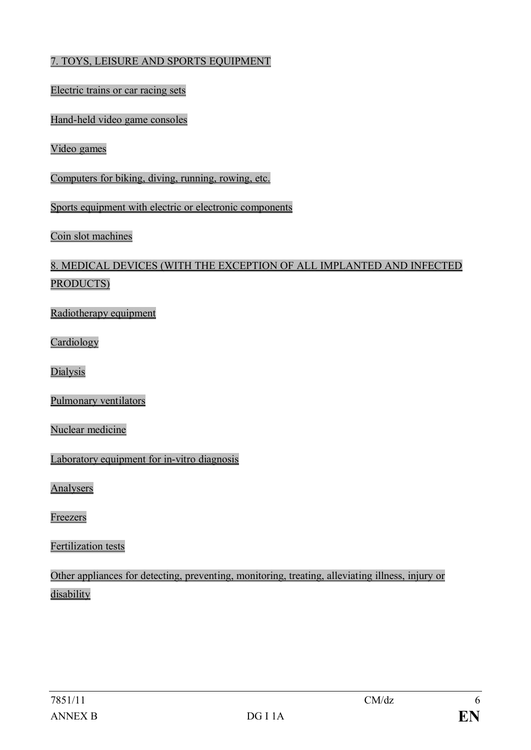#### 7. TOYS, LEISURE AND SPORTS EQUIPMENT

#### Electric trains or car racing sets

Hand-held video game consoles

Video games

Computers for biking, diving, running, rowing, etc.

Sports equipment with electric or electronic components

Coin slot machines

## 8. MEDICAL DEVICES (WITH THE EXCEPTION OF ALL IMPLANTED AND INFECTED PRODUCTS)

Radiotherapy equipment

Cardiology

Dialysis

Pulmonary ventilators

Nuclear medicine

Laboratory equipment for in-vitro diagnosis

Analysers

Freezers

Fertilization tests

Other appliances for detecting, preventing, monitoring, treating, alleviating illness, injury or disability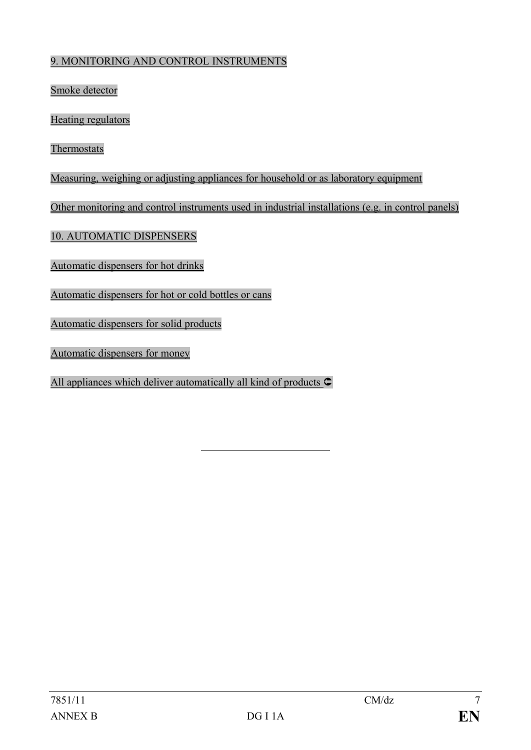#### 9. MONITORING AND CONTROL INSTRUMENTS

Smoke detector

Heating regulators

Thermostats

Measuring, weighing or adjusting appliances for household or as laboratory equipment

Other monitoring and control instruments used in industrial installations (e.g. in control panels)

10. AUTOMATIC DISPENSERS

Automatic dispensers for hot drinks

Automatic dispensers for hot or cold bottles or cans

Automatic dispensers for solid products

Automatic dispensers for money

All appliances which deliver automatically all kind of products  $\mathsf{\subset}$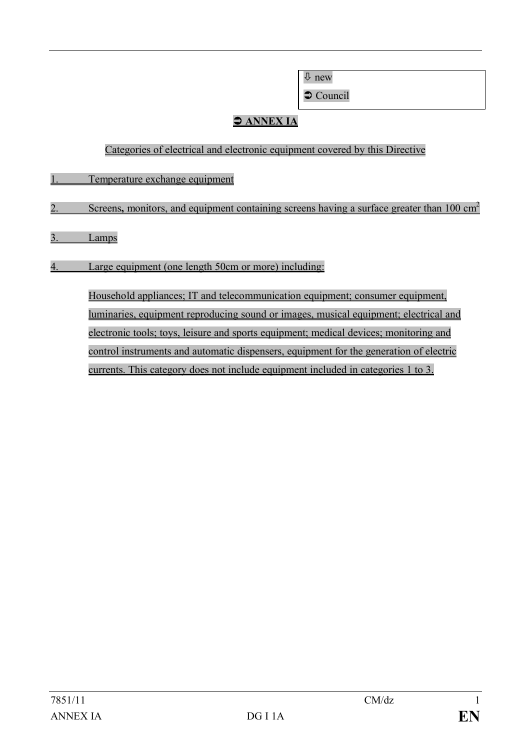ò new

 $\bullet$  Council

# $\bigcirc$  ANNEX IA

#### Categories of electrical and electronic equipment covered by this Directive

- 1. Temperature exchange equipment
- 2. Screens, monitors, and equipment containing screens having a surface greater than 100 cm<sup>2</sup>
- 3. Lamps
- 4. Large equipment (one length 50cm or more) including:

Household appliances; IT and telecommunication equipment; consumer equipment, luminaries, equipment reproducing sound or images, musical equipment; electrical and electronic tools; toys, leisure and sports equipment; medical devices; monitoring and control instruments and automatic dispensers, equipment for the generation of electric currents. This category does not include equipment included in categories 1 to 3.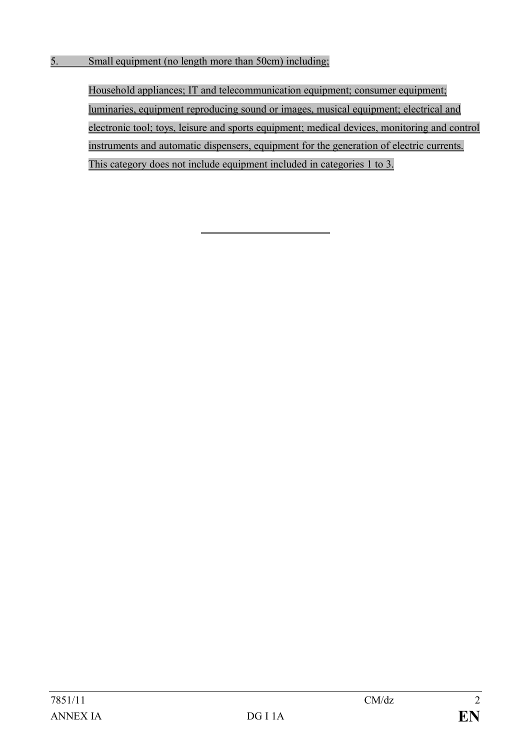Household appliances; IT and telecommunication equipment; consumer equipment; luminaries, equipment reproducing sound or images, musical equipment; electrical and electronic tool; toys, leisure and sports equipment; medical devices, monitoring and control instruments and automatic dispensers, equipment for the generation of electric currents. This category does not include equipment included in categories 1 to 3.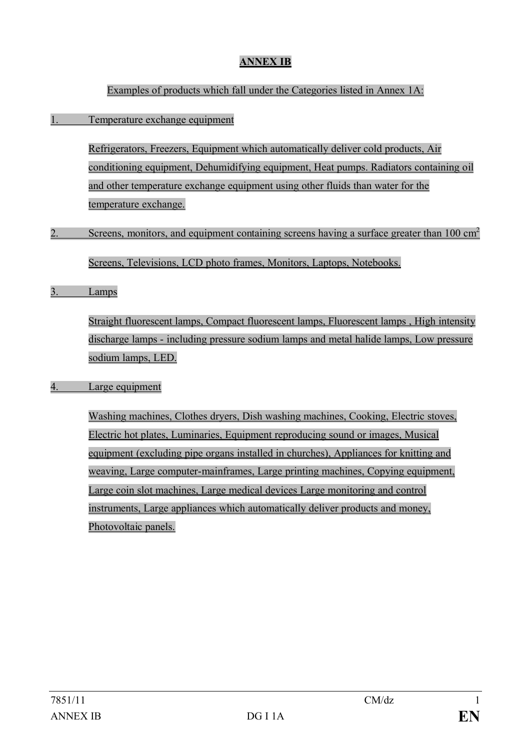## **ANNEX IB**

#### Examples of products which fall under the Categories listed in Annex 1A:

#### 1. Temperature exchange equipment

Refrigerators, Freezers, Equipment which automatically deliver cold products, Air conditioning equipment, Dehumidifying equipment, Heat pumps. Radiators containing oil and other temperature exchange equipment using other fluids than water for the temperature exchange.

#### 2. Screens, monitors, and equipment containing screens having a surface greater than  $100 \text{ cm}^2$

Screens, Televisions, LCD photo frames, Monitors, Laptops, Notebooks.

3. Lamps

Straight fluorescent lamps, Compact fluorescent lamps, Fluorescent lamps , High intensity discharge lamps - including pressure sodium lamps and metal halide lamps, Low pressure sodium lamps, LED.

#### 4. Large equipment

Washing machines, Clothes dryers, Dish washing machines, Cooking, Electric stoves, Electric hot plates, Luminaries, Equipment reproducing sound or images, Musical equipment (excluding pipe organs installed in churches), Appliances for knitting and weaving, Large computer-mainframes, Large printing machines, Copying equipment, Large coin slot machines, Large medical devices Large monitoring and control instruments, Large appliances which automatically deliver products and money, Photovoltaic panels.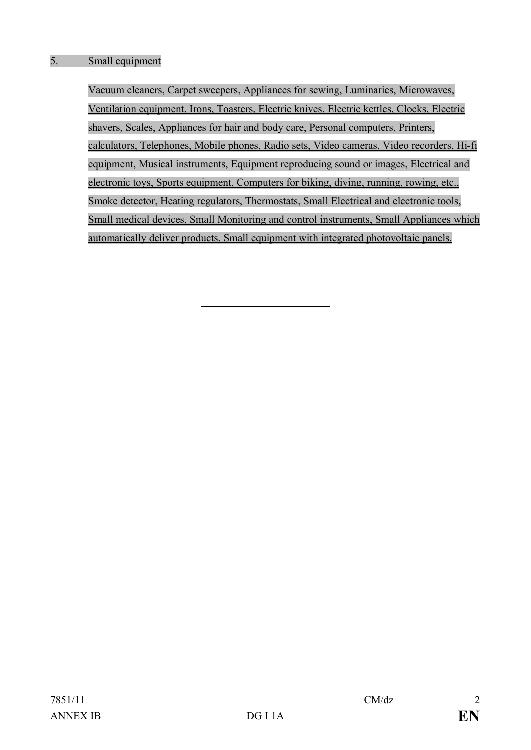Vacuum cleaners, Carpet sweepers, Appliances for sewing, Luminaries, Microwaves, Ventilation equipment, Irons, Toasters, Electric knives, Electric kettles, Clocks, Electric shavers, Scales, Appliances for hair and body care, Personal computers, Printers, calculators, Telephones, Mobile phones, Radio sets, Video cameras, Video recorders, Hi-fi equipment, Musical instruments, Equipment reproducing sound or images, Electrical and electronic toys, Sports equipment, Computers for biking, diving, running, rowing, etc., Smoke detector, Heating regulators, Thermostats, Small Electrical and electronic tools, Small medical devices, Small Monitoring and control instruments, Small Appliances which automatically deliver products, Small equipment with integrated photovoltaic panels.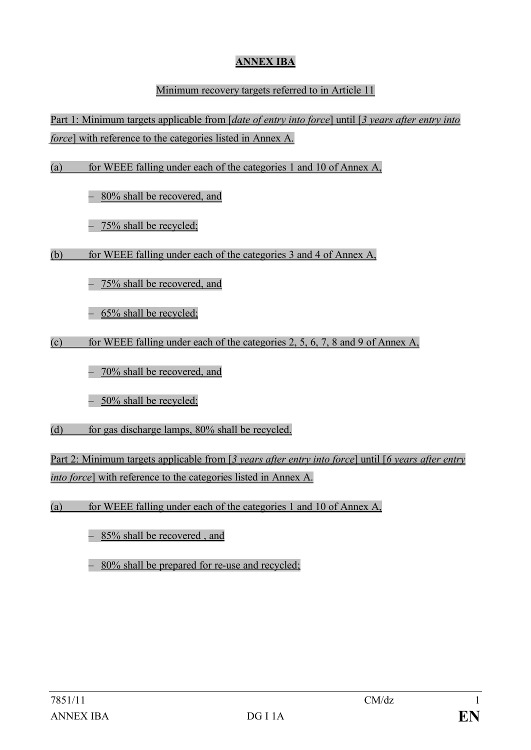## **ANNEX IBA**

#### Minimum recovery targets referred to in Article 11

Part 1: Minimum targets applicable from [*date of entry into force*] until [*3 years after entry into force*] with reference to the categories listed in Annex A.

(a) for WEEE falling under each of the categories 1 and 10 of Annex A,

– 80% shall be recovered, and

- 75% shall be recycled;

(b) for WEEE falling under each of the categories 3 and 4 of Annex A,

– 75% shall be recovered, and

– 65% shall be recycled;

(c) for WEEE falling under each of the categories 2, 5, 6, 7, 8 and 9 of Annex A,

– 70% shall be recovered, and

– 50% shall be recycled;

(d) for gas discharge lamps, 80% shall be recycled.

Part 2: Minimum targets applicable from [*3 years after entry into force*] until [*6 years after entry into force*] with reference to the categories listed in Annex A.

(a) for WEEE falling under each of the categories 1 and 10 of Annex A,

– 85% shall be recovered , and

– 80% shall be prepared for re-use and recycled;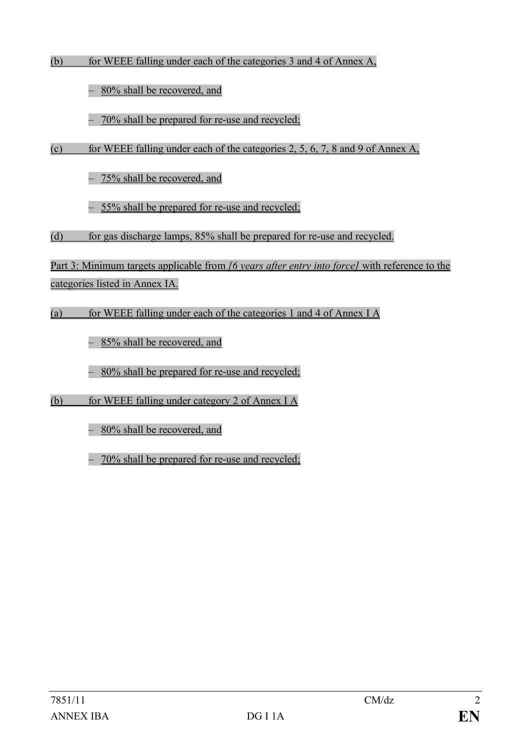(b) for WEEE falling under each of the categories 3 and 4 of Annex A,

– 80% shall be recovered, and

– 70% shall be prepared for re-use and recycled;

(c) for WEEE falling under each of the categories 2, 5, 6, 7, 8 and 9 of Annex A,

– 75% shall be recovered, and

– 55% shall be prepared for re-use and recycled;

(d) for gas discharge lamps, 85% shall be prepared for re-use and recycled.

Part 3: Minimum targets applicable from *[6 years after entry into force]* with reference to the categories listed in Annex IA.

(a) for WEEE falling under each of the categories 1 and 4 of Annex I A

– 85% shall be recovered, and

– 80% shall be prepared for re-use and recycled;

(b) for WEEE falling under category 2 of Annex I A

– 80% shall be recovered, and

– 70% shall be prepared for re-use and recycled;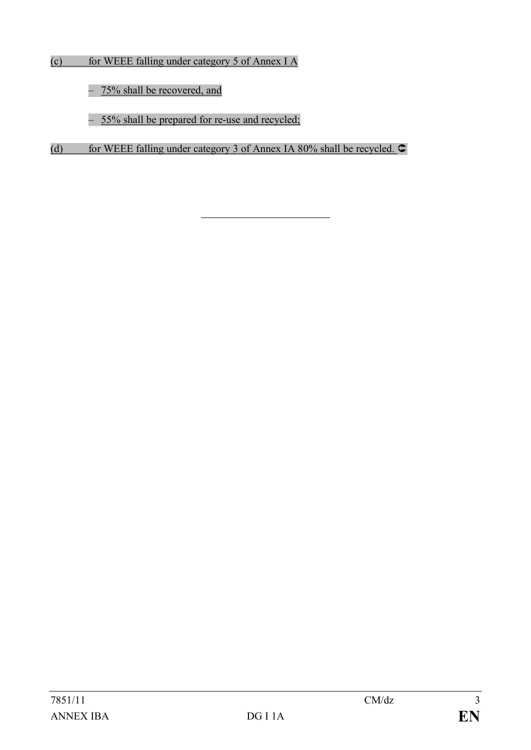- (c) for WEEE falling under category 5 of Annex I A
	- 75% shall be recovered, and
	- 55% shall be prepared for re-use and recycled;
- (d) for WEEE falling under category 3 of Annex IA 80% shall be recycled.  $\bullet$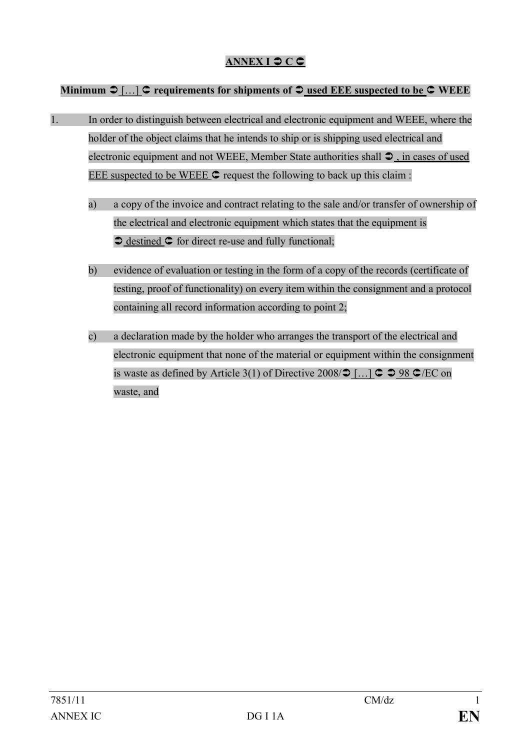## **ANNEX I**  $\bigcirc$  **C**

#### **Minimum**  $\mathcal{D}$ **[...]**  $\mathcal{C}$  **requirements for shipments of**  $\mathcal{D}$  **used EEE suspected to be**  $\mathcal{C}$  **WEEE**

- 1. In order to distinguish between electrical and electronic equipment and WEEE, where the holder of the object claims that he intends to ship or is shipping used electrical and electronic equipment and not WEEE, Member State authorities shall  $\mathfrak{D}$ , in cases of used EEE suspected to be WEEE Û request the following to back up this claim :
	- a) a copy of the invoice and contract relating to the sale and/or transfer of ownership of the electrical and electronic equipment which states that the equipment is  $\triangleright$  destined  $\triangleright$  for direct re-use and fully functional;
	- b) evidence of evaluation or testing in the form of a copy of the records (certificate of testing, proof of functionality) on every item within the consignment and a protocol containing all record information according to point 2;
	- c) a declaration made by the holder who arranges the transport of the electrical and electronic equipment that none of the material or equipment within the consignment is waste as defined by Article 3(1) of Directive 2008/ $\supset$  [...]  $\supset \supset$  98  $\supset$ /EC on waste, and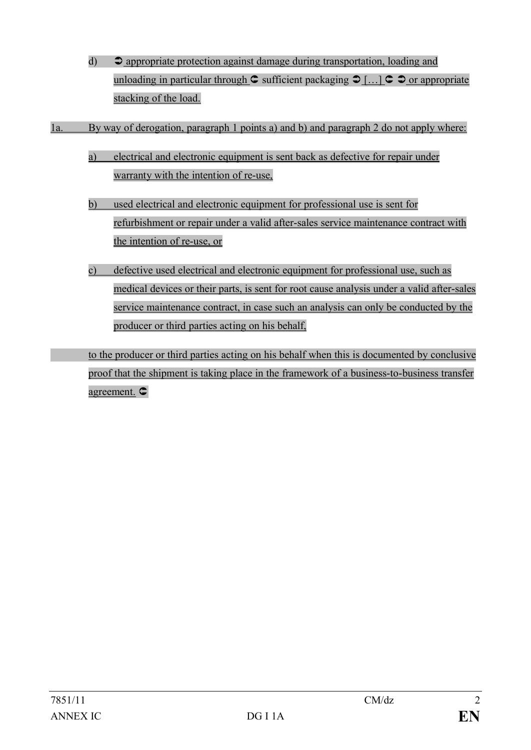- d)  $\bullet$  appropriate protection against damage during transportation, loading and unloading in particular through  $\mathbf C$  sufficient packaging  $\mathbf D$  [...]  $\mathbf C$   $\mathbf D$  or appropriate stacking of the load.
- 1a. By way of derogation, paragraph 1 points a) and b) and paragraph 2 do not apply where:
	- a) electrical and electronic equipment is sent back as defective for repair under warranty with the intention of re-use,
	- b) used electrical and electronic equipment for professional use is sent for refurbishment or repair under a valid after-sales service maintenance contract with the intention of re-use, or
	- c) defective used electrical and electronic equipment for professional use, such as medical devices or their parts, is sent for root cause analysis under a valid after-sales service maintenance contract, in case such an analysis can only be conducted by the producer or third parties acting on his behalf,

to the producer or third parties acting on his behalf when this is documented by conclusive proof that the shipment is taking place in the framework of a business-to-business transfer agreement. Û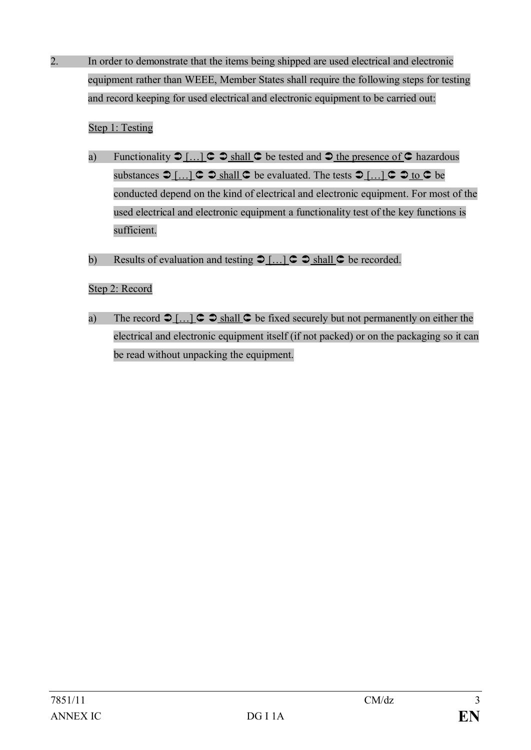2. In order to demonstrate that the items being shipped are used electrical and electronic equipment rather than WEEE, Member States shall require the following steps for testing and record keeping for used electrical and electronic equipment to be carried out:

#### Step 1: Testing

- a) Functionality  $\supset [...] \subset \supset$  shall  $\subset$  be tested and  $\supset$  the presence of  $\subset$  hazardous substances  $\bigcirc$  [...]  $\subset \bigcirc$  shall  $\subset \bigcirc$  be evaluated. The tests  $\bigcirc$  [...]  $\subset \bigcirc$  to  $\subset$  be conducted depend on the kind of electrical and electronic equipment. For most of the used electrical and electronic equipment a functionality test of the key functions is sufficient.
- b) Results of evaluation and testing  $\mathcal{D}[\dots]$   $\subset \mathcal{D}$  shall  $\subset \mathcal{D}$  be recorded.

#### Step 2: Record

a) The record  $\supset [...] \subset \supset$  shall  $\subset$  be fixed securely but not permanently on either the electrical and electronic equipment itself (if not packed) or on the packaging so it can be read without unpacking the equipment.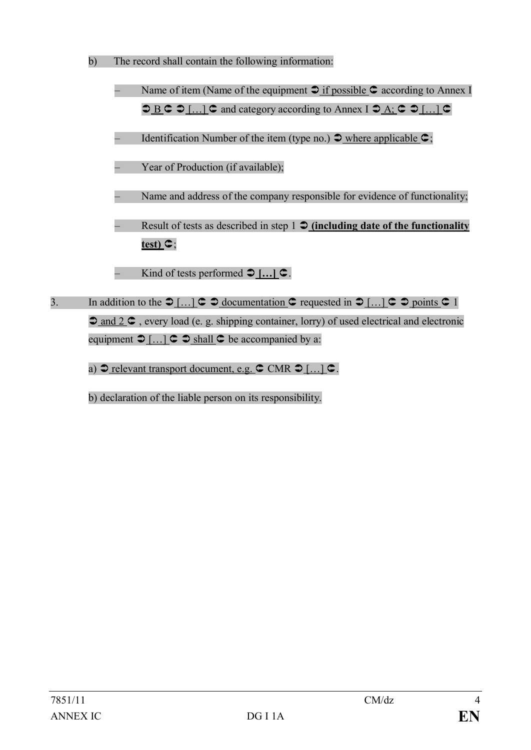- b) The record shall contain the following information:
	- Name of item (Name of the equipment  $\supset \text{if possible } \textsf{C}$  according to Annex I  $\supset B \subset \supset [...]$   $\subset$  and category according to Annex I  $\supset A$ ;  $\subset \supset [...]$   $\subset$
	- Identification Number of the item (type no.)  $\supset$  where applicable  $\supset$ ;
	- Year of Production (if available);
	- Name and address of the company responsible for evidence of functionality;
	- Result of tests as described in step 1  $\oint$  (including date of the functionality  $\tan \mathbf{c}$ ;
		- Kind of tests performed  $\bigcirc$  [...]  $\bigcirc$ .
- 3. In addition to the  $\bigcirc$   $\left[ \dots \right]$   $\subset \bigcirc$  documentation  $\subset \bigcirc$  requested in  $\bigcirc$   $\left[ \dots \right]$   $\subset \bigcirc$  points  $\subset \bigcirc$  1  $\partial$  and  $2 \subset C$ , every load (e. g. shipping container, lorry) of used electrical and electronic equipment  $\bigcirc$   $\underline{\ldots}$   $\subset \bigcirc$  shall  $\subset \bigcirc$  be accompanied by a:
	- a)  $\supseteq$  relevant transport document, e.g.  $\supseteq$  CMR  $\supseteq$  [...]  $\supseteq$ .
	- b) declaration of the liable person on its responsibility.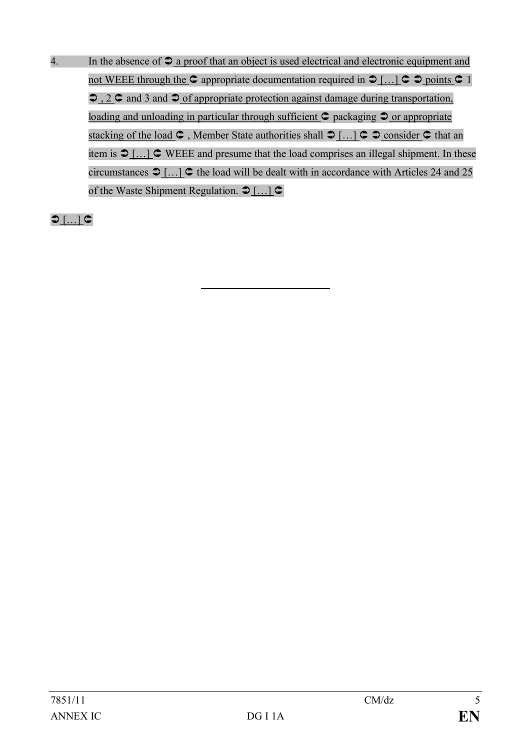4. In the absence of  $\supseteq a$  proof that an object is used electrical and electronic equipment and not WEEE through the  $\circ$  appropriate documentation required in  $\circ$  [...]  $\circ$   $\circ$  points  $\circ$  1  $\bigcirc$ , 2  $\bigcirc$  and 3 and  $\bigcirc$  of appropriate protection against damage during transportation, loading and unloading in particular through sufficient  $\mathsf{C}$  packaging  $\mathsf{D}$  or appropriate stacking of the load  $\mathsf{C}$ , Member State authorities shall  $\mathsf{D}$   $\left[\dots\right]$   $\mathsf{C}$   $\mathsf{D}$  consider  $\mathsf{C}$  that an item is  $\bigcirc$  [...]  $\bigcirc$  WEEE and presume that the load comprises an illegal shipment. In these circumstances  $\bigcirc$  [...]  $\bigcirc$  the load will be dealt with in accordance with Articles 24 and 25 of the Waste Shipment Regulation.  $\bigcirc$  [...]  $\bigcirc$ 

 $O$  […]  $C$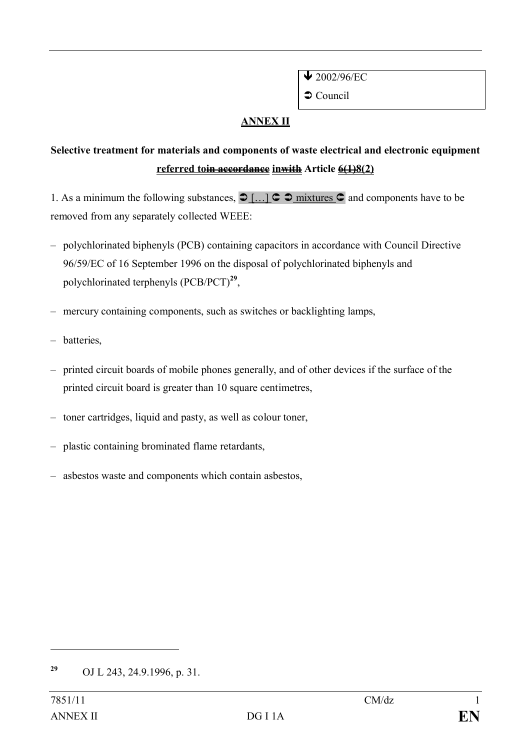$\sqrt{2002/96/EC}$ 

 $\supset$  Council

### **ANNEX II**

## **Selective treatment for materials and components of waste electrical and electronic equipment referred toin accordance inwith Article 6(1)8(2)**

1. As a minimum the following substances,  $\bigcirc$  [...]  $\subset \bigcirc$  mixtures  $\subset$  and components have to be removed from any separately collected WEEE:

- polychlorinated biphenyls (PCB) containing capacitors in accordance with Council Directive 96/59/EC of 16 September 1996 on the disposal of polychlorinated biphenyls and polychlorinated terphenyls (PCB/PCT)**<sup>29</sup>** ,
- mercury containing components, such as switches or backlighting lamps,
- batteries,
- printed circuit boards of mobile phones generally, and of other devices if the surface of the printed circuit board is greater than 10 square centimetres,
- toner cartridges, liquid and pasty, as well as colour toner,
- plastic containing brominated flame retardants,
- asbestos waste and components which contain asbestos,

**<sup>29</sup>** OJ L 243, 24.9.1996, p. 31.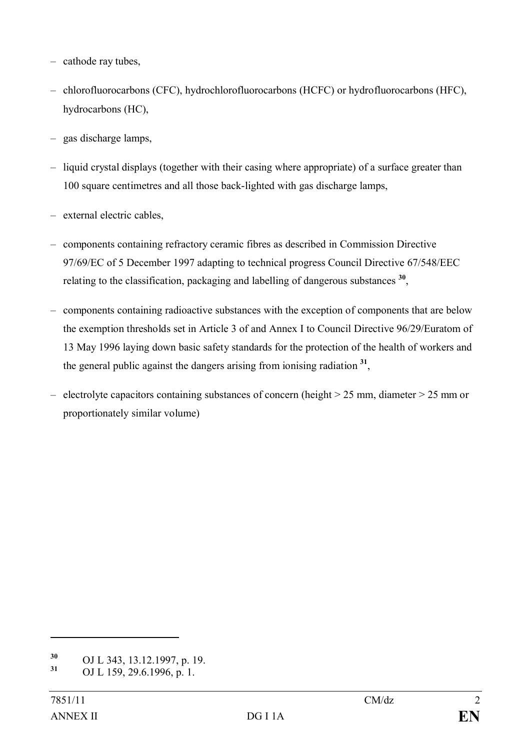- cathode ray tubes,
- chlorofluorocarbons (CFC), hydrochlorofluorocarbons (HCFC) or hydrofluorocarbons (HFC), hydrocarbons (HC),
- gas discharge lamps,
- liquid crystal displays (together with their casing where appropriate) of a surface greater than 100 square centimetres and all those back-lighted with gas discharge lamps,
- external electric cables,
- components containing refractory ceramic fibres as described in Commission Directive 97/69/EC of 5 December 1997 adapting to technical progress Council Directive 67/548/EEC relating to the classification, packaging and labelling of dangerous substances **<sup>30</sup>** ,
- components containing radioactive substances with the exception of components that are below the exemption thresholds set in Article 3 of and Annex I to Council Directive 96/29/Euratom of 13 May 1996 laying down basic safety standards for the protection of the health of workers and the general public against the dangers arising from ionising radiation **31** ,
- electrolyte capacitors containing substances of concern (height > 25 mm, diameter > 25 mm or proportionately similar volume)

**<sup>30</sup>** OJ L 343, 13.12.1997, p. 19.

**<sup>31</sup>** OJ L 159, 29.6.1996, p. 1.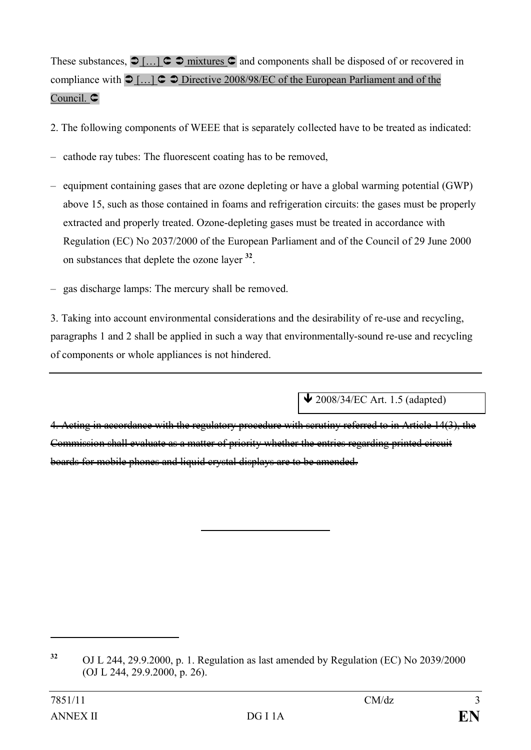These substances,  $\bigcirc$  [...]  $\subset \bigcirc$  mixtures  $\subset$  and components shall be disposed of or recovered in compliance with  $\bigcirc$   $\left[ \dots \right]$   $\subset$   $\bigcirc$  Directive 2008/98/EC of the European Parliament and of the Council. C

- 2. The following components of WEEE that is separately collected have to be treated as indicated:
- cathode ray tubes: The fluorescent coating has to be removed,
- equipment containing gases that are ozone depleting or have a global warming potential (GWP) above 15, such as those contained in foams and refrigeration circuits: the gases must be properly extracted and properly treated. Ozone-depleting gases must be treated in accordance with Regulation (EC) No 2037/2000 of the European Parliament and of the Council of 29 June 2000 on substances that deplete the ozone layer **<sup>32</sup>** .
- gas discharge lamps: The mercury shall be removed.

3. Taking into account environmental considerations and the desirability of re-use and recycling, paragraphs 1 and 2 shall be applied in such a way that environmentally-sound re-use and recycling of components or whole appliances is not hindered.

 $\triangle$  2008/34/EC Art. 1.5 (adapted)

4. Acting in accordance with the regulatory procedure with scrutiny referred to in Article 14(3), the Commission shall evaluate as a matter of priority whether the entries regarding printed circuit boards for mobile phones and liquid crystal displays are to be amended.

**<sup>32</sup>** OJ L 244, 29.9.2000, p. 1. Regulation as last amended by Regulation (EC) No 2039/2000 (OJ L 244, 29.9.2000, p. 26).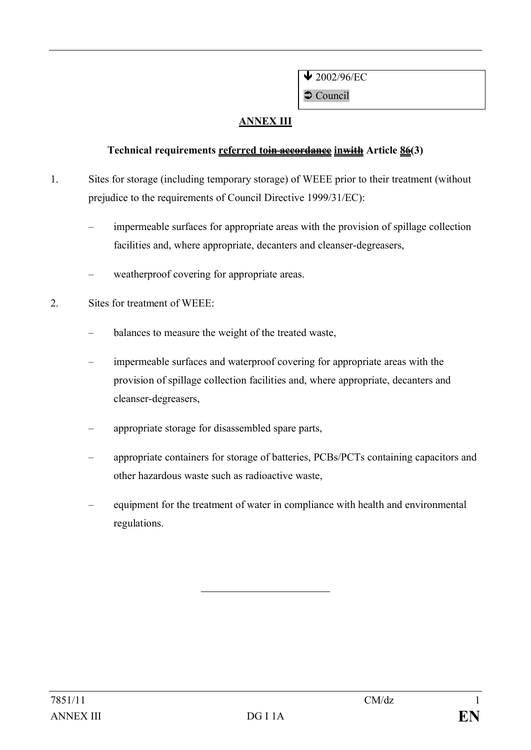$\sqrt{2002/96/EC}$ 

 $\supset$  Council

## **ANNEX III**

#### **Technical requirements referred toin accordance inwith Article 86(3)**

- 1. Sites for storage (including temporary storage) of WEEE prior to their treatment (without prejudice to the requirements of Council Directive 1999/31/EC):
	- impermeable surfaces for appropriate areas with the provision of spillage collection facilities and, where appropriate, decanters and cleanser-degreasers,
	- weatherproof covering for appropriate areas.
- 2. Sites for treatment of WEEE:
	- balances to measure the weight of the treated waste,
	- impermeable surfaces and waterproof covering for appropriate areas with the provision of spillage collection facilities and, where appropriate, decanters and cleanser-degreasers,
	- appropriate storage for disassembled spare parts,
	- appropriate containers for storage of batteries, PCBs/PCTs containing capacitors and other hazardous waste such as radioactive waste,
	- equipment for the treatment of water in compliance with health and environmental regulations.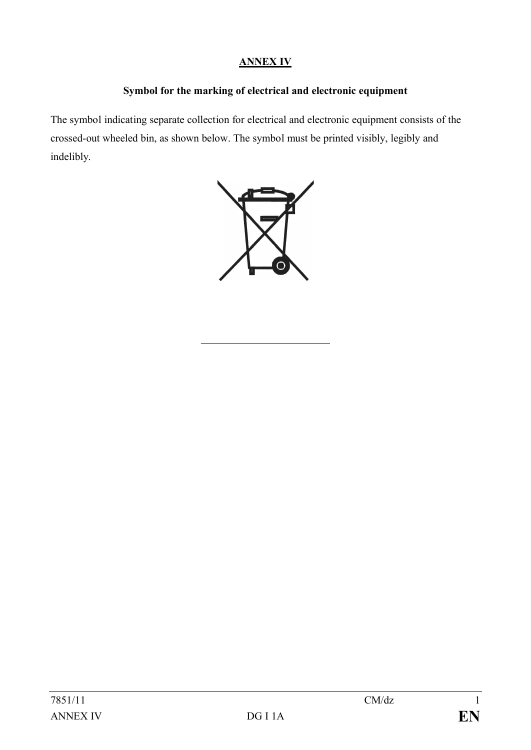#### **ANNEX IV**

#### **Symbol for the marking of electrical and electronic equipment**

The symbol indicating separate collection for electrical and electronic equipment consists of the crossed-out wheeled bin, as shown below. The symbol must be printed visibly, legibly and indelibly.

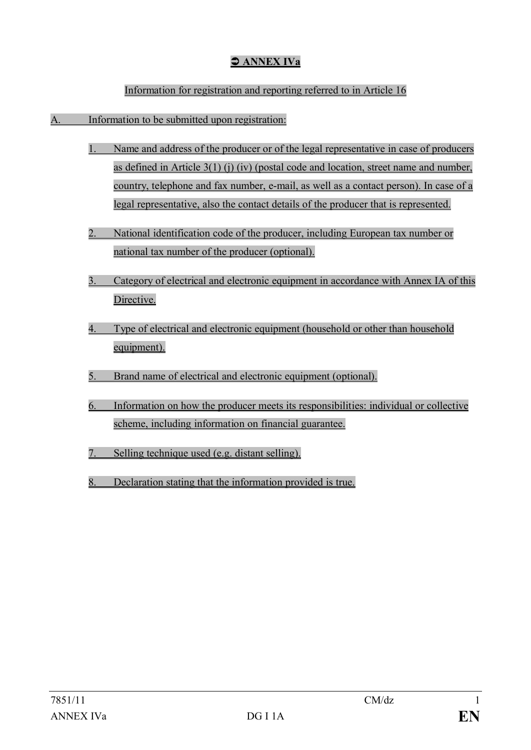## Ü **ANNEX IVa**

#### Information for registration and reporting referred to in Article 16

#### A. Information to be submitted upon registration:

- Name and address of the producer or of the legal representative in case of producers as defined in Article  $3(1)$  (j) (iv) (postal code and location, street name and number, country, telephone and fax number, e-mail, as well as a contact person). In case of a legal representative, also the contact details of the producer that is represented.
- 2. National identification code of the producer, including European tax number or national tax number of the producer (optional).
- 3. Category of electrical and electronic equipment in accordance with Annex IA of this Directive.
- 4. Type of electrical and electronic equipment (household or other than household equipment).
- 5. Brand name of electrical and electronic equipment (optional).
- 6. Information on how the producer meets its responsibilities: individual or collective scheme, including information on financial guarantee.
- 7. Selling technique used (e.g. distant selling).
- 8. Declaration stating that the information provided is true.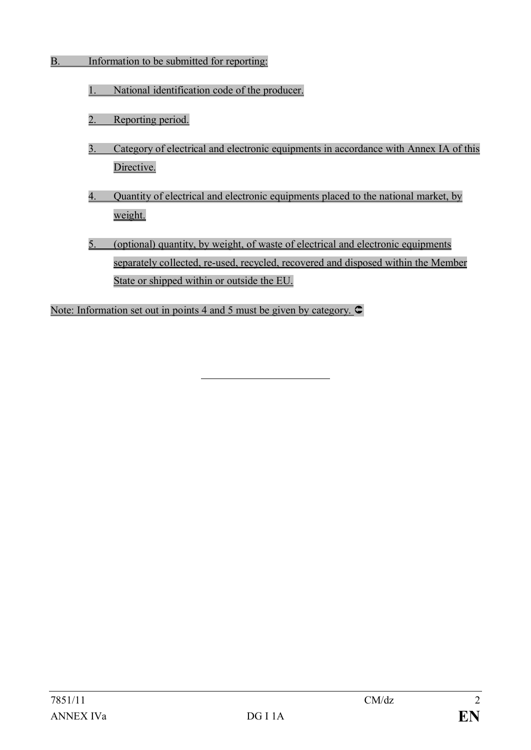#### B. Information to be submitted for reporting:

- 1. National identification code of the producer.
- 2. Reporting period.
- 3. Category of electrical and electronic equipments in accordance with Annex IA of this Directive.
- 4. Quantity of electrical and electronic equipments placed to the national market, by weight.
- 5. (optional) quantity, by weight, of waste of electrical and electronic equipments separately collected, re-used, recycled, recovered and disposed within the Member State or shipped within or outside the EU.

Note: Information set out in points 4 and 5 must be given by category.  $\subset$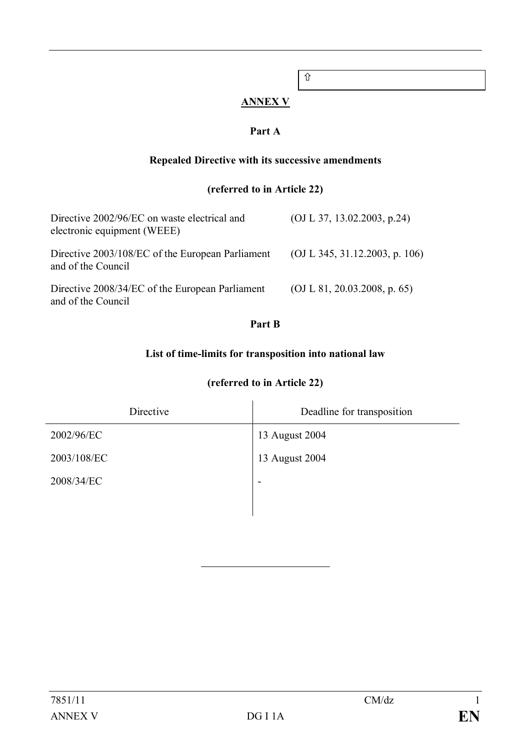# $\hat{u}$

#### **ANNEX V**

#### **Part A**

#### **Repealed Directive with its successive amendments**

### **(referred to in Article 22)**

| Directive 2002/96/EC on waste electrical and<br>electronic equipment (WEEE) | (OJ L 37, 13.02.2003, p.24)    |
|-----------------------------------------------------------------------------|--------------------------------|
| Directive 2003/108/EC of the European Parliament<br>and of the Council      | (OJ L 345, 31.12.2003, p. 106) |
| Directive 2008/34/EC of the European Parliament<br>and of the Council       | (OJ L 81, 20.03.2008, p. 65)   |

#### **Part B**

#### **List of time-limits for transposition into national law**

| Directive   | Deadline for transposition |
|-------------|----------------------------|
| 2002/96/EC  | 13 August 2004             |
| 2003/108/EC | 13 August 2004             |
| 2008/34/EC  | ٠                          |
|             |                            |

## **(referred to in Article 22)**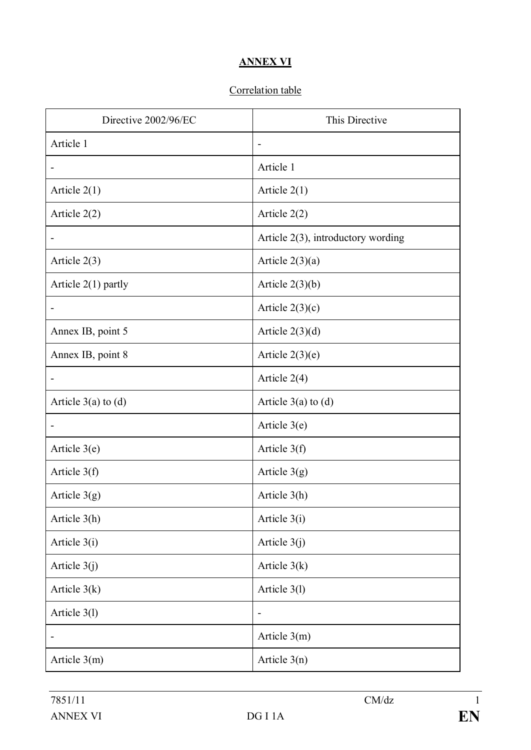#### **ANNEX VI**

## Correlation table

| Directive 2002/96/EC         | This Directive                        |
|------------------------------|---------------------------------------|
| Article 1                    | $\overline{\phantom{a}}$              |
|                              | Article 1                             |
| Article $2(1)$               | Article $2(1)$                        |
| Article $2(2)$               | Article $2(2)$                        |
|                              | Article $2(3)$ , introductory wording |
| Article $2(3)$               | Article $2(3)(a)$                     |
| Article $2(1)$ partly        | Article $2(3)(b)$                     |
| $\qquad \qquad \blacksquare$ | Article $2(3)(c)$                     |
| Annex IB, point 5            | Article $2(3)(d)$                     |
| Annex IB, point 8            | Article $2(3)(e)$                     |
|                              | Article $2(4)$                        |
| Article $3(a)$ to $(d)$      | Article $3(a)$ to $(d)$               |
|                              | Article $3(e)$                        |
| Article $3(e)$               | Article $3(f)$                        |
| Article $3(f)$               | Article $3(g)$                        |
| Article $3(g)$               | Article 3(h)                          |
| Article 3(h)                 | Article 3(i)                          |
| Article 3(i)                 | Article $3(j)$                        |
| Article $3(j)$               | Article $3(k)$                        |
| Article $3(k)$               | Article 3(1)                          |
| Article 3(1)                 | $\overline{\phantom{0}}$              |
|                              | Article $3(m)$                        |
| Article $3(m)$               | Article $3(n)$                        |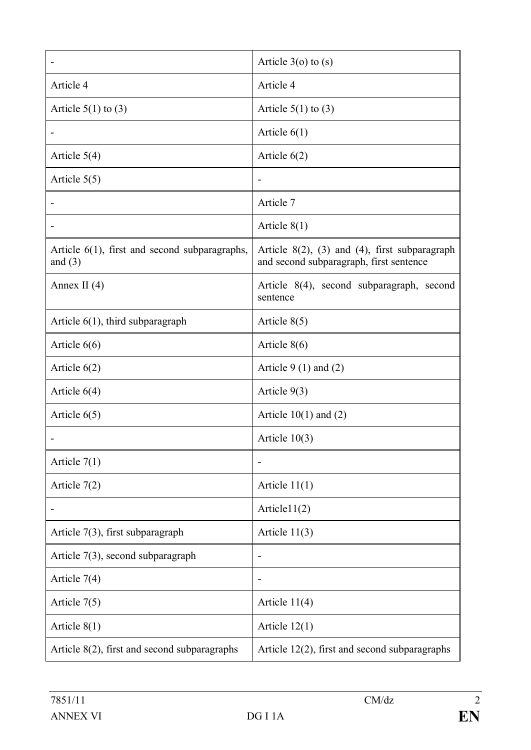|                                                               | Article $3$ (o) to (s)                                                                           |
|---------------------------------------------------------------|--------------------------------------------------------------------------------------------------|
| Article 4                                                     | Article 4                                                                                        |
| Article $5(1)$ to $(3)$                                       | Article $5(1)$ to $(3)$                                                                          |
|                                                               | Article $6(1)$                                                                                   |
| Article $5(4)$                                                | Article $6(2)$                                                                                   |
| Article $5(5)$                                                | $\overline{\phantom{a}}$                                                                         |
|                                                               | Article 7                                                                                        |
|                                                               | Article $8(1)$                                                                                   |
| Article $6(1)$ , first and second subparagraphs,<br>and $(3)$ | Article $8(2)$ , $(3)$ and $(4)$ , first subparagraph<br>and second subparagraph, first sentence |
| Annex II $(4)$                                                | Article 8(4), second subparagraph, second<br>sentence                                            |
| Article $6(1)$ , third subparagraph                           | Article $8(5)$                                                                                   |
| Article $6(6)$                                                | Article $8(6)$                                                                                   |
| Article $6(2)$                                                | Article $9(1)$ and $(2)$                                                                         |
| Article $6(4)$                                                | Article $9(3)$                                                                                   |
| Article $6(5)$                                                | Article $10(1)$ and $(2)$                                                                        |
|                                                               | Article $10(3)$                                                                                  |
| Article $7(1)$                                                |                                                                                                  |
| Article 7(2)                                                  | Article $11(1)$                                                                                  |
|                                                               | Article $1(2)$                                                                                   |
| Article $7(3)$ , first subparagraph                           | Article $11(3)$                                                                                  |
| Article $7(3)$ , second subparagraph                          | $\overline{\phantom{a}}$                                                                         |
| Article $7(4)$                                                | $\overline{\phantom{a}}$                                                                         |
| Article $7(5)$                                                | Article $11(4)$                                                                                  |
| Article $8(1)$                                                | Article $12(1)$                                                                                  |
| Article $8(2)$ , first and second subparagraphs               | Article $12(2)$ , first and second subparagraphs                                                 |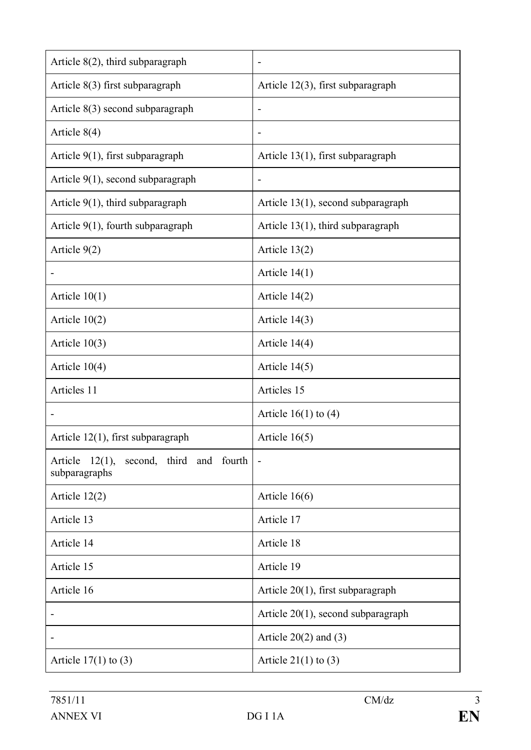| Article $8(2)$ , third subparagraph                            | $\overline{\phantom{0}}$              |
|----------------------------------------------------------------|---------------------------------------|
| Article $8(3)$ first subparagraph                              | Article $12(3)$ , first subparagraph  |
| Article $8(3)$ second subparagraph                             | $\overline{a}$                        |
| Article $8(4)$                                                 |                                       |
| Article $9(1)$ , first subparagraph                            | Article $13(1)$ , first subparagraph  |
| Article $9(1)$ , second subparagraph                           | $\qquad \qquad \blacksquare$          |
| Article $9(1)$ , third subparagraph                            | Article 13(1), second subparagraph    |
| Article $9(1)$ , fourth subparagraph                           | Article $13(1)$ , third subparagraph  |
| Article 9(2)                                                   | Article 13(2)                         |
|                                                                | Article $14(1)$                       |
| Article $10(1)$                                                | Article $14(2)$                       |
| Article $10(2)$                                                | Article $14(3)$                       |
| Article $10(3)$                                                | Article $14(4)$                       |
| Article $10(4)$                                                | Article $14(5)$                       |
| Articles 11                                                    | Articles 15                           |
|                                                                | Article $16(1)$ to $(4)$              |
| Article $12(1)$ , first subparagraph                           | Article $16(5)$                       |
| Article<br>12(1),<br>second, third and fourth<br>subparagraphs |                                       |
| Article $12(2)$                                                | Article $16(6)$                       |
| Article 13                                                     | Article 17                            |
| Article 14                                                     | Article 18                            |
| Article 15                                                     | Article 19                            |
| Article 16                                                     | Article $20(1)$ , first subparagraph  |
|                                                                | Article $20(1)$ , second subparagraph |
|                                                                | Article $20(2)$ and $(3)$             |
| Article $17(1)$ to $(3)$                                       | Article $21(1)$ to $(3)$              |